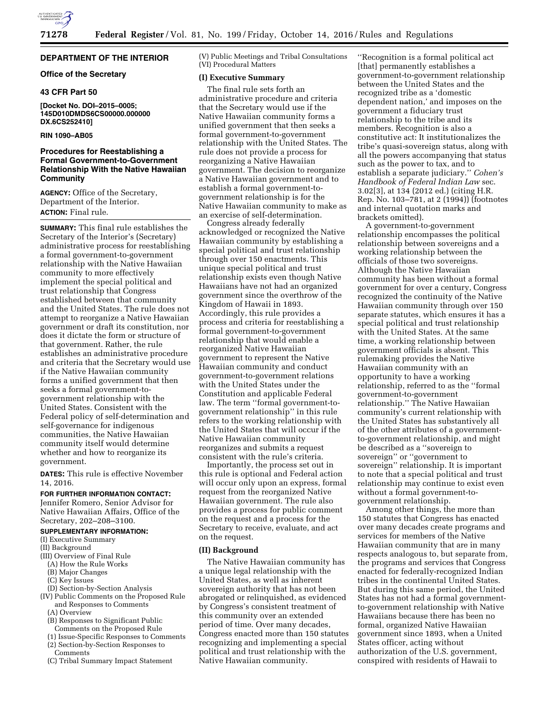

# **DEPARTMENT OF THE INTERIOR**

# **Office of the Secretary**

### **43 CFR Part 50**

**[Docket No. DOI–2015–0005; 145D010DMDS6CS00000.000000 DX.6CS252410]** 

# **RIN 1090–AB05**

# **Procedures for Reestablishing a Formal Government-to-Government Relationship With the Native Hawaiian Community**

**AGENCY:** Office of the Secretary, Department of the Interior. **ACTION:** Final rule.

**SUMMARY:** This final rule establishes the Secretary of the Interior's (Secretary) administrative process for reestablishing a formal government-to-government relationship with the Native Hawaiian community to more effectively implement the special political and trust relationship that Congress established between that community and the United States. The rule does not attempt to reorganize a Native Hawaiian government or draft its constitution, nor does it dictate the form or structure of that government. Rather, the rule establishes an administrative procedure and criteria that the Secretary would use if the Native Hawaiian community forms a unified government that then seeks a formal government-togovernment relationship with the United States. Consistent with the Federal policy of self-determination and self-governance for indigenous communities, the Native Hawaiian community itself would determine whether and how to reorganize its government.

**DATES:** This rule is effective November 14, 2016.

# **FOR FURTHER INFORMATION CONTACT:**

Jennifer Romero, Senior Advisor for Native Hawaiian Affairs, Office of the Secretary, 202–208–3100.

# **SUPPLEMENTARY INFORMATION:**

- (I) Executive Summary
- (II) Background
- (III) Overview of Final Rule
	- (A) How the Rule Works
	- (B) Major Changes
	- (C) Key Issues
	- (D) Section-by-Section Analysis
- (IV) Public Comments on the Proposed Rule and Responses to Comments
	- (A) Overview
	- (B) Responses to Significant Public Comments on the Proposed Rule
	- (1) Issue-Specific Responses to Comments
	- (2) Section-by-Section Responses to
	- **Comments**
	- (C) Tribal Summary Impact Statement

(V) Public Meetings and Tribal Consultations (VI) Procedural Matters

# **(I) Executive Summary**

The final rule sets forth an administrative procedure and criteria that the Secretary would use if the Native Hawaiian community forms a unified government that then seeks a formal government-to-government relationship with the United States. The rule does not provide a process for reorganizing a Native Hawaiian government. The decision to reorganize a Native Hawaiian government and to establish a formal government-togovernment relationship is for the Native Hawaiian community to make as an exercise of self-determination.

Congress already federally acknowledged or recognized the Native Hawaiian community by establishing a special political and trust relationship through over 150 enactments. This unique special political and trust relationship exists even though Native Hawaiians have not had an organized government since the overthrow of the Kingdom of Hawaii in 1893. Accordingly, this rule provides a process and criteria for reestablishing a formal government-to-government relationship that would enable a reorganized Native Hawaiian government to represent the Native Hawaiian community and conduct government-to-government relations with the United States under the Constitution and applicable Federal law. The term ''formal government-togovernment relationship'' in this rule refers to the working relationship with the United States that will occur if the Native Hawaiian community reorganizes and submits a request consistent with the rule's criteria.

Importantly, the process set out in this rule is optional and Federal action will occur only upon an express, formal request from the reorganized Native Hawaiian government. The rule also provides a process for public comment on the request and a process for the Secretary to receive, evaluate, and act on the request.

### **(II) Background**

The Native Hawaiian community has a unique legal relationship with the United States, as well as inherent sovereign authority that has not been abrogated or relinquished, as evidenced by Congress's consistent treatment of this community over an extended period of time. Over many decades, Congress enacted more than 150 statutes recognizing and implementing a special political and trust relationship with the Native Hawaiian community.

''Recognition is a formal political act [that] permanently establishes a government-to-government relationship between the United States and the recognized tribe as a 'domestic dependent nation,' and imposes on the government a fiduciary trust relationship to the tribe and its members. Recognition is also a constitutive act: It institutionalizes the tribe's quasi-sovereign status, along with all the powers accompanying that status such as the power to tax, and to establish a separate judiciary.'' *Cohen's Handbook of Federal Indian Law* sec. 3.02[3], at 134 (2012 ed.) (citing H.R. Rep. No. 103–781, at 2 (1994)) (footnotes and internal quotation marks and brackets omitted).

A government-to-government relationship encompasses the political relationship between sovereigns and a working relationship between the officials of those two sovereigns. Although the Native Hawaiian community has been without a formal government for over a century, Congress recognized the continuity of the Native Hawaiian community through over 150 separate statutes, which ensures it has a special political and trust relationship with the United States. At the same time, a working relationship between government officials is absent. This rulemaking provides the Native Hawaiian community with an opportunity to have a working relationship, referred to as the ''formal government-to-government relationship.'' The Native Hawaiian community's current relationship with the United States has substantively all of the other attributes of a governmentto-government relationship, and might be described as a ''sovereign to sovereign'' or ''government to sovereign'' relationship. It is important to note that a special political and trust relationship may continue to exist even without a formal government-togovernment relationship.

Among other things, the more than 150 statutes that Congress has enacted over many decades create programs and services for members of the Native Hawaiian community that are in many respects analogous to, but separate from, the programs and services that Congress enacted for federally-recognized Indian tribes in the continental United States. But during this same period, the United States has not had a formal governmentto-government relationship with Native Hawaiians because there has been no formal, organized Native Hawaiian government since 1893, when a United States officer, acting without authorization of the U.S. government, conspired with residents of Hawaii to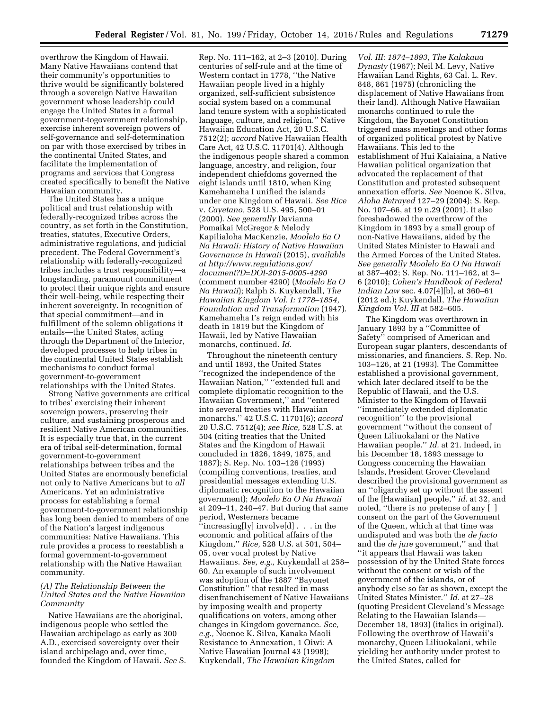overthrow the Kingdom of Hawaii. Many Native Hawaiians contend that their community's opportunities to thrive would be significantly bolstered through a sovereign Native Hawaiian government whose leadership could engage the United States in a formal government-togovernment relationship, exercise inherent sovereign powers of self-governance and self-determination on par with those exercised by tribes in the continental United States, and facilitate the implementation of programs and services that Congress created specifically to benefit the Native Hawaiian community.

The United States has a unique political and trust relationship with federally-recognized tribes across the country, as set forth in the Constitution, treaties, statutes, Executive Orders, administrative regulations, and judicial precedent. The Federal Government's relationship with federally-recognized tribes includes a trust responsibility—a longstanding, paramount commitment to protect their unique rights and ensure their well-being, while respecting their inherent sovereignty. In recognition of that special commitment—and in fulfillment of the solemn obligations it entails—the United States, acting through the Department of the Interior, developed processes to help tribes in the continental United States establish mechanisms to conduct formal government-to-government relationships with the United States.

Strong Native governments are critical to tribes' exercising their inherent sovereign powers, preserving their culture, and sustaining prosperous and resilient Native American communities. It is especially true that, in the current era of tribal self-determination, formal government-to-government relationships between tribes and the United States are enormously beneficial not only to Native Americans but to *all*  Americans. Yet an administrative process for establishing a formal government-to-government relationship has long been denied to members of one of the Nation's largest indigenous communities: Native Hawaiians. This rule provides a process to reestablish a formal government-to-government relationship with the Native Hawaiian community.

# *(A) The Relationship Between the United States and the Native Hawaiian Community*

Native Hawaiians are the aboriginal, indigenous people who settled the Hawaiian archipelago as early as 300 A.D., exercised sovereignty over their island archipelago and, over time, founded the Kingdom of Hawaii. *See* S.

Rep. No. 111–162, at 2–3 (2010). During centuries of self-rule and at the time of Western contact in 1778, ''the Native Hawaiian people lived in a highly organized, self-sufficient subsistence social system based on a communal land tenure system with a sophisticated language, culture, and religion.'' Native Hawaiian Education Act, 20 U.S.C. 7512(2); *accord* Native Hawaiian Health Care Act, 42 U.S.C. 11701(4). Although the indigenous people shared a common language, ancestry, and religion, four independent chiefdoms governed the eight islands until 1810, when King Kamehameha I unified the islands under one Kingdom of Hawaii. *See Rice*  v. *Cayetano,* 528 U.S. 495, 500–01 (2000). *See generally* Davianna Pomaikai McGregor & Melody Kapilialoha MacKenzie, *Moolelo Ea O Na Hawaii: History of Native Hawaiian Governance in Hawaii* (2015), *available at [http://www.regulations.gov/](http://www.regulations.gov/document?D=DOI-2015-0005-4290) [document?D=DOI-2015-0005-4290](http://www.regulations.gov/document?D=DOI-2015-0005-4290)*  (comment number 4290) (*Moolelo Ea O Na Hawaii*); Ralph S. Kuykendall, *The Hawaiian Kingdom Vol. I: 1778–1854, Foundation and Transformation* (1947). Kamehameha I's reign ended with his death in 1819 but the Kingdom of Hawaii, led by Native Hawaiian monarchs, continued. *Id.* 

Throughout the nineteenth century and until 1893, the United States ''recognized the independence of the Hawaiian Nation,'' ''extended full and complete diplomatic recognition to the Hawaiian Government,'' and ''entered into several treaties with Hawaiian monarchs.'' 42 U.S.C. 11701(6); *accord*  20 U.S.C. 7512(4); *see Rice,* 528 U.S. at 504 (citing treaties that the United States and the Kingdom of Hawaii concluded in 1826, 1849, 1875, and 1887); S. Rep. No. 103–126 (1993) (compiling conventions, treaties, and presidential messages extending U.S. diplomatic recognition to the Hawaiian government); *Moolelo Ea O Na Hawaii*  at 209–11, 240–47. But during that same period, Westerners became ''increasing[ly] involve[d] . . . in the economic and political affairs of the Kingdom,'' *Rice,* 528 U.S. at 501, 504– 05, over vocal protest by Native Hawaiians. *See, e.g.,* Kuykendall at 258– 60. An example of such involvement was adoption of the 1887 ''Bayonet Constitution'' that resulted in mass disenfranchisement of Native Hawaiians by imposing wealth and property qualifications on voters, among other changes in Kingdom governance. *See, e.g.,* Noenoe K. Silva, Kanaka Maoli Resistance to Annexation, 1 Oiwi: A Native Hawaiian Journal 43 (1998); Kuykendall, *The Hawaiian Kingdom* 

*Vol. III: 1874–1893, The Kalakaua Dynasty* (1967); Neil M. Levy, Native Hawaiian Land Rights, 63 Cal. L. Rev. 848, 861 (1975) (chronicling the displacement of Native Hawaiians from their land). Although Native Hawaiian monarchs continued to rule the Kingdom, the Bayonet Constitution triggered mass meetings and other forms of organized political protest by Native Hawaiians. This led to the establishment of Hui Kalaiaina, a Native Hawaiian political organization that advocated the replacement of that Constitution and protested subsequent annexation efforts. *See* Noenoe K. Silva, *Aloha Betrayed* 127–29 (2004); S. Rep. No. 107–66, at 19 n.29 (2001). It also foreshadowed the overthrow of the Kingdom in 1893 by a small group of non-Native Hawaiians, aided by the United States Minister to Hawaii and the Armed Forces of the United States. *See generally Moolelo Ea O Na Hawaii*  at 387–402; S. Rep. No. 111–162, at 3– 6 (2010); *Cohen's Handbook of Federal Indian Law* sec. 4.07[4][b], at 360–61 (2012 ed.); Kuykendall, *The Hawaiian Kingdom Vol. III* at 582–605.

The Kingdom was overthrown in January 1893 by a ''Committee of Safety'' comprised of American and European sugar planters, descendants of missionaries, and financiers. S. Rep. No. 103–126, at 21 (1993). The Committee established a provisional government, which later declared itself to be the Republic of Hawaii, and the U.S. Minister to the Kingdom of Hawaii ''immediately extended diplomatic recognition'' to the provisional government ''without the consent of Queen Liliuokalani or the Native Hawaiian people.'' *Id.* at 21. Indeed, in his December 18, 1893 message to Congress concerning the Hawaiian Islands, President Grover Cleveland described the provisional government as an ''oligarchy set up without the assent of the [Hawaiian] people,'' *id.* at 32, and noted, ''there is no pretense of any [ ] consent on the part of the Government of the Queen, which at that time was undisputed and was both the *de facto*  and the *de jure* government,'' and that ''it appears that Hawaii was taken possession of by the United State forces without the consent or wish of the government of the islands, or of anybody else so far as shown, except the United States Minister.'' *Id.* at 27–28 (quoting President Cleveland's Message Relating to the Hawaiian Islands— December 18, 1893) (italics in original). Following the overthrow of Hawaii's monarchy, Queen Liliuokalani, while yielding her authority under protest to the United States, called for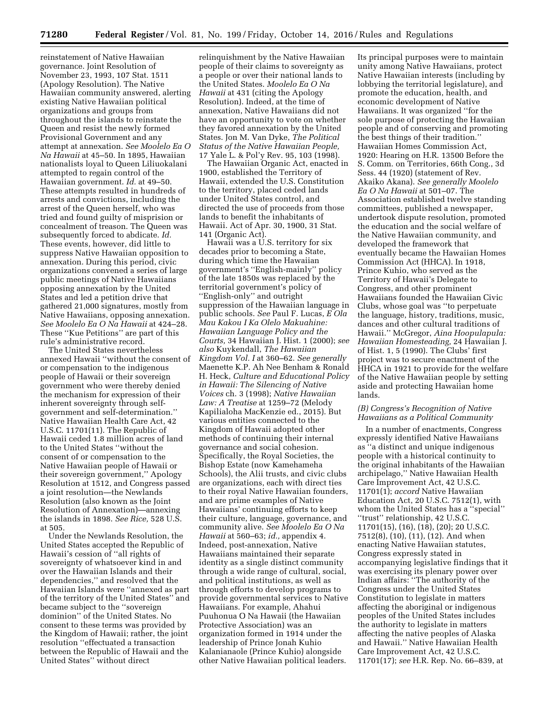reinstatement of Native Hawaiian governance. Joint Resolution of November 23, 1993, 107 Stat. 1511 (Apology Resolution). The Native Hawaiian community answered, alerting existing Native Hawaiian political organizations and groups from throughout the islands to reinstate the Queen and resist the newly formed Provisional Government and any attempt at annexation. *See Moolelo Ea O Na Hawaii* at 45–50. In 1895, Hawaiian nationalists loyal to Queen Liliuokalani attempted to regain control of the Hawaiian government. *Id.* at 49–50. These attempts resulted in hundreds of arrests and convictions, including the arrest of the Queen herself, who was tried and found guilty of misprision or concealment of treason. The Queen was subsequently forced to abdicate. *Id.*  These events, however, did little to suppress Native Hawaiian opposition to annexation. During this period, civic organizations convened a series of large public meetings of Native Hawaiians opposing annexation by the United States and led a petition drive that gathered 21,000 signatures, mostly from Native Hawaiians, opposing annexation. *See Moolelo Ea O Na Hawaii* at 424–28. These ''Kue Petitions'' are part of this rule's administrative record.

The United States nevertheless annexed Hawaii ''without the consent of or compensation to the indigenous people of Hawaii or their sovereign government who were thereby denied the mechanism for expression of their inherent sovereignty through selfgovernment and self-determination.'' Native Hawaiian Health Care Act, 42 U.S.C. 11701(11). The Republic of Hawaii ceded 1.8 million acres of land to the United States ''without the consent of or compensation to the Native Hawaiian people of Hawaii or their sovereign government,'' Apology Resolution at 1512, and Congress passed a joint resolution—the Newlands Resolution (also known as the Joint Resolution of Annexation)—annexing the islands in 1898. *See Rice,* 528 U.S. at 505.

Under the Newlands Resolution, the United States accepted the Republic of Hawaii's cession of ''all rights of sovereignty of whatsoever kind in and over the Hawaiian Islands and their dependencies,'' and resolved that the Hawaiian Islands were ''annexed as part of the territory of the United States'' and became subject to the ''sovereign dominion'' of the United States. No consent to these terms was provided by the Kingdom of Hawaii; rather, the joint resolution ''effectuated a transaction between the Republic of Hawaii and the United States'' without direct

relinquishment by the Native Hawaiian people of their claims to sovereignty as a people or over their national lands to the United States. *Moolelo Ea O Na Hawaii* at 431 (citing the Apology Resolution). Indeed, at the time of annexation, Native Hawaiians did not have an opportunity to vote on whether they favored annexation by the United States. Jon M. Van Dyke, *The Political Status of the Native Hawaiian People,*  17 Yale L. & Pol'y Rev. 95, 103 (1998).

The Hawaiian Organic Act, enacted in 1900, established the Territory of Hawaii, extended the U.S. Constitution to the territory, placed ceded lands under United States control, and directed the use of proceeds from those lands to benefit the inhabitants of Hawaii. Act of Apr. 30, 1900, 31 Stat. 141 (Organic Act).

Hawaii was a U.S. territory for six decades prior to becoming a State, during which time the Hawaiian government's ''English-mainly'' policy of the late 1850s was replaced by the territorial government's policy of ''English-only'' and outright suppression of the Hawaiian language in public schools. *See* Paul F. Lucas, *E Ola Mau Kakou I Ka Olelo Makuahine: Hawaiian Language Policy and the Courts,* 34 Hawaiian J. Hist. 1 (2000); *see also* Kuykendall, *The Hawaiian Kingdom Vol. I* at 360–62. *See generally*  Maenette K.P. Ah Nee Benham & Ronald H. Heck, *Culture and Educational Policy in Hawaii: The Silencing of Native Voices* ch. 3 (1998); *Native Hawaiian Law: A Treatise* at 1259–72 (Melody Kapilialoha MacKenzie ed., 2015). But various entities connected to the Kingdom of Hawaii adopted other methods of continuing their internal governance and social cohesion. Specifically, the Royal Societies, the Bishop Estate (now Kamehameha Schools), the Alii trusts, and civic clubs are organizations, each with direct ties to their royal Native Hawaiian founders, and are prime examples of Native Hawaiians' continuing efforts to keep their culture, language, governance, and community alive. *See Moolelo Ea O Na Hawaii* at 560–63; *id.,* appendix 4. Indeed, post-annexation, Native Hawaiians maintained their separate identity as a single distinct community through a wide range of cultural, social, and political institutions, as well as through efforts to develop programs to provide governmental services to Native Hawaiians. For example, Ahahui Puuhonua O Na Hawaii (the Hawaiian Protective Association) was an organization formed in 1914 under the leadership of Prince Jonah Kuhio Kalanianaole (Prince Kuhio) alongside other Native Hawaiian political leaders.

Its principal purposes were to maintain unity among Native Hawaiians, protect Native Hawaiian interests (including by lobbying the territorial legislature), and promote the education, health, and economic development of Native Hawaiians. It was organized ''for the sole purpose of protecting the Hawaiian people and of conserving and promoting the best things of their tradition.'' Hawaiian Homes Commission Act, 1920: Hearing on H.R. 13500 Before the S. Comm. on Territories, 66th Cong., 3d Sess. 44 (1920) (statement of Rev. Akaiko Akana). *See generally Moolelo Ea O Na Hawaii* at 501–07. The Association established twelve standing committees, published a newspaper, undertook dispute resolution, promoted the education and the social welfare of the Native Hawaiian community, and developed the framework that eventually became the Hawaiian Homes Commission Act (HHCA). In 1918, Prince Kuhio, who served as the Territory of Hawaii's Delegate to Congress, and other prominent Hawaiians founded the Hawaiian Civic Clubs, whose goal was ''to perpetuate the language, history, traditions, music, dances and other cultural traditions of Hawaii.'' McGregor, *Aina Hoopulapula: Hawaiian Homesteading,* 24 Hawaiian J. of Hist. 1, 5 (1990). The Clubs' first project was to secure enactment of the HHCA in 1921 to provide for the welfare of the Native Hawaiian people by setting aside and protecting Hawaiian home lands.

# *(B) Congress's Recognition of Native Hawaiians as a Political Community*

In a number of enactments, Congress expressly identified Native Hawaiians as ''a distinct and unique indigenous people with a historical continuity to the original inhabitants of the Hawaiian archipelago,'' Native Hawaiian Health Care Improvement Act, 42 U.S.C. 11701(1); *accord* Native Hawaiian Education Act, 20 U.S.C. 7512(1), with whom the United States has a ''special'' ''trust'' relationship, 42 U.S.C. 11701(15), (16), (18), (20); 20 U.S.C. 7512(8), (10), (11), (12). And when enacting Native Hawaiian statutes, Congress expressly stated in accompanying legislative findings that it was exercising its plenary power over Indian affairs: ''The authority of the Congress under the United States Constitution to legislate in matters affecting the aboriginal or indigenous peoples of the United States includes the authority to legislate in matters affecting the native peoples of Alaska and Hawaii.'' Native Hawaiian Health Care Improvement Act, 42 U.S.C. 11701(17); *see* H.R. Rep. No. 66–839, at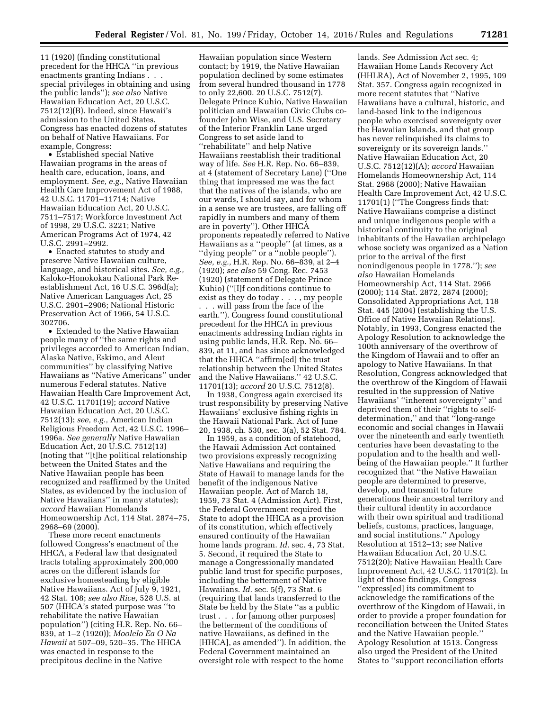11 (1920) (finding constitutional precedent for the HHCA ''in previous enactments granting Indians . . . special privileges in obtaining and using the public lands''); *see also* Native Hawaiian Education Act, 20 U.S.C. 7512(12)(B). Indeed, since Hawaii's admission to the United States, Congress has enacted dozens of statutes on behalf of Native Hawaiians. For example, Congress:

• Established special Native Hawaiian programs in the areas of health care, education, loans, and employment. *See, e.g.,* Native Hawaiian Health Care Improvement Act of 1988, 42 U.S.C. 11701–11714; Native Hawaiian Education Act, 20 U.S.C. 7511–7517; Workforce Investment Act of 1998, 29 U.S.C. 3221; Native American Programs Act of 1974, 42 U.S.C. 2991–2992.

• Enacted statutes to study and preserve Native Hawaiian culture, language, and historical sites. *See, e.g.,*  Kaloko-Honokokau National Park Reestablishment Act, 16 U.S.C. 396d(a); Native American Languages Act, 25 U.S.C. 2901–2906; National Historic Preservation Act of 1966, 54 U.S.C. 302706.

• Extended to the Native Hawaiian people many of ''the same rights and privileges accorded to American Indian, Alaska Native, Eskimo, and Aleut communities'' by classifying Native Hawaiians as ''Native Americans'' under numerous Federal statutes. Native Hawaiian Health Care Improvement Act, 42 U.S.C. 11701(19); *accord* Native Hawaiian Education Act, 20 U.S.C. 7512(13); *see, e.g.,* American Indian Religious Freedom Act, 42 U.S.C. 1996– 1996a. *See generally* Native Hawaiian Education Act, 20 U.S.C. 7512(13) (noting that ''[t]he political relationship between the United States and the Native Hawaiian people has been recognized and reaffirmed by the United States, as evidenced by the inclusion of Native Hawaiians'' in many statutes); *accord* Hawaiian Homelands Homeownership Act, 114 Stat. 2874–75, 2968–69 (2000).

These more recent enactments followed Congress's enactment of the HHCA, a Federal law that designated tracts totaling approximately 200,000 acres on the different islands for exclusive homesteading by eligible Native Hawaiians. Act of July 9, 1921, 42 Stat. 108; *see also Rice,* 528 U.S. at 507 (HHCA's stated purpose was ''to rehabilitate the native Hawaiian population'') (citing H.R. Rep. No. 66– 839, at 1–2 (1920)); *Moolelo Ea O Na Hawaii* at 507–09, 520–35. The HHCA was enacted in response to the precipitous decline in the Native

Hawaiian population since Western contact; by 1919, the Native Hawaiian population declined by some estimates from several hundred thousand in 1778 to only 22,600. 20 U.S.C. 7512(7). Delegate Prince Kuhio, Native Hawaiian politician and Hawaiian Civic Clubs cofounder John Wise, and U.S. Secretary of the Interior Franklin Lane urged Congress to set aside land to ''rehabilitate'' and help Native Hawaiians reestablish their traditional way of life. *See* H.R. Rep. No. 66–839, at 4 (statement of Secretary Lane) (''One thing that impressed me was the fact that the natives of the islands, who are our wards, I should say, and for whom in a sense we are trustees, are falling off rapidly in numbers and many of them are in poverty''). Other HHCA proponents repeatedly referred to Native Hawaiians as a ''people'' (at times, as a ''dying people'' or a ''noble people''). *See, e.g.,* H.R. Rep. No. 66–839, at 2–4 (1920); *see also* 59 Cong. Rec. 7453 (1920) (statement of Delegate Prince Kuhio) (''[I]f conditions continue to exist as they do today . . . , my people . . . will pass from the face of the earth.''). Congress found constitutional precedent for the HHCA in previous enactments addressing Indian rights in using public lands, H.R. Rep. No. 66– 839, at 11, and has since acknowledged that the HHCA ''affirm[ed] the trust relationship between the United States and the Native Hawaiians.'' 42 U.S.C. 11701(13); *accord* 20 U.S.C. 7512(8).

In 1938, Congress again exercised its trust responsibility by preserving Native Hawaiians' exclusive fishing rights in the Hawaii National Park. Act of June 20, 1938, ch. 530, sec. 3(a), 52 Stat. 784.

In 1959, as a condition of statehood, the Hawaii Admission Act contained two provisions expressly recognizing Native Hawaiians and requiring the State of Hawaii to manage lands for the benefit of the indigenous Native Hawaiian people. Act of March 18, 1959, 73 Stat. 4 (Admission Act). First, the Federal Government required the State to adopt the HHCA as a provision of its constitution, which effectively ensured continuity of the Hawaiian home lands program. *Id.* sec. 4, 73 Stat. 5. Second, it required the State to manage a Congressionally mandated public land trust for specific purposes, including the betterment of Native Hawaiians. *Id.* sec. 5(f), 73 Stat. 6 (requiring that lands transferred to the State be held by the State ''as a public trust . . . for [among other purposes] the betterment of the conditions of native Hawaiians, as defined in the [HHCA], as amended''). In addition, the Federal Government maintained an oversight role with respect to the home

lands. *See* Admission Act sec. 4; Hawaiian Home Lands Recovery Act (HHLRA), Act of November 2, 1995, 109 Stat. 357. Congress again recognized in more recent statutes that ''Native Hawaiians have a cultural, historic, and land-based link to the indigenous people who exercised sovereignty over the Hawaiian Islands, and that group has never relinquished its claims to sovereignty or its sovereign lands.'' Native Hawaiian Education Act, 20 U.S.C. 7512(12)(A); *accord* Hawaiian Homelands Homeownership Act, 114 Stat. 2968 (2000); Native Hawaiian Health Care Improvement Act, 42 U.S.C. 11701(1) (''The Congress finds that: Native Hawaiians comprise a distinct and unique indigenous people with a historical continuity to the original inhabitants of the Hawaiian archipelago whose society was organized as a Nation prior to the arrival of the first nonindigenous people in 1778.''); *see also* Hawaiian Homelands Homeownership Act, 114 Stat. 2966 (2000); 114 Stat. 2872, 2874 (2000); Consolidated Appropriations Act, 118 Stat. 445 (2004) (establishing the U.S. Office of Native Hawaiian Relations). Notably, in 1993, Congress enacted the Apology Resolution to acknowledge the 100th anniversary of the overthrow of the Kingdom of Hawaii and to offer an apology to Native Hawaiians. In that Resolution, Congress acknowledged that the overthrow of the Kingdom of Hawaii resulted in the suppression of Native Hawaiians' ''inherent sovereignty'' and deprived them of their ''rights to selfdetermination,'' and that ''long-range economic and social changes in Hawaii over the nineteenth and early twentieth centuries have been devastating to the population and to the health and wellbeing of the Hawaiian people.'' It further recognized that ''the Native Hawaiian people are determined to preserve, develop, and transmit to future generations their ancestral territory and their cultural identity in accordance with their own spiritual and traditional beliefs, customs, practices, language, and social institutions.'' Apology Resolution at 1512–13; *see* Native Hawaiian Education Act, 20 U.S.C. 7512(20); Native Hawaiian Health Care Improvement Act, 42 U.S.C. 11701(2). In light of those findings, Congress ''express[ed] its commitment to acknowledge the ramifications of the overthrow of the Kingdom of Hawaii, in order to provide a proper foundation for reconciliation between the United States and the Native Hawaiian people.'' Apology Resolution at 1513. Congress also urged the President of the United States to ''support reconciliation efforts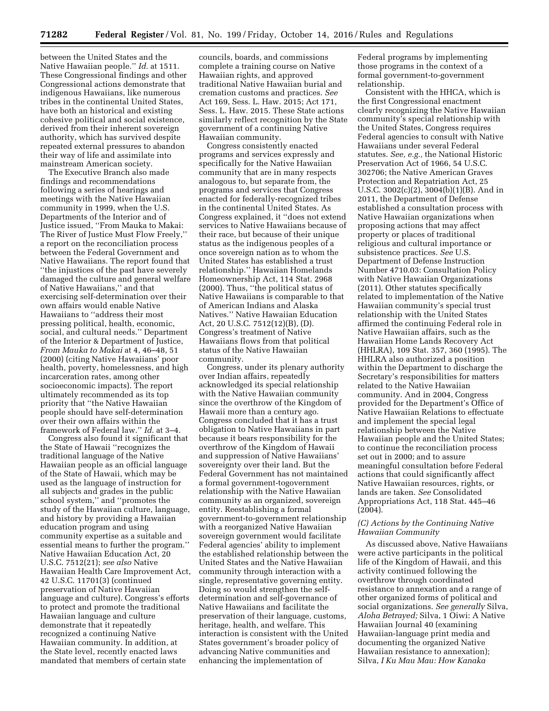between the United States and the Native Hawaiian people.'' *Id.* at 1511. These Congressional findings and other Congressional actions demonstrate that indigenous Hawaiians, like numerous tribes in the continental United States, have both an historical and existing cohesive political and social existence, derived from their inherent sovereign authority, which has survived despite repeated external pressures to abandon their way of life and assimilate into mainstream American society.

The Executive Branch also made findings and recommendations following a series of hearings and meetings with the Native Hawaiian community in 1999, when the U.S. Departments of the Interior and of Justice issued, ''From Mauka to Makai: The River of Justice Must Flow Freely,'' a report on the reconciliation process between the Federal Government and Native Hawaiians. The report found that ''the injustices of the past have severely damaged the culture and general welfare of Native Hawaiians,'' and that exercising self-determination over their own affairs would enable Native Hawaiians to ''address their most pressing political, health, economic, social, and cultural needs.'' Department of the Interior & Department of Justice, *From Mauka to Makai* at 4, 46–48, 51 (2000) (citing Native Hawaiians' poor health, poverty, homelessness, and high incarceration rates, among other socioeconomic impacts). The report ultimately recommended as its top priority that ''the Native Hawaiian people should have self-determination over their own affairs within the framework of Federal law.'' *Id.* at 3–4.

Congress also found it significant that the State of Hawaii ''recognizes the traditional language of the Native Hawaiian people as an official language of the State of Hawaii, which may be used as the language of instruction for all subjects and grades in the public school system," and "promotes the study of the Hawaiian culture, language, and history by providing a Hawaiian education program and using community expertise as a suitable and essential means to further the program.'' Native Hawaiian Education Act, 20 U.S.C. 7512(21); *see also* Native Hawaiian Health Care Improvement Act, 42 U.S.C. 11701(3) (continued preservation of Native Hawaiian language and culture). Congress's efforts to protect and promote the traditional Hawaiian language and culture demonstrate that it repeatedly recognized a continuing Native Hawaiian community. In addition, at the State level, recently enacted laws mandated that members of certain state

councils, boards, and commissions complete a training course on Native Hawaiian rights, and approved traditional Native Hawaiian burial and cremation customs and practices. *See*  Act 169, Sess. L. Haw. 2015; Act 171, Sess. L. Haw. 2015. These State actions similarly reflect recognition by the State government of a continuing Native Hawaiian community.

Congress consistently enacted programs and services expressly and specifically for the Native Hawaiian community that are in many respects analogous to, but separate from, the programs and services that Congress enacted for federally-recognized tribes in the continental United States. As Congress explained, it ''does not extend services to Native Hawaiians because of their race, but because of their unique status as the indigenous peoples of a once sovereign nation as to whom the United States has established a trust relationship.'' Hawaiian Homelands Homeownership Act, 114 Stat. 2968 (2000). Thus, ''the political status of Native Hawaiians is comparable to that of American Indians and Alaska Natives.'' Native Hawaiian Education Act, 20 U.S.C. 7512(12)(B), (D). Congress's treatment of Native Hawaiians flows from that political status of the Native Hawaiian community.

Congress, under its plenary authority over Indian affairs, repeatedly acknowledged its special relationship with the Native Hawaiian community since the overthrow of the Kingdom of Hawaii more than a century ago. Congress concluded that it has a trust obligation to Native Hawaiians in part because it bears responsibility for the overthrow of the Kingdom of Hawaii and suppression of Native Hawaiians' sovereignty over their land. But the Federal Government has not maintained a formal government-togovernment relationship with the Native Hawaiian community as an organized, sovereign entity. Reestablishing a formal government-to-government relationship with a reorganized Native Hawaiian sovereign government would facilitate Federal agencies' ability to implement the established relationship between the United States and the Native Hawaiian community through interaction with a single, representative governing entity. Doing so would strengthen the selfdetermination and self-governance of Native Hawaiians and facilitate the preservation of their language, customs, heritage, health, and welfare. This interaction is consistent with the United States government's broader policy of advancing Native communities and enhancing the implementation of

Federal programs by implementing those programs in the context of a formal government-to-government relationship.

Consistent with the HHCA, which is the first Congressional enactment clearly recognizing the Native Hawaiian community's special relationship with the United States, Congress requires Federal agencies to consult with Native Hawaiians under several Federal statutes. *See, e.g.,* the National Historic Preservation Act of 1966, 54 U.S.C. 302706; the Native American Graves Protection and Repatriation Act, 25 U.S.C. 3002(c)(2), 3004(b)(1)(B). And in 2011, the Department of Defense established a consultation process with Native Hawaiian organizations when proposing actions that may affect property or places of traditional religious and cultural importance or subsistence practices. *See* U.S. Department of Defense Instruction Number 4710.03: Consultation Policy with Native Hawaiian Organizations (2011). Other statutes specifically related to implementation of the Native Hawaiian community's special trust relationship with the United States affirmed the continuing Federal role in Native Hawaiian affairs, such as the Hawaiian Home Lands Recovery Act (HHLRA), 109 Stat. 357, 360 (1995). The HHLRA also authorized a position within the Department to discharge the Secretary's responsibilities for matters related to the Native Hawaiian community. And in 2004, Congress provided for the Department's Office of Native Hawaiian Relations to effectuate and implement the special legal relationship between the Native Hawaiian people and the United States; to continue the reconciliation process set out in 2000; and to assure meaningful consultation before Federal actions that could significantly affect Native Hawaiian resources, rights, or lands are taken. *See* Consolidated Appropriations Act, 118 Stat. 445–46 (2004).

# *(C) Actions by the Continuing Native Hawaiian Community*

As discussed above, Native Hawaiians were active participants in the political life of the Kingdom of Hawaii, and this activity continued following the overthrow through coordinated resistance to annexation and a range of other organized forms of political and social organizations. *See generally* Silva, *Aloha Betrayed;* Silva, 1 Oiwi: A Native Hawaiian Journal 40 (examining Hawaiian-language print media and documenting the organized Native Hawaiian resistance to annexation); Silva, *I Ku Mau Mau: How Kanaka*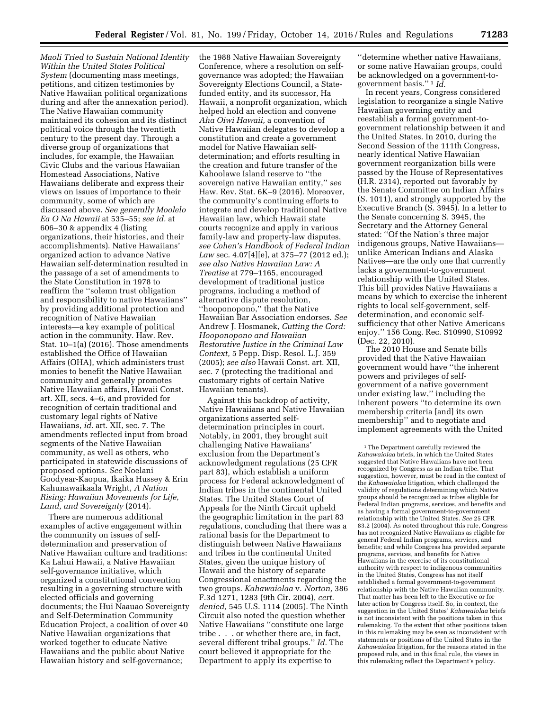*Maoli Tried to Sustain National Identity Within the United States Political System* (documenting mass meetings, petitions, and citizen testimonies by Native Hawaiian political organizations during and after the annexation period). The Native Hawaiian community maintained its cohesion and its distinct political voice through the twentieth century to the present day. Through a diverse group of organizations that includes, for example, the Hawaiian Civic Clubs and the various Hawaiian Homestead Associations, Native Hawaiians deliberate and express their views on issues of importance to their community, some of which are discussed above. *See generally Moolelo Ea O Na Hawaii* at 535–55; *see id.* at 606–30 & appendix 4 (listing organizations, their histories, and their accomplishments). Native Hawaiians' organized action to advance Native Hawaiian self-determination resulted in the passage of a set of amendments to the State Constitution in 1978 to reaffirm the ''solemn trust obligation and responsibility to native Hawaiians'' by providing additional protection and recognition of Native Hawaiian interests—a key example of political action in the community. Haw. Rev. Stat. 10–1(a) (2016). Those amendments established the Office of Hawaiian Affairs (OHA), which administers trust monies to benefit the Native Hawaiian community and generally promotes Native Hawaiian affairs, Hawaii Const. art. XII, secs. 4–6, and provided for recognition of certain traditional and customary legal rights of Native Hawaiians, *id.* art. XII, sec. 7. The amendments reflected input from broad segments of the Native Hawaiian community, as well as others, who participated in statewide discussions of proposed options. *See* Noelani Goodyear-Kaopua, Ikaika Hussey & Erin Kahunawaikaala Wright, *A Nation Rising: Hawaiian Movements for Life, Land, and Sovereignty* (2014).

There are numerous additional examples of active engagement within the community on issues of selfdetermination and preservation of Native Hawaiian culture and traditions: Ka Lahui Hawaii, a Native Hawaiian self-governance initiative, which organized a constitutional convention resulting in a governing structure with elected officials and governing documents; the Hui Naauao Sovereignty and Self-Determination Community Education Project, a coalition of over 40 Native Hawaiian organizations that worked together to educate Native Hawaiians and the public about Native Hawaiian history and self-governance;

the 1988 Native Hawaiian Sovereignty Conference, where a resolution on selfgovernance was adopted; the Hawaiian Sovereignty Elections Council, a Statefunded entity, and its successor, Ha Hawaii, a nonprofit organization, which helped hold an election and convene *Aha Oiwi Hawaii,* a convention of Native Hawaiian delegates to develop a constitution and create a government model for Native Hawaiian selfdetermination; and efforts resulting in the creation and future transfer of the Kahoolawe Island reserve to ''the sovereign native Hawaiian entity,'' *see*  Haw. Rev. Stat. 6K–9 (2016). Moreover, the community's continuing efforts to integrate and develop traditional Native Hawaiian law, which Hawaii state courts recognize and apply in various family-law and property-law disputes, *see Cohen's Handbook of Federal Indian Law* sec. 4.07[4][e], at 375–77 (2012 ed.); *see also Native Hawaiian Law: A Treatise* at 779–1165, encouraged development of traditional justice programs, including a method of alternative dispute resolution, ''hooponopono,'' that the Native Hawaiian Bar Association endorses. *See*  Andrew J. Hosmanek, *Cutting the Cord: Hooponopono and Hawaiian Restorative Justice in the Criminal Law Context,* 5 Pepp. Disp. Resol. L.J. 359 (2005); *see also* Hawaii Const. art. XII, sec. 7 (protecting the traditional and customary rights of certain Native Hawaiian tenants).

Against this backdrop of activity, Native Hawaiians and Native Hawaiian organizations asserted selfdetermination principles in court. Notably, in 2001, they brought suit challenging Native Hawaiians' exclusion from the Department's acknowledgment regulations (25 CFR part 83), which establish a uniform process for Federal acknowledgment of Indian tribes in the continental United States. The United States Court of Appeals for the Ninth Circuit upheld the geographic limitation in the part 83 regulations, concluding that there was a rational basis for the Department to distinguish between Native Hawaiians and tribes in the continental United States, given the unique history of Hawaii and the history of separate Congressional enactments regarding the two groups. *Kahawaiolaa* v. *Norton,* 386 F.3d 1271, 1283 (9th Cir. 2004), *cert. denied,* 545 U.S. 1114 (2005). The Ninth Circuit also noted the question whether Native Hawaiians ''constitute one large tribe . . . or whether there are, in fact, several different tribal groups.'' *Id.* The court believed it appropriate for the Department to apply its expertise to

''determine whether native Hawaiians, or some native Hawaiian groups, could be acknowledged on a government-togovernment basis.'' 1 *Id.* 

In recent years, Congress considered legislation to reorganize a single Native Hawaiian governing entity and reestablish a formal government-togovernment relationship between it and the United States. In 2010, during the Second Session of the 111th Congress, nearly identical Native Hawaiian government reorganization bills were passed by the House of Representatives (H.R. 2314), reported out favorably by the Senate Committee on Indian Affairs (S. 1011), and strongly supported by the Executive Branch (S. 3945). In a letter to the Senate concerning S. 3945, the Secretary and the Attorney General stated: ''Of the Nation's three major indigenous groups, Native Hawaiians unlike American Indians and Alaska Natives—are the only one that currently lacks a government-to-government relationship with the United States. This bill provides Native Hawaiians a means by which to exercise the inherent rights to local self-government, selfdetermination, and economic selfsufficiency that other Native Americans enjoy.'' 156 Cong. Rec. S10990, S10992 (Dec. 22, 2010).

The 2010 House and Senate bills provided that the Native Hawaiian government would have ''the inherent powers and privileges of selfgovernment of a native government under existing law,'' including the inherent powers ''to determine its own membership criteria [and] its own membership'' and to negotiate and implement agreements with the United

<sup>&</sup>lt;sup>1</sup>The Department carefully reviewed the *Kahawaiolaa* briefs, in which the United States suggested that Native Hawaiians have not been recognized by Congress as an Indian tribe. That suggestion, however, must be read in the context of the *Kahawaiolaa* litigation, which challenged the validity of regulations determining which Native groups should be recognized as tribes eligible for Federal Indian programs, services, and benefits and as having a formal government-to-government relationship with the United States. *See* 25 CFR 83.2 (2004). As noted throughout this rule, Congress has not recognized Native Hawaiians as eligible for general Federal Indian programs, services, and benefits; and while Congress has provided separate programs, services, and benefits for Native Hawaiians in the exercise of its constitutional authority with respect to indigenous communities in the United States, Congress has not itself established a formal government-to-government relationship with the Native Hawaiian community. That matter has been left to the Executive or for later action by Congress itself. So, in context, the suggestion in the United States' *Kahawaiolaa* briefs is not inconsistent with the positions taken in this rulemaking. To the extent that other positions taken in this rulemaking may be seen as inconsistent with statements or positions of the United States in the *Kahawaiolaa* litigation, for the reasons stated in the proposed rule, and in this final rule, the views in this rulemaking reflect the Department's policy.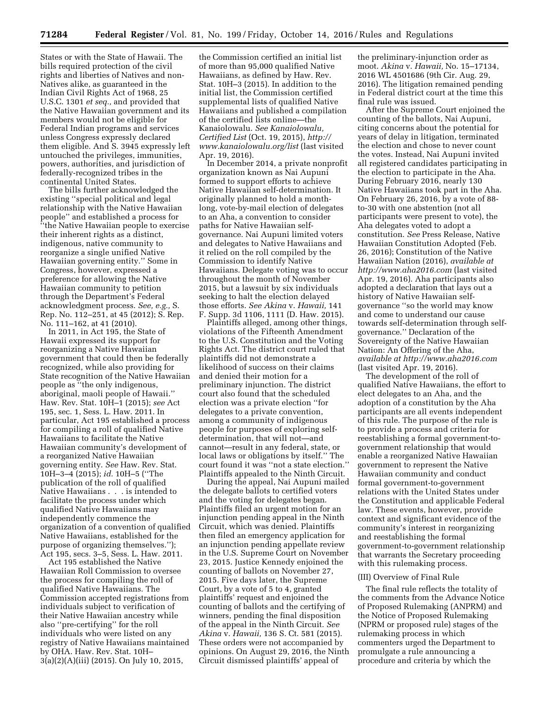States or with the State of Hawaii. The bills required protection of the civil rights and liberties of Natives and non-Natives alike, as guaranteed in the Indian Civil Rights Act of 1968, 25 U.S.C. 1301 *et seq.,* and provided that the Native Hawaiian government and its members would not be eligible for Federal Indian programs and services unless Congress expressly declared them eligible. And S. 3945 expressly left untouched the privileges, immunities, powers, authorities, and jurisdiction of federally-recognized tribes in the continental United States.

The bills further acknowledged the existing ''special political and legal relationship with the Native Hawaiian people'' and established a process for ''the Native Hawaiian people to exercise their inherent rights as a distinct, indigenous, native community to reorganize a single unified Native Hawaiian governing entity.'' Some in Congress, however, expressed a preference for allowing the Native Hawaiian community to petition through the Department's Federal acknowledgment process. *See, e.g.,* S. Rep. No. 112–251, at 45 (2012); S. Rep. No. 111–162, at 41 (2010).

In 2011, in Act 195, the State of Hawaii expressed its support for reorganizing a Native Hawaiian government that could then be federally recognized, while also providing for State recognition of the Native Hawaiian people as ''the only indigenous, aboriginal, maoli people of Hawaii.'' Haw. Rev. Stat. 10H–1 (2015); *see* Act 195, sec. 1, Sess. L. Haw. 2011. In particular, Act 195 established a process for compiling a roll of qualified Native Hawaiians to facilitate the Native Hawaiian community's development of a reorganized Native Hawaiian governing entity. *See* Haw. Rev. Stat. 10H–3–4 (2015); *id.* 10H–5 (''The publication of the roll of qualified Native Hawaiians . . . is intended to facilitate the process under which qualified Native Hawaiians may independently commence the organization of a convention of qualified Native Hawaiians, established for the purpose of organizing themselves.''); Act 195, secs. 3–5, Sess. L. Haw. 2011.

Act 195 established the Native Hawaiian Roll Commission to oversee the process for compiling the roll of qualified Native Hawaiians. The Commission accepted registrations from individuals subject to verification of their Native Hawaiian ancestry while also ''pre-certifying'' for the roll individuals who were listed on any registry of Native Hawaiians maintained by OHA. Haw. Rev. Stat. 10H– 3(a)(2)(A)(iii) (2015). On July 10, 2015,

the Commission certified an initial list of more than 95,000 qualified Native Hawaiians, as defined by Haw. Rev. Stat. 10H–3 (2015). In addition to the initial list, the Commission certified supplemental lists of qualified Native Hawaiians and published a compilation of the certified lists online—the Kanaiolowalu. *See Kanaiolowalu, Certified List* (Oct. 19, 2015), *[http://](http://www.kanaiolowalu.org/list) [www.kanaiolowalu.org/list](http://www.kanaiolowalu.org/list)* (last visited Apr. 19, 2016).

In December 2014, a private nonprofit organization known as Nai Aupuni formed to support efforts to achieve Native Hawaiian self-determination. It originally planned to hold a monthlong, vote-by-mail election of delegates to an Aha, a convention to consider paths for Native Hawaiian selfgovernance. Nai Aupuni limited voters and delegates to Native Hawaiians and it relied on the roll compiled by the Commission to identify Native Hawaiians. Delegate voting was to occur throughout the month of November 2015, but a lawsuit by six individuals seeking to halt the election delayed those efforts. *See Akina* v. *Hawaii,* 141 F. Supp. 3d 1106, 1111 (D. Haw. 2015).

Plaintiffs alleged, among other things, violations of the Fifteenth Amendment to the U.S. Constitution and the Voting Rights Act. The district court ruled that plaintiffs did not demonstrate a likelihood of success on their claims and denied their motion for a preliminary injunction. The district court also found that the scheduled election was a private election ''for delegates to a private convention, among a community of indigenous people for purposes of exploring selfdetermination, that will not—and cannot—result in any federal, state, or local laws or obligations by itself.'' The court found it was ''not a state election.'' Plaintiffs appealed to the Ninth Circuit.

During the appeal, Nai Aupuni mailed the delegate ballots to certified voters and the voting for delegates began. Plaintiffs filed an urgent motion for an injunction pending appeal in the Ninth Circuit, which was denied. Plaintiffs then filed an emergency application for an injunction pending appellate review in the U.S. Supreme Court on November 23, 2015. Justice Kennedy enjoined the counting of ballots on November 27, 2015. Five days later, the Supreme Court, by a vote of 5 to 4, granted plaintiffs' request and enjoined the counting of ballots and the certifying of winners, pending the final disposition of the appeal in the Ninth Circuit. *See Akina* v. *Hawaii,* 136 S. Ct. 581 (2015). These orders were not accompanied by opinions. On August 29, 2016, the Ninth Circuit dismissed plaintiffs' appeal of

the preliminary-injunction order as moot. *Akina* v. *Hawaii,* No. 15–17134, 2016 WL 4501686 (9th Cir. Aug. 29, 2016). The litigation remained pending in Federal district court at the time this final rule was issued.

After the Supreme Court enjoined the counting of the ballots, Nai Aupuni, citing concerns about the potential for years of delay in litigation, terminated the election and chose to never count the votes. Instead, Nai Aupuni invited all registered candidates participating in the election to participate in the Aha. During February 2016, nearly 130 Native Hawaiians took part in the Aha. On February 26, 2016, by a vote of 88 to-30 with one abstention (not all participants were present to vote), the Aha delegates voted to adopt a constitution. *See* Press Release, Native Hawaiian Constitution Adopted (Feb. 26, 2016); Constitution of the Native Hawaiian Nation (2016), *available at <http://www.aha2016.com>* (last visited Apr. 19, 2016). Aha participants also adopted a declaration that lays out a history of Native Hawaiian selfgovernance ''so the world may know and come to understand our cause towards self-determination through selfgovernance.'' Declaration of the Sovereignty of the Native Hawaiian Nation: An Offering of the Aha, *available at <http://www.aha2016.com>* (last visited Apr. 19, 2016).

The development of the roll of qualified Native Hawaiians, the effort to elect delegates to an Aha, and the adoption of a constitution by the Aha participants are all events independent of this rule. The purpose of the rule is to provide a process and criteria for reestablishing a formal government-togovernment relationship that would enable a reorganized Native Hawaiian government to represent the Native Hawaiian community and conduct formal government-to-government relations with the United States under the Constitution and applicable Federal law. These events, however, provide context and significant evidence of the community's interest in reorganizing and reestablishing the formal government-to-government relationship that warrants the Secretary proceeding with this rulemaking process.

### (III) Overview of Final Rule

The final rule reflects the totality of the comments from the Advance Notice of Proposed Rulemaking (ANPRM) and the Notice of Proposed Rulemaking (NPRM or proposed rule) stages of the rulemaking process in which commenters urged the Department to promulgate a rule announcing a procedure and criteria by which the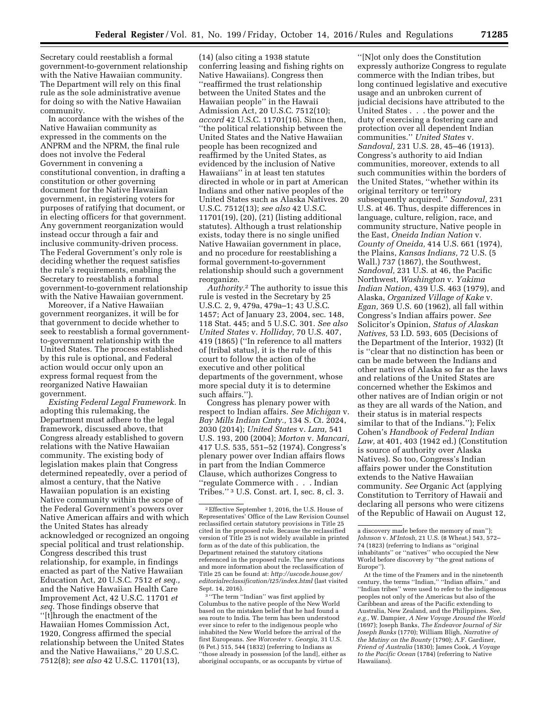Secretary could reestablish a formal government-to-government relationship with the Native Hawaiian community. The Department will rely on this final rule as the sole administrative avenue for doing so with the Native Hawaiian community.

In accordance with the wishes of the Native Hawaiian community as expressed in the comments on the ANPRM and the NPRM, the final rule does not involve the Federal Government in convening a constitutional convention, in drafting a constitution or other governing document for the Native Hawaiian government, in registering voters for purposes of ratifying that document, or in electing officers for that government. Any government reorganization would instead occur through a fair and inclusive community-driven process. The Federal Government's only role is deciding whether the request satisfies the rule's requirements, enabling the Secretary to reestablish a formal government-to-government relationship with the Native Hawaiian government.

Moreover, if a Native Hawaiian government reorganizes, it will be for that government to decide whether to seek to reestablish a formal governmentto-government relationship with the United States. The process established by this rule is optional, and Federal action would occur only upon an express formal request from the reorganized Native Hawaiian government.

*Existing Federal Legal Framework.* In adopting this rulemaking, the Department must adhere to the legal framework, discussed above, that Congress already established to govern relations with the Native Hawaiian community. The existing body of legislation makes plain that Congress determined repeatedly, over a period of almost a century, that the Native Hawaiian population is an existing Native community within the scope of the Federal Government's powers over Native American affairs and with which the United States has already acknowledged or recognized an ongoing special political and trust relationship. Congress described this trust relationship, for example, in findings enacted as part of the Native Hawaiian Education Act, 20 U.S.C. 7512 *et seq.,*  and the Native Hawaiian Health Care Improvement Act, 42 U.S.C. 11701 *et seq.* Those findings observe that ''[t]hrough the enactment of the Hawaiian Homes Commission Act, 1920, Congress affirmed the special relationship between the United States and the Native Hawaiians,'' 20 U.S.C. 7512(8); *see also* 42 U.S.C. 11701(13),

(14) (also citing a 1938 statute conferring leasing and fishing rights on Native Hawaiians). Congress then ''reaffirmed the trust relationship between the United States and the Hawaiian people'' in the Hawaii Admission Act, 20 U.S.C. 7512(10); *accord* 42 U.S.C. 11701(16). Since then, ''the political relationship between the United States and the Native Hawaiian people has been recognized and reaffirmed by the United States, as evidenced by the inclusion of Native Hawaiians'' in at least ten statutes directed in whole or in part at American Indians and other native peoples of the United States such as Alaska Natives. 20 U.S.C. 7512(13); *see also* 42 U.S.C. 11701(19), (20), (21) (listing additional statutes). Although a trust relationship exists, today there is no single unified Native Hawaiian government in place, and no procedure for reestablishing a formal government-to-government relationship should such a government reorganize.

*Authority.*2 The authority to issue this rule is vested in the Secretary by 25 U.S.C. 2, 9, 479a, 479a–1; 43 U.S.C. 1457; Act of January 23, 2004, sec. 148, 118 Stat. 445; and 5 U.S.C. 301. *See also United States* v. *Holliday,* 70 U.S. 407, 419 (1865) (''In reference to all matters of [tribal status], it is the rule of this court to follow the action of the executive and other political departments of the government, whose more special duty it is to determine such affairs.'').

Congress has plenary power with respect to Indian affairs. *See Michigan* v. *Bay Mills Indian Cmty.,* 134 S. Ct. 2024, 2030 (2014); *United States* v. *Lara,* 541 U.S. 193, 200 (2004); *Morton* v. *Mancari,*  417 U.S. 535, 551–52 (1974). Congress's plenary power over Indian affairs flows in part from the Indian Commerce Clause, which authorizes Congress to ''regulate Commerce with . . . Indian Tribes.'' 3 U.S. Const. art. I, sec. 8, cl. 3.

<sup>3</sup> "The term "Indian" was first applied by Columbus to the native people of the New World based on the mistaken belief that he had found a sea route to India. The term has been understood ever since to refer to the indigenous people who inhabited the New World before the arrival of the first Europeans. *See Worcester* v. *Georgia,* 31 U.S. (6 Pet.) 515, 544 (1832) (referring to Indians as ''those already in possession [of the land], either as aboriginal occupants, or as occupants by virtue of

''[N]ot only does the Constitution expressly authorize Congress to regulate commerce with the Indian tribes, but long continued legislative and executive usage and an unbroken current of judicial decisions have attributed to the United States . . . the power and the duty of exercising a fostering care and protection over all dependent Indian communities.'' *United States* v. *Sandoval,* 231 U.S. 28, 45–46 (1913). Congress's authority to aid Indian communities, moreover, extends to all such communities within the borders of the United States, ''whether within its original territory or territory subsequently acquired.'' *Sandoval,* 231 U.S. at 46. Thus, despite differences in language, culture, religion, race, and community structure, Native people in the East, *Oneida Indian Nation* v. *County of Oneida,* 414 U.S. 661 (1974), the Plains, *Kansas Indians,* 72 U.S. (5 Wall.) 737 (1867), the Southwest, *Sandoval,* 231 U.S. at 46, the Pacific Northwest, *Washington* v. *Yakima Indian Nation,* 439 U.S. 463 (1979), and Alaska, *Organized Village of Kake* v. *Egan,* 369 U.S. 60 (1962), all fall within Congress's Indian affairs power. *See*  Solicitor's Opinion, *Status of Alaskan Natives,* 53 I.D. 593, 605 (Decisions of the Department of the Interior, 1932) (It is ''clear that no distinction has been or can be made between the Indians and other natives of Alaska so far as the laws and relations of the United States are concerned whether the Eskimos and other natives are of Indian origin or not as they are all wards of the Nation, and their status is in material respects similar to that of the Indians.''); Felix Cohen's *Handbook of Federal Indian Law,* at 401, 403 (1942 ed.) (Constitution is source of authority over Alaska Natives). So too, Congress's Indian affairs power under the Constitution extends to the Native Hawaiian community. *See* Organic Act (applying Constitution to Territory of Hawaii and declaring all persons who were citizens of the Republic of Hawaii on August 12,

<sup>2</sup>Effective September 1, 2016, the U.S. House of Representatives' Office of the Law Revision Counsel reclassified certain statutory provisions in Title 25 cited in the proposed rule. Because the reclassified version of Title 25 is not widely available in printed form as of the date of this publication, the Department retained the statutory citations referenced in the proposed rule. The new citations and more information about the reclassification of Title 25 can be found at: *[http://uscode.house.gov/](http://uscode.house.gov/editorialreclassification/t25/index.html)  [editorialreclassification/t25/index.html](http://uscode.house.gov/editorialreclassification/t25/index.html)* (last visited Sept. 14, 2016).

a discovery made before the memory of man''); *Johnson* v. *M'Intosh,* 21 U.S. (8 Wheat.) 543, 572– 74 (1823) (referring to Indians as ''original inhabitants'' or ''natives'' who occupied the New World before discovery by ''the great nations of Europe'').

At the time of the Framers and in the nineteenth century, the terms ''Indian,'' ''Indian affairs,'' and ''Indian tribes'' were used to refer to the indigenous peoples not only of the Americas but also of the Caribbean and areas of the Pacific extending to Australia, New Zealand, and the Philippines. *See, e.g.,* W. Dampier, *A New Voyage Around the World*  (1697); Joseph Banks, *The Endeavor Journal of Sir Joseph Banks* (1770); William Bligh, *Narrative of the Mutiny on the Bounty* (1790); A.F. Gardiner, *Friend of Australia* (1830); James Cook, *A Voyage to the Pacific Ocean* (1784) (referring to Native Hawaiians).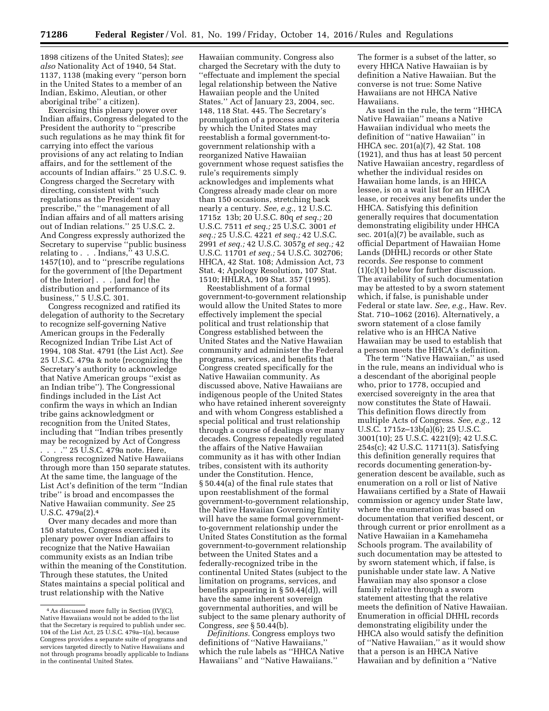1898 citizens of the United States); *see also* Nationality Act of 1940, 54 Stat. 1137, 1138 (making every ''person born in the United States to a member of an Indian, Eskimo, Aleutian, or other aboriginal tribe'' a citizen).

Exercising this plenary power over Indian affairs, Congress delegated to the President the authority to ''prescribe such regulations as he may think fit for carrying into effect the various provisions of any act relating to Indian affairs, and for the settlement of the accounts of Indian affairs.'' 25 U.S.C. 9. Congress charged the Secretary with directing, consistent with ''such regulations as the President may prescribe,'' the ''management of all Indian affairs and of all matters arising out of Indian relations.'' 25 U.S.C. 2. And Congress expressly authorized the Secretary to supervise ''public business relating to . . . Indians,'' 43 U.S.C. 1457(10), and to ''prescribe regulations for the government of [the Department of the Interior] . . . [and for] the distribution and performance of its business,'' 5 U.S.C. 301.

Congress recognized and ratified its delegation of authority to the Secretary to recognize self-governing Native American groups in the Federally Recognized Indian Tribe List Act of 1994, 108 Stat. 4791 (the List Act). *See*  25 U.S.C. 479a & note (recognizing the Secretary's authority to acknowledge that Native American groups ''exist as an Indian tribe''). The Congressional findings included in the List Act confirm the ways in which an Indian tribe gains acknowledgment or recognition from the United States, including that ''Indian tribes presently may be recognized by Act of Congress . . . .'' 25 U.S.C. 479a note. Here, Congress recognized Native Hawaiians through more than 150 separate statutes. At the same time, the language of the List Act's definition of the term ''Indian tribe'' is broad and encompasses the Native Hawaiian community. *See* 25 U.S.C. 479a(2).4

Over many decades and more than 150 statutes, Congress exercised its plenary power over Indian affairs to recognize that the Native Hawaiian community exists as an Indian tribe within the meaning of the Constitution. Through these statutes, the United States maintains a special political and trust relationship with the Native

Hawaiian community. Congress also charged the Secretary with the duty to ''effectuate and implement the special legal relationship between the Native Hawaiian people and the United States.'' Act of January 23, 2004, sec. 148, 118 Stat. 445. The Secretary's promulgation of a process and criteria by which the United States may reestablish a formal government-togovernment relationship with a reorganized Native Hawaiian government whose request satisfies the rule's requirements simply acknowledges and implements what Congress already made clear on more than 150 occasions, stretching back nearly a century. *See, e.g.,* 12 U.S.C. 1715z 13b; 20 U.S.C. 80q *et seq.;* 20 U.S.C. 7511 *et seq.;* 25 U.S.C. 3001 *et seq.;* 25 U.S.C. 4221 *et seq.;* 42 U.S.C. 2991 *et seq.;* 42 U.S.C. 3057g *et seq.;* 42 U.S.C. 11701 *et seq.;* 54 U.S.C. 302706; HHCA, 42 Stat. 108; Admission Act, 73 Stat. 4; Apology Resolution, 107 Stat. 1510; HHLRA, 109 Stat. 357 (1995).

Reestablishment of a formal government-to-government relationship would allow the United States to more effectively implement the special political and trust relationship that Congress established between the United States and the Native Hawaiian community and administer the Federal programs, services, and benefits that Congress created specifically for the Native Hawaiian community. As discussed above, Native Hawaiians are indigenous people of the United States who have retained inherent sovereignty and with whom Congress established a special political and trust relationship through a course of dealings over many decades. Congress repeatedly regulated the affairs of the Native Hawaiian community as it has with other Indian tribes, consistent with its authority under the Constitution. Hence, § 50.44(a) of the final rule states that upon reestablishment of the formal government-to-government relationship, the Native Hawaiian Governing Entity will have the same formal governmentto-government relationship under the United States Constitution as the formal government-to-government relationship between the United States and a federally-recognized tribe in the continental United States (subject to the limitation on programs, services, and benefits appearing in § 50.44(d)), will have the same inherent sovereign governmental authorities, and will be subject to the same plenary authority of Congress, *see* § 50.44(b).

*Definitions.* Congress employs two definitions of ''Native Hawaiians,'' which the rule labels as ''HHCA Native Hawaiians'' and ''Native Hawaiians.''

The former is a subset of the latter, so every HHCA Native Hawaiian is by definition a Native Hawaiian. But the converse is not true: Some Native Hawaiians are not HHCA Native Hawaiians.

As used in the rule, the term ''HHCA Native Hawaiian'' means a Native Hawaiian individual who meets the definition of ''native Hawaiian'' in HHCA sec. 201(a)(7), 42 Stat. 108 (1921), and thus has at least 50 percent Native Hawaiian ancestry, regardless of whether the individual resides on Hawaiian home lands, is an HHCA lessee, is on a wait list for an HHCA lease, or receives any benefits under the HHCA. Satisfying this definition generally requires that documentation demonstrating eligibility under HHCA sec. 201(a)(7) be available, such as official Department of Hawaiian Home Lands (DHHL) records or other State records. *See* response to comment (1)(c)(1) below for further discussion. The availability of such documentation may be attested to by a sworn statement which, if false, is punishable under Federal or state law. *See, e.g.,* Haw. Rev. Stat. 710–1062 (2016). Alternatively, a sworn statement of a close family relative who is an HHCA Native Hawaiian may be used to establish that a person meets the HHCA's definition.

The term ''Native Hawaiian,'' as used in the rule, means an individual who is a descendant of the aboriginal people who, prior to 1778, occupied and exercised sovereignty in the area that now constitutes the State of Hawaii. This definition flows directly from multiple Acts of Congress. *See, e.g.,* 12 U.S.C. 1715z–13b(a)(6); 25 U.S.C. 3001(10); 25 U.S.C. 4221(9); 42 U.S.C. 254s(c); 42 U.S.C. 11711(3). Satisfying this definition generally requires that records documenting generation-bygeneration descent be available, such as enumeration on a roll or list of Native Hawaiians certified by a State of Hawaii commission or agency under State law, where the enumeration was based on documentation that verified descent, or through current or prior enrollment as a Native Hawaiian in a Kamehameha Schools program. The availability of such documentation may be attested to by sworn statement which, if false, is punishable under state law. A Native Hawaiian may also sponsor a close family relative through a sworn statement attesting that the relative meets the definition of Native Hawaiian. Enumeration in official DHHL records demonstrating eligibility under the HHCA also would satisfy the definition of ''Native Hawaiian,'' as it would show that a person is an HHCA Native Hawaiian and by definition a ''Native

<sup>4</sup>As discussed more fully in Section (IV)(C), Native Hawaiians would not be added to the list that the Secretary is required to publish under sec. 104 of the List Act, 25 U.S.C. 479a–1(a), because Congress provides a separate suite of programs and services targeted directly to Native Hawaiians and not through programs broadly applicable to Indians in the continental United States.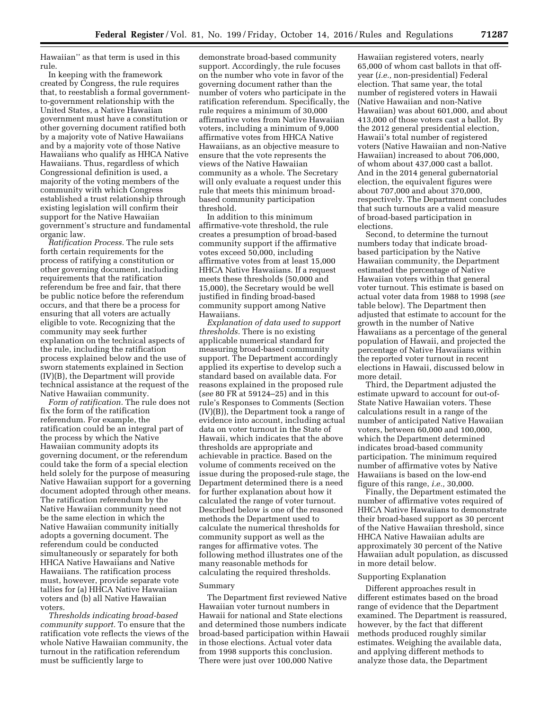Hawaiian'' as that term is used in this rule.

In keeping with the framework created by Congress, the rule requires that, to reestablish a formal governmentto-government relationship with the United States, a Native Hawaiian government must have a constitution or other governing document ratified both by a majority vote of Native Hawaiians and by a majority vote of those Native Hawaiians who qualify as HHCA Native Hawaiians. Thus, regardless of which Congressional definition is used, a majority of the voting members of the community with which Congress established a trust relationship through existing legislation will confirm their support for the Native Hawaiian government's structure and fundamental organic law.

*Ratification Process.* The rule sets forth certain requirements for the process of ratifying a constitution or other governing document, including requirements that the ratification referendum be free and fair, that there be public notice before the referendum occurs, and that there be a process for ensuring that all voters are actually eligible to vote. Recognizing that the community may seek further explanation on the technical aspects of the rule, including the ratification process explained below and the use of sworn statements explained in Section (IV)(B), the Department will provide technical assistance at the request of the Native Hawaiian community.

*Form of ratification.* The rule does not fix the form of the ratification referendum. For example, the ratification could be an integral part of the process by which the Native Hawaiian community adopts its governing document, or the referendum could take the form of a special election held solely for the purpose of measuring Native Hawaiian support for a governing document adopted through other means. The ratification referendum by the Native Hawaiian community need not be the same election in which the Native Hawaiian community initially adopts a governing document. The referendum could be conducted simultaneously or separately for both HHCA Native Hawaiians and Native Hawaiians. The ratification process must, however, provide separate vote tallies for (a) HHCA Native Hawaiian voters and (b) all Native Hawaiian voters.

*Thresholds indicating broad-based community support.* To ensure that the ratification vote reflects the views of the whole Native Hawaiian community, the turnout in the ratification referendum must be sufficiently large to

demonstrate broad-based community support. Accordingly, the rule focuses on the number who vote in favor of the governing document rather than the number of voters who participate in the ratification referendum. Specifically, the rule requires a minimum of 30,000 affirmative votes from Native Hawaiian voters, including a minimum of 9,000 affirmative votes from HHCA Native Hawaiians, as an objective measure to ensure that the vote represents the views of the Native Hawaiian community as a whole. The Secretary will only evaluate a request under this rule that meets this minimum broadbased community participation threshold.

In addition to this minimum affirmative-vote threshold, the rule creates a presumption of broad-based community support if the affirmative votes exceed 50,000, including affirmative votes from at least 15,000 HHCA Native Hawaiians. If a request meets these thresholds (50,000 and 15,000), the Secretary would be well justified in finding broad-based community support among Native Hawaiians.

*Explanation of data used to support thresholds.* There is no existing applicable numerical standard for measuring broad-based community support. The Department accordingly applied its expertise to develop such a standard based on available data. For reasons explained in the proposed rule (*see* 80 FR at 59124–25) and in this rule's Responses to Comments (Section (IV)(B)), the Department took a range of evidence into account, including actual data on voter turnout in the State of Hawaii, which indicates that the above thresholds are appropriate and achievable in practice. Based on the volume of comments received on the issue during the proposed-rule stage, the Department determined there is a need for further explanation about how it calculated the range of voter turnout. Described below is one of the reasoned methods the Department used to calculate the numerical thresholds for community support as well as the ranges for affirmative votes. The following method illustrates one of the many reasonable methods for calculating the required thresholds.

### Summary

The Department first reviewed Native Hawaiian voter turnout numbers in Hawaii for national and State elections and determined those numbers indicate broad-based participation within Hawaii in those elections. Actual voter data from 1998 supports this conclusion. There were just over 100,000 Native

Hawaiian registered voters, nearly 65,000 of whom cast ballots in that offyear (*i.e.,* non-presidential) Federal election. That same year, the total number of registered voters in Hawaii (Native Hawaiian and non-Native Hawaiian) was about 601,000, and about 413,000 of those voters cast a ballot. By the 2012 general presidential election, Hawaii's total number of registered voters (Native Hawaiian and non-Native Hawaiian) increased to about 706,000, of whom about 437,000 cast a ballot. And in the 2014 general gubernatorial election, the equivalent figures were about 707,000 and about 370,000, respectively. The Department concludes that such turnouts are a valid measure of broad-based participation in elections.

Second, to determine the turnout numbers today that indicate broadbased participation by the Native Hawaiian community, the Department estimated the percentage of Native Hawaiian voters within that general voter turnout. This estimate is based on actual voter data from 1988 to 1998 (*see*  table below). The Department then adjusted that estimate to account for the growth in the number of Native Hawaiians as a percentage of the general population of Hawaii, and projected the percentage of Native Hawaiians within the reported voter turnout in recent elections in Hawaii, discussed below in more detail.

Third, the Department adjusted the estimate upward to account for out-of-State Native Hawaiian voters. These calculations result in a range of the number of anticipated Native Hawaiian voters, between 60,000 and 100,000, which the Department determined indicates broad-based community participation. The minimum required number of affirmative votes by Native Hawaiians is based on the low-end figure of this range, *i.e.,* 30,000.

Finally, the Department estimated the number of affirmative votes required of HHCA Native Hawaiians to demonstrate their broad-based support as 30 percent of the Native Hawaiian threshold, since HHCA Native Hawaiian adults are approximately 30 percent of the Native Hawaiian adult population, as discussed in more detail below.

# Supporting Explanation

Different approaches result in different estimates based on the broad range of evidence that the Department examined. The Department is reassured, however, by the fact that different methods produced roughly similar estimates. Weighing the available data, and applying different methods to analyze those data, the Department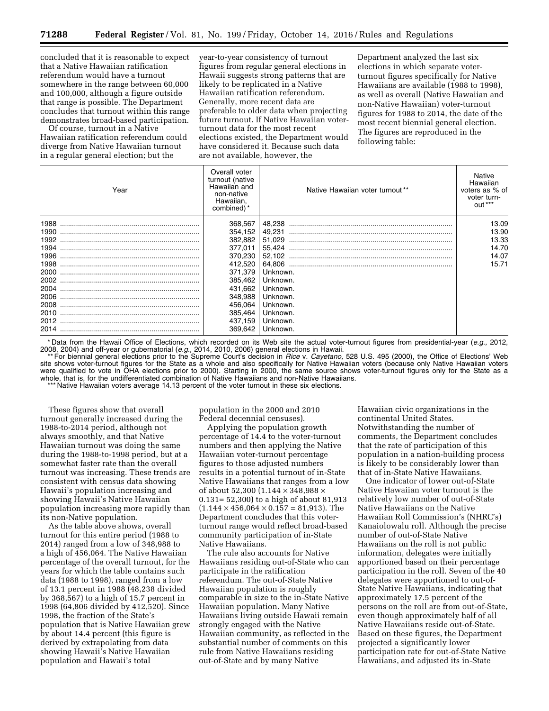concluded that it is reasonable to expect that a Native Hawaiian ratification referendum would have a turnout somewhere in the range between 60,000 and 100,000, although a figure outside that range is possible. The Department concludes that turnout within this range demonstrates broad-based participation.

Of course, turnout in a Native Hawaiian ratification referendum could diverge from Native Hawaiian turnout in a regular general election; but the

year-to-year consistency of turnout figures from regular general elections in Hawaii suggests strong patterns that are likely to be replicated in a Native Hawaiian ratification referendum. Generally, more recent data are preferable to older data when projecting future turnout. If Native Hawaiian voterturnout data for the most recent elections existed, the Department would have considered it. Because such data are not available, however, the

Department analyzed the last six elections in which separate voterturnout figures specifically for Native Hawaiians are available (1988 to 1998), as well as overall (Native Hawaiian and non-Native Hawaiian) voter-turnout figures for 1988 to 2014, the date of the most recent biennial general election. The figures are reproduced in the following table:

| Year | Overall voter<br>turnout (native<br>Hawaiian and<br>non-native<br>Hawaiian.<br>combined) * | Native Hawaiian voter turnout** | Native<br>Hawaiian<br>voters as % of<br>voter turn-<br>$Q$ ut $**$ |
|------|--------------------------------------------------------------------------------------------|---------------------------------|--------------------------------------------------------------------|
| 1988 | 368,567                                                                                    | 48.238                          | 13.09                                                              |
| 1990 | 354,152                                                                                    | 49.231                          | 13.90                                                              |
| 1992 | 382,882                                                                                    | 51.029                          | 13.33                                                              |
| 1994 | 377.011                                                                                    | 55.424                          | 14.70                                                              |
| 1996 | 370,230                                                                                    | 52.102                          | 14.07                                                              |
| 1998 | 412,520                                                                                    |                                 | 15.71                                                              |
| 2000 | 371.379                                                                                    | Unknown.                        |                                                                    |
| 2002 | 385,462                                                                                    | Unknown.                        |                                                                    |
| 2004 | 431,662                                                                                    | Unknown.                        |                                                                    |
| 2006 | 348,988                                                                                    | Unknown.                        |                                                                    |
| 2008 | 456.064                                                                                    | Unknown.                        |                                                                    |
| 2010 | 385,464                                                                                    | Unknown.                        |                                                                    |
| 2012 | 437.159                                                                                    | Unknown.                        |                                                                    |
| 2014 | 369,642                                                                                    | Unknown.                        |                                                                    |

\* Data from the Hawaii Office of Elections, which recorded on its Web site the actual voter-turnout figures from presidential-year (*e.g.,* 2012, 2008, 2004) and off-year or gubernatorial (*e.g.,* 2014, 2010, 2006) general elections in Hawaii.

\*\* For biennial general elections prior to the Supreme Court's decision in *Rice* v. *Cayetano,* 528 U.S. 495 (2000), the Office of Elections' Web site shows voter-turnout figures for the State as a whole and also specifically for Native Hawaiian voters (because only Native Hawaiian voters were qualified to vote in OHA elections prior to 2000). Starting in 2000, the same source shows voter-turnout figures only for the State as a whole, that is, for the undifferentiated combination of Native Hawaiians and non-Native Hawaiians.

\*\*\* Native Hawaiian voters average 14.13 percent of the voter turnout in these six elections.

These figures show that overall turnout generally increased during the 1988-to-2014 period, although not always smoothly, and that Native Hawaiian turnout was doing the same during the 1988-to-1998 period, but at a somewhat faster rate than the overall turnout was increasing. These trends are consistent with census data showing Hawaii's population increasing and showing Hawaii's Native Hawaiian population increasing more rapidly than its non-Native population.

As the table above shows, overall turnout for this entire period (1988 to 2014) ranged from a low of 348,988 to a high of 456,064. The Native Hawaiian percentage of the overall turnout, for the years for which the table contains such data (1988 to 1998), ranged from a low of 13.1 percent in 1988 (48,238 divided by 368,567) to a high of 15.7 percent in 1998 (64,806 divided by 412,520). Since 1998, the fraction of the State's population that is Native Hawaiian grew by about 14.4 percent (this figure is derived by extrapolating from data showing Hawaii's Native Hawaiian population and Hawaii's total

population in the 2000 and 2010 Federal decennial censuses).

Applying the population growth percentage of 14.4 to the voter-turnout numbers and then applying the Native Hawaiian voter-turnout percentage figures to those adjusted numbers results in a potential turnout of in-State Native Hawaiians that ranges from a low of about 52,300 (1.144 × 348,988 × 0.131= 52,300) to a high of about 81,913  $(1.144 \times 456,064 \times 0.157 = 81,913)$ . The Department concludes that this voterturnout range would reflect broad-based community participation of in-State Native Hawaiians.

The rule also accounts for Native Hawaiians residing out-of-State who can participate in the ratification referendum. The out-of-State Native Hawaiian population is roughly comparable in size to the in-State Native Hawaiian population. Many Native Hawaiians living outside Hawaii remain strongly engaged with the Native Hawaiian community, as reflected in the substantial number of comments on this rule from Native Hawaiians residing out-of-State and by many Native

Hawaiian civic organizations in the continental United States. Notwithstanding the number of comments, the Department concludes that the rate of participation of this population in a nation-building process is likely to be considerably lower than that of in-State Native Hawaiians.

One indicator of lower out-of-State Native Hawaiian voter turnout is the relatively low number of out-of-State Native Hawaiians on the Native Hawaiian Roll Commission's (NHRC's) Kanaiolowalu roll. Although the precise number of out-of-State Native Hawaiians on the roll is not public information, delegates were initially apportioned based on their percentage participation in the roll. Seven of the 40 delegates were apportioned to out-of-State Native Hawaiians, indicating that approximately 17.5 percent of the persons on the roll are from out-of-State, even though approximately half of all Native Hawaiians reside out-of-State. Based on these figures, the Department projected a significantly lower participation rate for out-of-State Native Hawaiians, and adjusted its in-State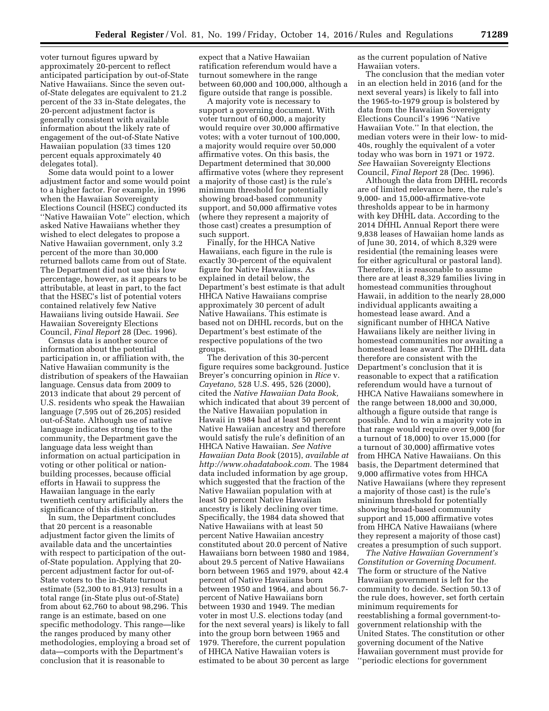voter turnout figures upward by approximately 20-percent to reflect anticipated participation by out-of-State Native Hawaiians. Since the seven outof-State delegates are equivalent to 21.2 percent of the 33 in-State delegates, the 20-percent adjustment factor is generally consistent with available information about the likely rate of engagement of the out-of-State Native Hawaiian population (33 times 120 percent equals approximately 40 delegates total).

Some data would point to a lower adjustment factor and some would point to a higher factor. For example, in 1996 when the Hawaiian Sovereignty Elections Council (HSEC) conducted its ''Native Hawaiian Vote'' election, which asked Native Hawaiians whether they wished to elect delegates to propose a Native Hawaiian government, only 3.2 percent of the more than 30,000 returned ballots came from out of State. The Department did not use this low percentage, however, as it appears to be attributable, at least in part, to the fact that the HSEC's list of potential voters contained relatively few Native Hawaiians living outside Hawaii. *See*  Hawaiian Sovereignty Elections Council, *Final Report* 28 (Dec. 1996).

Census data is another source of information about the potential participation in, or affiliation with, the Native Hawaiian community is the distribution of speakers of the Hawaiian language. Census data from 2009 to 2013 indicate that about 29 percent of U.S. residents who speak the Hawaiian language (7,595 out of 26,205) resided out-of-State. Although use of native language indicates strong ties to the community, the Department gave the language data less weight than information on actual participation in voting or other political or nationbuilding processes, because official efforts in Hawaii to suppress the Hawaiian language in the early twentieth century artificially alters the significance of this distribution.

In sum, the Department concludes that 20 percent is a reasonable adjustment factor given the limits of available data and the uncertainties with respect to participation of the outof-State population. Applying that 20 percent adjustment factor for out-of-State voters to the in-State turnout estimate (52,300 to 81,913) results in a total range (in-State plus out-of-State) from about 62,760 to about 98,296. This range is an estimate, based on one specific methodology. This range—like the ranges produced by many other methodologies, employing a broad set of data—comports with the Department's conclusion that it is reasonable to

expect that a Native Hawaiian ratification referendum would have a turnout somewhere in the range between 60,000 and 100,000, although a figure outside that range is possible.

A majority vote is necessary to support a governing document. With voter turnout of 60,000, a majority would require over 30,000 affirmative votes; with a voter turnout of 100,000, a majority would require over 50,000 affirmative votes. On this basis, the Department determined that 30,000 affirmative votes (where they represent a majority of those cast) is the rule's minimum threshold for potentially showing broad-based community support, and 50,000 affirmative votes (where they represent a majority of those cast) creates a presumption of such support.

Finally, for the HHCA Native Hawaiians, each figure in the rule is exactly 30-percent of the equivalent figure for Native Hawaiians. As explained in detail below, the Department's best estimate is that adult HHCA Native Hawaiians comprise approximately 30 percent of adult Native Hawaiians. This estimate is based not on DHHL records, but on the Department's best estimate of the respective populations of the two groups.

The derivation of this 30-percent figure requires some background. Justice Breyer's concurring opinion in *Rice* v. *Cayetano,* 528 U.S. 495, 526 (2000), cited the *Native Hawaiian Data Book,*  which indicated that about 39 percent of the Native Hawaiian population in Hawaii in 1984 had at least 50 percent Native Hawaiian ancestry and therefore would satisfy the rule's definition of an HHCA Native Hawaiian. *See Native Hawaiian Data Book* (2015), *available at [http://www.ohadatabook.com.](http://www.ohadatabook.com)* The 1984 data included information by age group, which suggested that the fraction of the Native Hawaiian population with at least 50 percent Native Hawaiian ancestry is likely declining over time. Specifically, the 1984 data showed that Native Hawaiians with at least 50 percent Native Hawaiian ancestry constituted about 20.0 percent of Native Hawaiians born between 1980 and 1984, about 29.5 percent of Native Hawaiians born between 1965 and 1979, about 42.4 percent of Native Hawaiians born between 1950 and 1964, and about 56.7 percent of Native Hawaiians born between 1930 and 1949. The median voter in most U.S. elections today (and for the next several years) is likely to fall into the group born between 1965 and 1979. Therefore, the current population of HHCA Native Hawaiian voters is estimated to be about 30 percent as large

as the current population of Native Hawaiian voters.

The conclusion that the median voter in an election held in 2016 (and for the next several years) is likely to fall into the 1965-to-1979 group is bolstered by data from the Hawaiian Sovereignty Elections Council's 1996 ''Native Hawaiian Vote.'' In that election, the median voters were in their low- to mid-40s, roughly the equivalent of a voter today who was born in 1971 or 1972. *See* Hawaiian Sovereignty Elections Council, *Final Report* 28 (Dec. 1996).

Although the data from DHHL records are of limited relevance here, the rule's 9,000- and 15,000-affirmative-vote thresholds appear to be in harmony with key DHHL data. According to the 2014 DHHL Annual Report there were 9,838 leases of Hawaiian home lands as of June 30, 2014, of which 8,329 were residential (the remaining leases were for either agricultural or pastoral land). Therefore, it is reasonable to assume there are at least 8,329 families living in homestead communities throughout Hawaii, in addition to the nearly 28,000 individual applicants awaiting a homestead lease award. And a significant number of HHCA Native Hawaiians likely are neither living in homestead communities nor awaiting a homestead lease award. The DHHL data therefore are consistent with the Department's conclusion that it is reasonable to expect that a ratification referendum would have a turnout of HHCA Native Hawaiians somewhere in the range between 18,000 and 30,000, although a figure outside that range is possible. And to win a majority vote in that range would require over 9,000 (for a turnout of 18,000) to over 15,000 (for a turnout of 30,000) affirmative votes from HHCA Native Hawaiians. On this basis, the Department determined that 9,000 affirmative votes from HHCA Native Hawaiians (where they represent a majority of those cast) is the rule's minimum threshold for potentially showing broad-based community support and 15,000 affirmative votes from HHCA Native Hawaiians (where they represent a majority of those cast) creates a presumption of such support.

*The Native Hawaiian Government's Constitution or Governing Document.*  The form or structure of the Native Hawaiian government is left for the community to decide. Section 50.13 of the rule does, however, set forth certain minimum requirements for reestablishing a formal government-togovernment relationship with the United States. The constitution or other governing document of the Native Hawaiian government must provide for ''periodic elections for government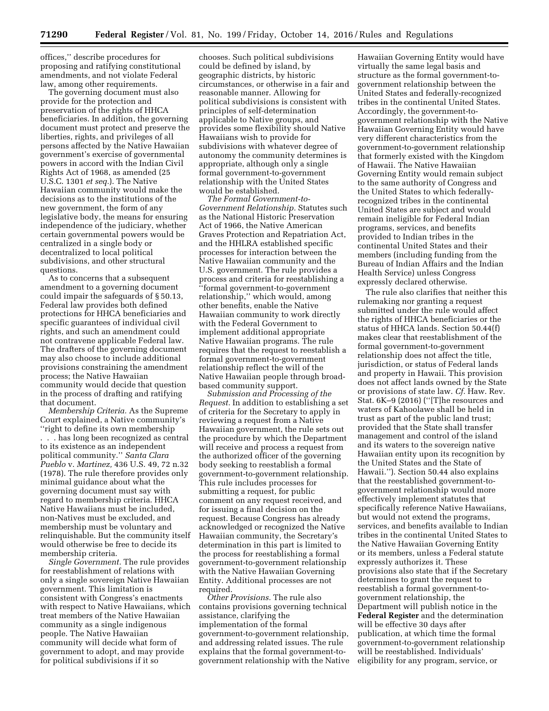offices,'' describe procedures for proposing and ratifying constitutional amendments, and not violate Federal law, among other requirements.

The governing document must also provide for the protection and preservation of the rights of HHCA beneficiaries. In addition, the governing document must protect and preserve the liberties, rights, and privileges of all persons affected by the Native Hawaiian government's exercise of governmental powers in accord with the Indian Civil Rights Act of 1968, as amended (25 U.S.C. 1301 *et seq.*). The Native Hawaiian community would make the decisions as to the institutions of the new government, the form of any legislative body, the means for ensuring independence of the judiciary, whether certain governmental powers would be centralized in a single body or decentralized to local political subdivisions, and other structural questions.

As to concerns that a subsequent amendment to a governing document could impair the safeguards of § 50.13, Federal law provides both defined protections for HHCA beneficiaries and specific guarantees of individual civil rights, and such an amendment could not contravene applicable Federal law. The drafters of the governing document may also choose to include additional provisions constraining the amendment process; the Native Hawaiian community would decide that question in the process of drafting and ratifying that document.

*Membership Criteria.* As the Supreme Court explained, a Native community's ''right to define its own membership

. . . has long been recognized as central to its existence as an independent political community.'' *Santa Clara Pueblo* v. *Martinez,* 436 U.S. 49, 72 n.32 (1978). The rule therefore provides only minimal guidance about what the governing document must say with regard to membership criteria. HHCA Native Hawaiians must be included, non-Natives must be excluded, and membership must be voluntary and relinquishable. But the community itself would otherwise be free to decide its membership criteria.

*Single Government.* The rule provides for reestablishment of relations with only a single sovereign Native Hawaiian government. This limitation is consistent with Congress's enactments with respect to Native Hawaiians, which treat members of the Native Hawaiian community as a single indigenous people. The Native Hawaiian community will decide what form of government to adopt, and may provide for political subdivisions if it so

chooses. Such political subdivisions could be defined by island, by geographic districts, by historic circumstances, or otherwise in a fair and reasonable manner. Allowing for political subdivisions is consistent with principles of self-determination applicable to Native groups, and provides some flexibility should Native Hawaiians wish to provide for subdivisions with whatever degree of autonomy the community determines is appropriate, although only a single formal government-to-government relationship with the United States would be established.

*The Formal Government-to-Government Relationship.* Statutes such as the National Historic Preservation Act of 1966, the Native American Graves Protection and Repatriation Act, and the HHLRA established specific processes for interaction between the Native Hawaiian community and the U.S. government. The rule provides a process and criteria for reestablishing a ''formal government-to-government relationship,'' which would, among other benefits, enable the Native Hawaiian community to work directly with the Federal Government to implement additional appropriate Native Hawaiian programs. The rule requires that the request to reestablish a formal government-to-government relationship reflect the will of the Native Hawaiian people through broadbased community support.

*Submission and Processing of the Request.* In addition to establishing a set of criteria for the Secretary to apply in reviewing a request from a Native Hawaiian government, the rule sets out the procedure by which the Department will receive and process a request from the authorized officer of the governing body seeking to reestablish a formal government-to-government relationship. This rule includes processes for submitting a request, for public comment on any request received, and for issuing a final decision on the request. Because Congress has already acknowledged or recognized the Native Hawaiian community, the Secretary's determination in this part is limited to the process for reestablishing a formal government-to-government relationship with the Native Hawaiian Governing Entity. Additional processes are not required.

*Other Provisions.* The rule also contains provisions governing technical assistance, clarifying the implementation of the formal government-to-government relationship, and addressing related issues. The rule explains that the formal government-togovernment relationship with the Native

Hawaiian Governing Entity would have virtually the same legal basis and structure as the formal government-togovernment relationship between the United States and federally-recognized tribes in the continental United States. Accordingly, the government-togovernment relationship with the Native Hawaiian Governing Entity would have very different characteristics from the government-to-government relationship that formerly existed with the Kingdom of Hawaii. The Native Hawaiian Governing Entity would remain subject to the same authority of Congress and the United States to which federallyrecognized tribes in the continental United States are subject and would remain ineligible for Federal Indian programs, services, and benefits provided to Indian tribes in the continental United States and their members (including funding from the Bureau of Indian Affairs and the Indian Health Service) unless Congress expressly declared otherwise.

The rule also clarifies that neither this rulemaking nor granting a request submitted under the rule would affect the rights of HHCA beneficiaries or the status of HHCA lands. Section 50.44(f) makes clear that reestablishment of the formal government-to-government relationship does not affect the title, jurisdiction, or status of Federal lands and property in Hawaii. This provision does not affect lands owned by the State or provisions of state law. *Cf.* Haw. Rev. Stat. 6K–9 (2016) (''[T]he resources and waters of Kahoolawe shall be held in trust as part of the public land trust; provided that the State shall transfer management and control of the island and its waters to the sovereign native Hawaiian entity upon its recognition by the United States and the State of Hawaii.''). Section 50.44 also explains that the reestablished government-togovernment relationship would more effectively implement statutes that specifically reference Native Hawaiians, but would not extend the programs, services, and benefits available to Indian tribes in the continental United States to the Native Hawaiian Governing Entity or its members, unless a Federal statute expressly authorizes it. These provisions also state that if the Secretary determines to grant the request to reestablish a formal government-togovernment relationship, the Department will publish notice in the **Federal Register** and the determination will be effective 30 days after publication, at which time the formal government-to-government relationship will be reestablished. Individuals' eligibility for any program, service, or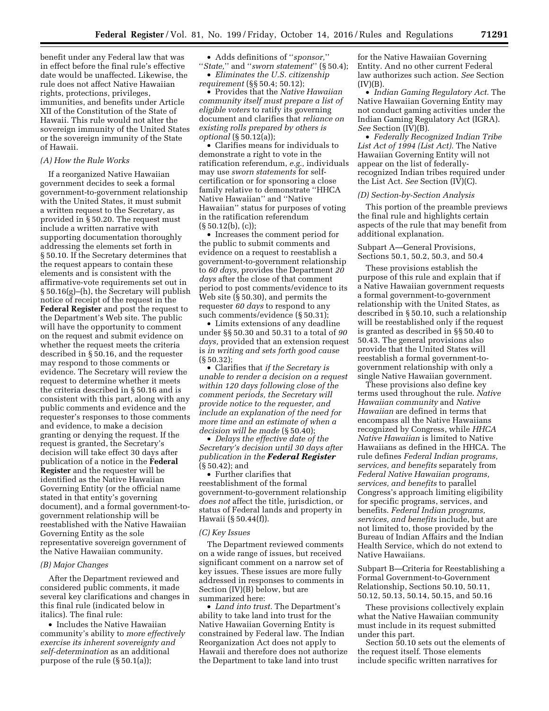benefit under any Federal law that was in effect before the final rule's effective date would be unaffected. Likewise, the rule does not affect Native Hawaiian rights, protections, privileges, immunities, and benefits under Article XII of the Constitution of the State of Hawaii. This rule would not alter the sovereign immunity of the United States or the sovereign immunity of the State of Hawaii.

### *(A) How the Rule Works*

If a reorganized Native Hawaiian government decides to seek a formal government-to-government relationship with the United States, it must submit a written request to the Secretary, as provided in § 50.20. The request must include a written narrative with supporting documentation thoroughly addressing the elements set forth in § 50.10. If the Secretary determines that the request appears to contain these elements and is consistent with the affirmative-vote requirements set out in § 50.16(g)–(h), the Secretary will publish notice of receipt of the request in the **Federal Register** and post the request to the Department's Web site. The public will have the opportunity to comment on the request and submit evidence on whether the request meets the criteria described in § 50.16, and the requester may respond to those comments or evidence. The Secretary will review the request to determine whether it meets the criteria described in § 50.16 and is consistent with this part, along with any public comments and evidence and the requester's responses to those comments and evidence, to make a decision granting or denying the request. If the request is granted, the Secretary's decision will take effect 30 days after publication of a notice in the **Federal Register** and the requester will be identified as the Native Hawaiian Governing Entity (or the official name stated in that entity's governing document), and a formal government-togovernment relationship will be reestablished with the Native Hawaiian Governing Entity as the sole representative sovereign government of the Native Hawaiian community.

#### *(B) Major Changes*

After the Department reviewed and considered public comments, it made several key clarifications and changes in this final rule (indicated below in italics). The final rule:

• Includes the Native Hawaiian community's ability to *more effectively exercise its inherent sovereignty and self-determination* as an additional purpose of the rule (§ 50.1(a));

• Adds definitions of ''*sponsor,*''

''*State,*'' and ''*sworn statement*'' (§ 50.4); • *Eliminates the U.S. citizenship requirement* (§§ 50.4; 50.12);

• Provides that the *Native Hawaiian community itself must prepare a list of eligible voters* to ratify its governing document and clarifies that *reliance on existing rolls prepared by others is optional* (§ 50.12(a));

• Clarifies means for individuals to demonstrate a right to vote in the ratification referendum, *e.g.,* individuals may use *sworn statements* for selfcertification or for sponsoring a close family relative to demonstrate ''HHCA Native Hawaiian'' and ''Native Hawaiian'' status for purposes of voting in the ratification referendum  $(\S 50.12(b), (c));$ 

• Increases the comment period for the public to submit comments and evidence on a request to reestablish a government-to-government relationship to *60 days,* provides the Department *20 days* after the close of that comment period to post comments/evidence to its Web site (§ 50.30), and permits the requester *60 days* to respond to any such comments/evidence (§ 50.31);

• Limits extensions of any deadline under §§ 50.30 and 50.31 to a total of *90 days,* provided that an extension request is *in writing and sets forth good cause*  (§ 50.32);

• Clarifies that *if the Secretary is unable to render a decision on a request within 120 days following close of the comment periods, the Secretary will provide notice to the requester, and include an explanation of the need for more time and an estimate of when a decision will be made* (§ 50.40);

• *Delays the effective date of the Secretary's decision until 30 days after publication in the Federal Register*  (§ 50.42); and

• Further clarifies that reestablishment of the formal government-to-government relationship *does not* affect the title, jurisdiction, or status of Federal lands and property in Hawaii (§ 50.44(f)).

### *(C) Key Issues*

The Department reviewed comments on a wide range of issues, but received significant comment on a narrow set of key issues. These issues are more fully addressed in responses to comments in Section (IV)(B) below, but are summarized here:

• *Land into trust.* The Department's ability to take land into trust for the Native Hawaiian Governing Entity is constrained by Federal law. The Indian Reorganization Act does not apply to Hawaii and therefore does not authorize the Department to take land into trust

for the Native Hawaiian Governing Entity. And no other current Federal law authorizes such action. *See* Section  $(IV)(B)$ .

• *Indian Gaming Regulatory Act.* The Native Hawaiian Governing Entity may not conduct gaming activities under the Indian Gaming Regulatory Act (IGRA). *See* Section (IV)(B).

• *Federally Recognized Indian Tribe List Act of 1994 (List Act).* The Native Hawaiian Governing Entity will not appear on the list of federallyrecognized Indian tribes required under the List Act. *See* Section (IV)(C).

#### *(D) Section-by-Section Analysis*

This portion of the preamble previews the final rule and highlights certain aspects of the rule that may benefit from additional explanation.

# Subpart A—General Provisions, Sections 50.1, 50.2, 50.3, and 50.4

These provisions establish the purpose of this rule and explain that if a Native Hawaiian government requests a formal government-to-government relationship with the United States, as described in § 50.10, such a relationship will be reestablished only if the request is granted as described in §§ 50.40 to 50.43. The general provisions also provide that the United States will reestablish a formal government-togovernment relationship with only a single Native Hawaiian government.

These provisions also define key terms used throughout the rule. *Native Hawaiian community* and *Native Hawaiian* are defined in terms that encompass all the Native Hawaiians recognized by Congress, while *HHCA Native Hawaiian* is limited to Native Hawaiians as defined in the HHCA. The rule defines *Federal Indian programs, services, and benefits* separately from *Federal Native Hawaiian programs, services, and benefits* to parallel Congress's approach limiting eligibility for specific programs, services, and benefits. *Federal Indian programs, services, and benefits* include, but are not limited to, those provided by the Bureau of Indian Affairs and the Indian Health Service, which do not extend to Native Hawaiians.

Subpart B—Criteria for Reestablishing a Formal Government-to-Government Relationship, Sections 50.10, 50.11, 50.12, 50.13, 50.14, 50.15, and 50.16

These provisions collectively explain what the Native Hawaiian community must include in its request submitted under this part.

Section 50.10 sets out the elements of the request itself. Those elements include specific written narratives for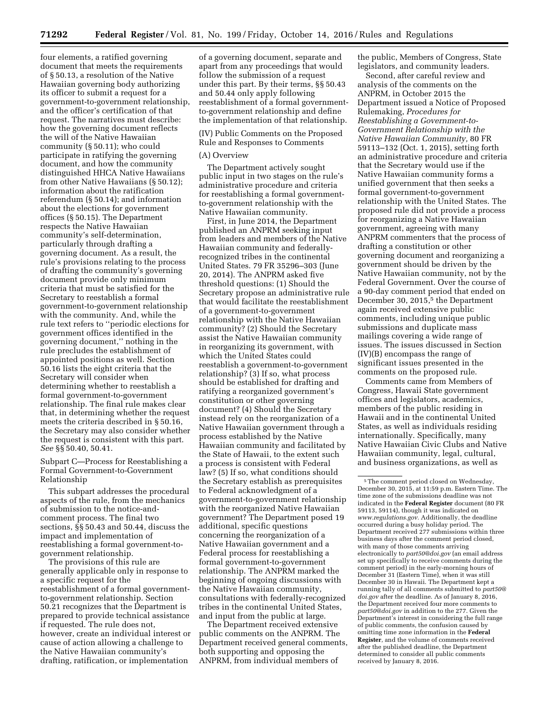four elements, a ratified governing document that meets the requirements of § 50.13, a resolution of the Native Hawaiian governing body authorizing its officer to submit a request for a government-to-government relationship, and the officer's certification of that request. The narratives must describe: how the governing document reflects the will of the Native Hawaiian community (§ 50.11); who could participate in ratifying the governing document, and how the community distinguished HHCA Native Hawaiians from other Native Hawaiians (§ 50.12); information about the ratification referendum (§ 50.14); and information about the elections for government offices (§ 50.15). The Department respects the Native Hawaiian community's self-determination, particularly through drafting a governing document. As a result, the rule's provisions relating to the process of drafting the community's governing document provide only minimum criteria that must be satisfied for the Secretary to reestablish a formal government-to-government relationship with the community. And, while the rule text refers to ''periodic elections for government offices identified in the governing document,'' nothing in the rule precludes the establishment of appointed positions as well. Section 50.16 lists the eight criteria that the Secretary will consider when determining whether to reestablish a formal government-to-government relationship. The final rule makes clear that, in determining whether the request meets the criteria described in § 50.16, the Secretary may also consider whether the request is consistent with this part. *See* §§ 50.40, 50.41.

Subpart C—Process for Reestablishing a Formal Government-to-Government Relationship

This subpart addresses the procedural aspects of the rule, from the mechanics of submission to the notice-andcomment process. The final two sections, §§ 50.43 and 50.44, discuss the impact and implementation of reestablishing a formal government-togovernment relationship.

The provisions of this rule are generally applicable only in response to a specific request for the reestablishment of a formal governmentto-government relationship. Section 50.21 recognizes that the Department is prepared to provide technical assistance if requested. The rule does not, however, create an individual interest or cause of action allowing a challenge to the Native Hawaiian community's drafting, ratification, or implementation

of a governing document, separate and apart from any proceedings that would follow the submission of a request under this part. By their terms, §§ 50.43 and 50.44 only apply following reestablishment of a formal governmentto-government relationship and define the implementation of that relationship.

(IV) Public Comments on the Proposed Rule and Responses to Comments

#### (A) Overview

The Department actively sought public input in two stages on the rule's administrative procedure and criteria for reestablishing a formal governmentto-government relationship with the Native Hawaiian community.

First, in June 2014, the Department published an ANPRM seeking input from leaders and members of the Native Hawaiian community and federallyrecognized tribes in the continental United States. 79 FR 35296–303 (June 20, 2014). The ANPRM asked five threshold questions: (1) Should the Secretary propose an administrative rule that would facilitate the reestablishment of a government-to-government relationship with the Native Hawaiian community? (2) Should the Secretary assist the Native Hawaiian community in reorganizing its government, with which the United States could reestablish a government-to-government relationship? (3) If so, what process should be established for drafting and ratifying a reorganized government's constitution or other governing document? (4) Should the Secretary instead rely on the reorganization of a Native Hawaiian government through a process established by the Native Hawaiian community and facilitated by the State of Hawaii, to the extent such a process is consistent with Federal law? (5) If so, what conditions should the Secretary establish as prerequisites to Federal acknowledgment of a government-to-government relationship with the reorganized Native Hawaiian government? The Department posed 19 additional, specific questions concerning the reorganization of a Native Hawaiian government and a Federal process for reestablishing a formal government-to-government relationship. The ANPRM marked the beginning of ongoing discussions with the Native Hawaiian community, consultations with federally-recognized tribes in the continental United States, and input from the public at large.

The Department received extensive public comments on the ANPRM. The Department received general comments, both supporting and opposing the ANPRM, from individual members of

the public, Members of Congress, State legislators, and community leaders.

Second, after careful review and analysis of the comments on the ANPRM, in October 2015 the Department issued a Notice of Proposed Rulemaking, *Procedures for Reestablishing a Government-to-Government Relationship with the Native Hawaiian Community,* 80 FR 59113–132 (Oct. 1, 2015), setting forth an administrative procedure and criteria that the Secretary would use if the Native Hawaiian community forms a unified government that then seeks a formal government-to-government relationship with the United States. The proposed rule did not provide a process for reorganizing a Native Hawaiian government, agreeing with many ANPRM commenters that the process of drafting a constitution or other governing document and reorganizing a government should be driven by the Native Hawaiian community, not by the Federal Government. Over the course of a 90-day comment period that ended on December 30, 2015,<sup>5</sup> the Department again received extensive public comments, including unique public submissions and duplicate mass mailings covering a wide range of issues. The issues discussed in Section (IV)(B) encompass the range of significant issues presented in the comments on the proposed rule.

Comments came from Members of Congress, Hawaii State government offices and legislators, academics, members of the public residing in Hawaii and in the continental United States, as well as individuals residing internationally. Specifically, many Native Hawaiian Civic Clubs and Native Hawaiian community, legal, cultural, and business organizations, as well as

<sup>5</sup>The comment period closed on Wednesday, December 30, 2015, at 11:59 p.m. Eastern Time. The time zone of the submissions deadline was not indicated in the **Federal Register** document (80 FR 59113, 59114), though it was indicated on *[www.regulations.gov.](http://www.regulations.gov)* Additionally, the deadline occurred during a busy holiday period. The Department received 277 submissions within three business days after the comment period closed, with many of those comments arriving electronically to *[part50@doi.gov](mailto:part50@doi.gov)* (an email address set up specifically to receive comments during the comment period) in the early-morning hours of December 31 (Eastern Time), when it was still December 30 in Hawaii. The Department kept a running tally of all comments submitted to *[part50@](mailto:part50@doi.gov) [doi.gov](mailto:part50@doi.gov)* after the deadline. As of January 8, 2016, the Department received four more comments to *[part50@doi.gov](mailto:part50@doi.gov)* in addition to the 277. Given the Department's interest in considering the full range of public comments, the confusion caused by omitting time zone information in the **Federal Register**, and the volume of comments received after the published deadline, the Department determined to consider all public comments received by January 8, 2016.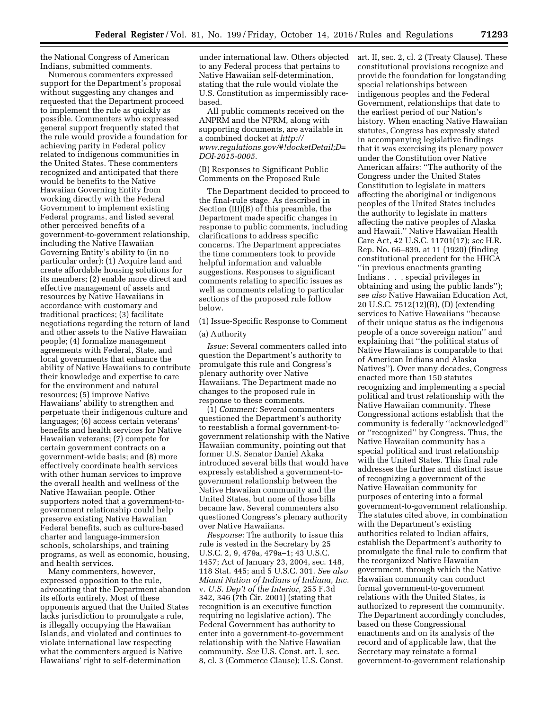the National Congress of American Indians, submitted comments.

Numerous commenters expressed support for the Department's proposal without suggesting any changes and requested that the Department proceed to implement the rule as quickly as possible. Commenters who expressed general support frequently stated that the rule would provide a foundation for achieving parity in Federal policy related to indigenous communities in the United States. These commenters recognized and anticipated that there would be benefits to the Native Hawaiian Governing Entity from working directly with the Federal Government to implement existing Federal programs, and listed several other perceived benefits of a government-to-government relationship, including the Native Hawaiian Governing Entity's ability to (in no particular order): (1) Acquire land and create affordable housing solutions for its members; (2) enable more direct and effective management of assets and resources by Native Hawaiians in accordance with customary and traditional practices; (3) facilitate negotiations regarding the return of land and other assets to the Native Hawaiian people; (4) formalize management agreements with Federal, State, and local governments that enhance the ability of Native Hawaiians to contribute their knowledge and expertise to care for the environment and natural resources; (5) improve Native Hawaiians' ability to strengthen and perpetuate their indigenous culture and languages; (6) access certain veterans' benefits and health services for Native Hawaiian veterans; (7) compete for certain government contracts on a government-wide basis; and (8) more effectively coordinate health services with other human services to improve the overall health and wellness of the Native Hawaiian people. Other supporters noted that a government-togovernment relationship could help preserve existing Native Hawaiian Federal benefits, such as culture-based charter and language-immersion schools, scholarships, and training programs, as well as economic, housing, and health services.

Many commenters, however, expressed opposition to the rule, advocating that the Department abandon its efforts entirely. Most of these opponents argued that the United States lacks jurisdiction to promulgate a rule, is illegally occupying the Hawaiian Islands, and violated and continues to violate international law respecting what the commenters argued is Native Hawaiians' right to self-determination

under international law. Others objected to any Federal process that pertains to Native Hawaiian self-determination, stating that the rule would violate the U.S. Constitution as impermissibly racebased.

All public comments received on the ANPRM and the NPRM, along with supporting documents, are available in a combined docket at *[http://](http://www.regulations.gov/#!docketDetail;D=DOI-2015-0005) [www.regulations.gov/#!docketDetail;D=](http://www.regulations.gov/#!docketDetail;D=DOI-2015-0005)  [DOI-2015-0005.](http://www.regulations.gov/#!docketDetail;D=DOI-2015-0005)* 

(B) Responses to Significant Public Comments on the Proposed Rule

The Department decided to proceed to the final-rule stage. As described in Section (III)(B) of this preamble, the Department made specific changes in response to public comments, including clarifications to address specific concerns. The Department appreciates the time commenters took to provide helpful information and valuable suggestions. Responses to significant comments relating to specific issues as well as comments relating to particular sections of the proposed rule follow below.

(1) Issue-Specific Response to Comment

### (a) Authority

*Issue:* Several commenters called into question the Department's authority to promulgate this rule and Congress's plenary authority over Native Hawaiians. The Department made no changes to the proposed rule in response to these comments.

(1) *Comment:* Several commenters questioned the Department's authority to reestablish a formal government-togovernment relationship with the Native Hawaiian community, pointing out that former U.S. Senator Daniel Akaka introduced several bills that would have expressly established a government-togovernment relationship between the Native Hawaiian community and the United States, but none of those bills became law. Several commenters also questioned Congress's plenary authority over Native Hawaiians.

*Response:* The authority to issue this rule is vested in the Secretary by 25 U.S.C. 2, 9, 479a, 479a–1; 43 U.S.C. 1457; Act of January 23, 2004, sec. 148, 118 Stat. 445; and 5 U.S.C. 301. *See also Miami Nation of Indians of Indiana, Inc.*  v. *U.S. Dep't of the Interior,* 255 F.3d 342, 346 (7th Cir. 2001) (stating that recognition is an executive function requiring no legislative action). The Federal Government has authority to enter into a government-to-government relationship with the Native Hawaiian community. *See* U.S. Const. art. I, sec. 8, cl. 3 (Commerce Clause); U.S. Const.

art. II, sec. 2, cl. 2 (Treaty Clause). These constitutional provisions recognize and provide the foundation for longstanding special relationships between indigenous peoples and the Federal Government, relationships that date to the earliest period of our Nation's history. When enacting Native Hawaiian statutes, Congress has expressly stated in accompanying legislative findings that it was exercising its plenary power under the Constitution over Native American affairs: ''The authority of the Congress under the United States Constitution to legislate in matters affecting the aboriginal or indigenous peoples of the United States includes the authority to legislate in matters affecting the native peoples of Alaska and Hawaii.'' Native Hawaiian Health Care Act, 42 U.S.C. 11701(17); *see* H.R. Rep. No. 66–839, at 11 (1920) (finding constitutional precedent for the HHCA ''in previous enactments granting Indians . . . special privileges in obtaining and using the public lands''); *see also* Native Hawaiian Education Act, 20 U.S.C. 7512(12)(B), (D) (extending services to Native Hawaiians ''because of their unique status as the indigenous people of a once sovereign nation'' and explaining that ''the political status of Native Hawaiians is comparable to that of American Indians and Alaska Natives''). Over many decades, Congress enacted more than 150 statutes recognizing and implementing a special political and trust relationship with the Native Hawaiian community. These Congressional actions establish that the community is federally ''acknowledged'' or ''recognized'' by Congress. Thus, the Native Hawaiian community has a special political and trust relationship with the United States. This final rule addresses the further and distinct issue of recognizing a government of the Native Hawaiian community for purposes of entering into a formal government-to-government relationship. The statutes cited above, in combination with the Department's existing authorities related to Indian affairs, establish the Department's authority to promulgate the final rule to confirm that the reorganized Native Hawaiian government, through which the Native Hawaiian community can conduct formal government-to-government relations with the United States, is authorized to represent the community. The Department accordingly concludes, based on these Congressional enactments and on its analysis of the record and of applicable law, that the Secretary may reinstate a formal government-to-government relationship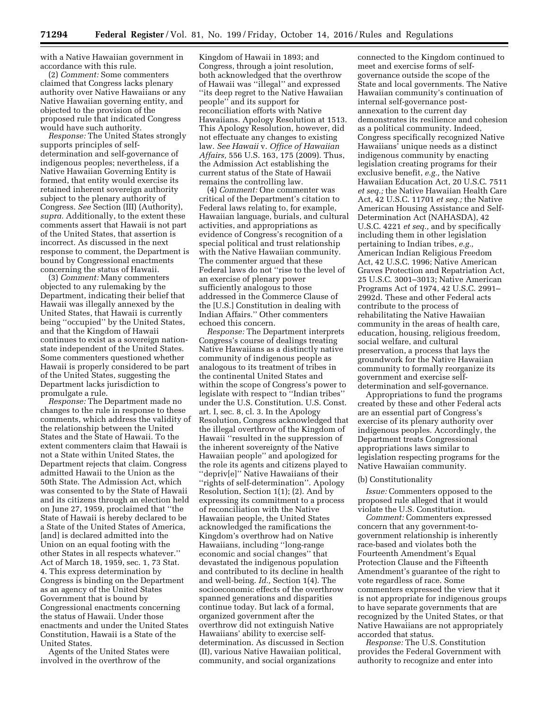with a Native Hawaiian government in accordance with this rule.

(2) *Comment:* Some commenters claimed that Congress lacks plenary authority over Native Hawaiians or any Native Hawaiian governing entity, and objected to the provision of the proposed rule that indicated Congress would have such authority.

*Response:* The United States strongly supports principles of selfdetermination and self-governance of indigenous peoples; nevertheless, if a Native Hawaiian Governing Entity is formed, that entity would exercise its retained inherent sovereign authority subject to the plenary authority of Congress. *See* Section (III) (Authority), *supra.* Additionally, to the extent these comments assert that Hawaii is not part of the United States, that assertion is incorrect. As discussed in the next response to comment, the Department is bound by Congressional enactments concerning the status of Hawaii.

(3) *Comment:* Many commenters objected to any rulemaking by the Department, indicating their belief that Hawaii was illegally annexed by the United States, that Hawaii is currently being ''occupied'' by the United States, and that the Kingdom of Hawaii continues to exist as a sovereign nationstate independent of the United States. Some commenters questioned whether Hawaii is properly considered to be part of the United States, suggesting the Department lacks jurisdiction to promulgate a rule.

*Response:* The Department made no changes to the rule in response to these comments, which address the validity of the relationship between the United States and the State of Hawaii. To the extent commenters claim that Hawaii is not a State within United States, the Department rejects that claim. Congress admitted Hawaii to the Union as the 50th State. The Admission Act, which was consented to by the State of Hawaii and its citizens through an election held on June 27, 1959, proclaimed that ''the State of Hawaii is hereby declared to be a State of the United States of America, [and] is declared admitted into the Union on an equal footing with the other States in all respects whatever.'' Act of March 18, 1959, sec. 1, 73 Stat. 4. This express determination by Congress is binding on the Department as an agency of the United States Government that is bound by Congressional enactments concerning the status of Hawaii. Under those enactments and under the United States Constitution, Hawaii is a State of the United States.

Agents of the United States were involved in the overthrow of the

Kingdom of Hawaii in 1893; and Congress, through a joint resolution, both acknowledged that the overthrow of Hawaii was ''illegal'' and expressed ''its deep regret to the Native Hawaiian people'' and its support for reconciliation efforts with Native Hawaiians. Apology Resolution at 1513. This Apology Resolution, however, did not effectuate any changes to existing law. *See Hawaii* v. *Office of Hawaiian Affairs,* 556 U.S. 163, 175 (2009). Thus, the Admission Act establishing the current status of the State of Hawaii remains the controlling law.

(4) *Comment:* One commenter was critical of the Department's citation to Federal laws relating to, for example, Hawaiian language, burials, and cultural activities, and appropriations as evidence of Congress's recognition of a special political and trust relationship with the Native Hawaiian community. The commenter argued that these Federal laws do not ''rise to the level of an exercise of plenary power sufficiently analogous to those addressed in the Commerce Clause of the [U.S.] Constitution in dealing with Indian Affairs.'' Other commenters echoed this concern.

*Response:* The Department interprets Congress's course of dealings treating Native Hawaiians as a distinctly native community of indigenous people as analogous to its treatment of tribes in the continental United States and within the scope of Congress's power to legislate with respect to ''Indian tribes'' under the U.S. Constitution. U.S. Const. art. I, sec. 8, cl. 3. In the Apology Resolution, Congress acknowledged that the illegal overthrow of the Kingdom of Hawaii ''resulted in the suppression of the inherent sovereignty of the Native Hawaiian people'' and apologized for the role its agents and citizens played to ''depriv[e]'' Native Hawaiians of their ''rights of self-determination''. Apology Resolution, Section 1(1); (2). And by expressing its commitment to a process of reconciliation with the Native Hawaiian people, the United States acknowledged the ramifications the Kingdom's overthrow had on Native Hawaiians, including ''long-range economic and social changes'' that devastated the indigenous population and contributed to its decline in health and well-being. *Id.,* Section 1(4). The socioeconomic effects of the overthrow spanned generations and disparities continue today. But lack of a formal, organized government after the overthrow did not extinguish Native Hawaiians' ability to exercise selfdetermination. As discussed in Section (II), various Native Hawaiian political, community, and social organizations

connected to the Kingdom continued to meet and exercise forms of selfgovernance outside the scope of the State and local governments. The Native Hawaiian community's continuation of internal self-governance postannexation to the current day demonstrates its resilience and cohesion as a political community. Indeed, Congress specifically recognized Native Hawaiians' unique needs as a distinct indigenous community by enacting legislation creating programs for their exclusive benefit, *e.g.,* the Native Hawaiian Education Act, 20 U.S.C. 7511 *et seq.;* the Native Hawaiian Health Care Act, 42 U.S.C. 11701 *et seq.;* the Native American Housing Assistance and Self-Determination Act (NAHASDA), 42 U.S.C. 4221 *et seq.,* and by specifically including them in other legislation pertaining to Indian tribes, *e.g.,*  American Indian Religious Freedom Act, 42 U.S.C. 1996; Native American Graves Protection and Repatriation Act, 25 U.S.C. 3001–3013; Native American Programs Act of 1974, 42 U.S.C. 2991– 2992d. These and other Federal acts contribute to the process of rehabilitating the Native Hawaiian community in the areas of health care, education, housing, religious freedom, social welfare, and cultural preservation, a process that lays the groundwork for the Native Hawaiian community to formally reorganize its government and exercise selfdetermination and self-governance.

Appropriations to fund the programs created by these and other Federal acts are an essential part of Congress's exercise of its plenary authority over indigenous peoples. Accordingly, the Department treats Congressional appropriations laws similar to legislation respecting programs for the Native Hawaiian community.

### (b) Constitutionality

*Issue:* Commenters opposed to the proposed rule alleged that it would violate the U.S. Constitution.

*Comment:* Commenters expressed concern that any government-togovernment relationship is inherently race-based and violates both the Fourteenth Amendment's Equal Protection Clause and the Fifteenth Amendment's guarantee of the right to vote regardless of race. Some commenters expressed the view that it is not appropriate for indigenous groups to have separate governments that are recognized by the United States, or that Native Hawaiians are not appropriately accorded that status.

*Response:* The U.S. Constitution provides the Federal Government with authority to recognize and enter into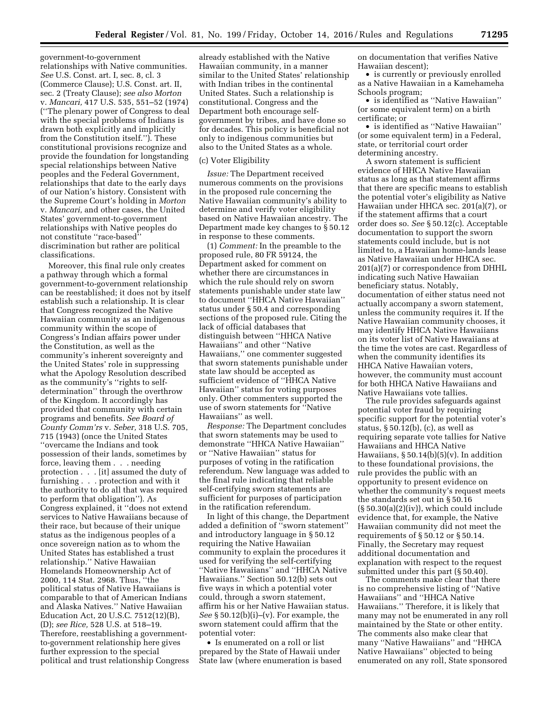government-to-government relationships with Native communities. *See* U.S. Const. art. I, sec. 8, cl. 3 (Commerce Clause); U.S. Const. art. II, sec. 2 (Treaty Clause); *see also Morton*  v. *Mancari,* 417 U.S. 535, 551–52 (1974) (''The plenary power of Congress to deal with the special problems of Indians is drawn both explicitly and implicitly from the Constitution itself.''). These constitutional provisions recognize and provide the foundation for longstanding special relationships between Native peoples and the Federal Government, relationships that date to the early days of our Nation's history. Consistent with the Supreme Court's holding in *Morton*  v. *Mancari,* and other cases, the United States' government-to-government relationships with Native peoples do not constitute ''race-based'' discrimination but rather are political classifications.

Moreover, this final rule only creates a pathway through which a formal government-to-government relationship can be reestablished; it does not by itself establish such a relationship. It is clear that Congress recognized the Native Hawaiian community as an indigenous community within the scope of Congress's Indian affairs power under the Constitution, as well as the community's inherent sovereignty and the United States' role in suppressing what the Apology Resolution described as the community's ''rights to selfdetermination'' through the overthrow of the Kingdom. It accordingly has provided that community with certain programs and benefits. *See Board of County Comm'rs* v. *Seber,* 318 U.S. 705, 715 (1943) (once the United States ''overcame the Indians and took possession of their lands, sometimes by force, leaving them . . . needing protection . . . [it] assumed the duty of furnishing . . . protection and with it the authority to do all that was required to perform that obligation''). As Congress explained, it ''does not extend services to Native Hawaiians because of their race, but because of their unique status as the indigenous peoples of a once sovereign nation as to whom the United States has established a trust relationship.'' Native Hawaiian Homelands Homeownership Act of 2000, 114 Stat. 2968. Thus, ''the political status of Native Hawaiians is comparable to that of American Indians and Alaska Natives.'' Native Hawaiian Education Act, 20 U.S.C. 7512(12)(B), (D); *see Rice,* 528 U.S. at 518–19. Therefore, reestablishing a governmentto-government relationship here gives further expression to the special political and trust relationship Congress

already established with the Native Hawaiian community, in a manner similar to the United States' relationship with Indian tribes in the continental United States. Such a relationship is constitutional. Congress and the Department both encourage selfgovernment by tribes, and have done so for decades. This policy is beneficial not only to indigenous communities but also to the United States as a whole.

### (c) Voter Eligibility

*Issue:* The Department received numerous comments on the provisions in the proposed rule concerning the Native Hawaiian community's ability to determine and verify voter eligibility based on Native Hawaiian ancestry. The Department made key changes to § 50.12 in response to these comments.

(1) *Comment:* In the preamble to the proposed rule, 80 FR 59124, the Department asked for comment on whether there are circumstances in which the rule should rely on sworn statements punishable under state law to document ''HHCA Native Hawaiian'' status under § 50.4 and corresponding sections of the proposed rule. Citing the lack of official databases that distinguish between ''HHCA Native Hawaiians'' and other ''Native Hawaiians,'' one commenter suggested that sworn statements punishable under state law should be accepted as sufficient evidence of ''HHCA Native Hawaiian'' status for voting purposes only. Other commenters supported the use of sworn statements for ''Native Hawaiians'' as well.

*Response:* The Department concludes that sworn statements may be used to demonstrate ''HHCA Native Hawaiian'' or ''Native Hawaiian'' status for purposes of voting in the ratification referendum. New language was added to the final rule indicating that reliable self-certifying sworn statements are sufficient for purposes of participation in the ratification referendum.

In light of this change, the Department added a definition of ''sworn statement'' and introductory language in § 50.12 requiring the Native Hawaiian community to explain the procedures it used for verifying the self-certifying ''Native Hawaiians'' and ''HHCA Native Hawaiians.'' Section 50.12(b) sets out five ways in which a potential voter could, through a sworn statement, affirm his or her Native Hawaiian status. *See* § 50.12(b)(i)–(v). For example, the sworn statement could affirm that the potential voter:

• Is enumerated on a roll or list prepared by the State of Hawaii under State law (where enumeration is based on documentation that verifies Native Hawaiian descent);

• is currently or previously enrolled as a Native Hawaiian in a Kamehameha Schools program;

• is identified as ''Native Hawaiian'' (or some equivalent term) on a birth certificate; or

• is identified as ''Native Hawaiian'' (or some equivalent term) in a Federal, state, or territorial court order determining ancestry.

A sworn statement is sufficient evidence of HHCA Native Hawaiian status as long as that statement affirms that there are specific means to establish the potential voter's eligibility as Native Hawaiian under HHCA sec. 201(a)(7), or if the statement affirms that a court order does so. *See* § 50.12(c). Acceptable documentation to support the sworn statements could include, but is not limited to, a Hawaiian home-lands lease as Native Hawaiian under HHCA sec. 201(a)(7) or correspondence from DHHL indicating such Native Hawaiian beneficiary status. Notably, documentation of either status need not actually accompany a sworn statement, unless the community requires it. If the Native Hawaiian community chooses, it may identify HHCA Native Hawaiians on its voter list of Native Hawaiians at the time the votes are cast. Regardless of when the community identifies its HHCA Native Hawaiian voters, however, the community must account for both HHCA Native Hawaiians and Native Hawaiians vote tallies.

The rule provides safeguards against potential voter fraud by requiring specific support for the potential voter's status, § 50.12(b), (c), as well as requiring separate vote tallies for Native Hawaiians and HHCA Native Hawaiians,  $\S 50.14(b)(5)(v)$ . In addition to these foundational provisions, the rule provides the public with an opportunity to present evidence on whether the community's request meets the standards set out in § 50.16  $(\S 50.30(a)(2)(iv))$ , which could include evidence that, for example, the Native Hawaiian community did not meet the requirements of  $\S 50.12$  or  $\S 50.14$ . Finally, the Secretary may request additional documentation and explanation with respect to the request submitted under this part (§ 50.40).

The comments make clear that there is no comprehensive listing of ''Native Hawaiians'' and ''HHCA Native Hawaiians.'' Therefore, it is likely that many may not be enumerated in any roll maintained by the State or other entity. The comments also make clear that many ''Native Hawaiians'' and ''HHCA Native Hawaiians'' objected to being enumerated on any roll, State sponsored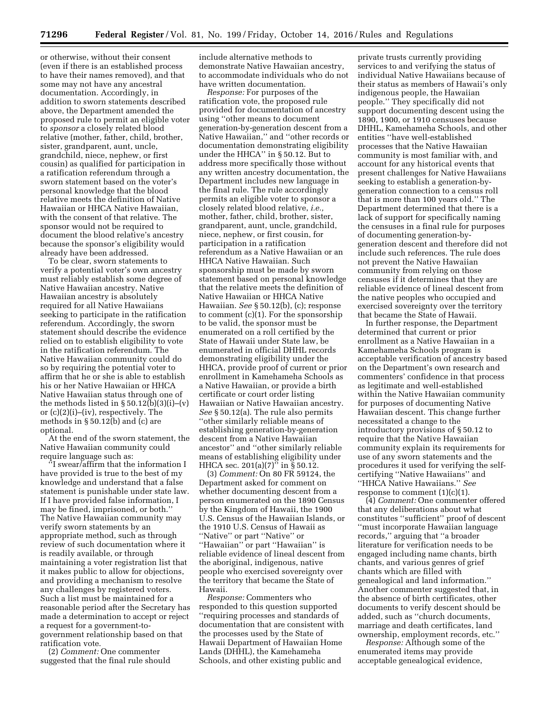or otherwise, without their consent (even if there is an established process to have their names removed), and that some may not have any ancestral documentation. Accordingly, in addition to sworn statements described above, the Department amended the proposed rule to permit an eligible voter to *sponsor* a closely related blood relative (mother, father, child, brother, sister, grandparent, aunt, uncle, grandchild, niece, nephew, or first cousin) as qualified for participation in a ratification referendum through a sworn statement based on the voter's personal knowledge that the blood relative meets the definition of Native Hawaiian or HHCA Native Hawaiian, with the consent of that relative. The sponsor would not be required to document the blood relative's ancestry because the sponsor's eligibility would already have been addressed.

To be clear, sworn statements to verify a potential voter's own ancestry must reliably establish some degree of Native Hawaiian ancestry. Native Hawaiian ancestry is absolutely required for all Native Hawaiians seeking to participate in the ratification referendum. Accordingly, the sworn statement should describe the evidence relied on to establish eligibility to vote in the ratification referendum. The Native Hawaiian community could do so by requiring the potential voter to affirm that he or she is able to establish his or her Native Hawaiian or HHCA Native Hawaiian status through one of the methods listed in  $\S 50.12(b)(3)(i)$ –(v) or (c)(2)(i)–(iv), respectively. The methods in § 50.12(b) and (c) are optional.

At the end of the sworn statement, the Native Hawaiian community could require language such as:

'I swear/affirm that the information I have provided is true to the best of my knowledge and understand that a false statement is punishable under state law. If I have provided false information, I may be fined, imprisoned, or both.'' The Native Hawaiian community may verify sworn statements by an appropriate method, such as through review of such documentation where it is readily available, or through maintaining a voter registration list that it makes public to allow for objections, and providing a mechanism to resolve any challenges by registered voters. Such a list must be maintained for a reasonable period after the Secretary has made a determination to accept or reject a request for a government-togovernment relationship based on that ratification vote.

(2) *Comment:* One commenter suggested that the final rule should

include alternative methods to demonstrate Native Hawaiian ancestry, to accommodate individuals who do not have written documentation.

*Response:* For purposes of the ratification vote, the proposed rule provided for documentation of ancestry using ''other means to document generation-by-generation descent from a Native Hawaiian,'' and ''other records or documentation demonstrating eligibility under the HHCA'' in § 50.12. But to address more specifically those without any written ancestry documentation, the Department includes new language in the final rule. The rule accordingly permits an eligible voter to sponsor a closely related blood relative, *i.e.,*  mother, father, child, brother, sister, grandparent, aunt, uncle, grandchild, niece, nephew, or first cousin, for participation in a ratification referendum as a Native Hawaiian or an HHCA Native Hawaiian. Such sponsorship must be made by sworn statement based on personal knowledge that the relative meets the definition of Native Hawaiian or HHCA Native Hawaiian. *See* § 50.12(b), (c); response to comment (c)(1). For the sponsorship to be valid, the sponsor must be enumerated on a roll certified by the State of Hawaii under State law, be enumerated in official DHHL records demonstrating eligibility under the HHCA, provide proof of current or prior enrollment in Kamehameha Schools as a Native Hawaiian, or provide a birth certificate or court order listing Hawaiian or Native Hawaiian ancestry. *See* § 50.12(a). The rule also permits ''other similarly reliable means of establishing generation-by-generation descent from a Native Hawaiian ancestor'' and ''other similarly reliable means of establishing eligibility under HHCA sec. 201(a)(7)" in § 50.12.

(3) *Comment:* On 80 FR 59124, the Department asked for comment on whether documenting descent from a person enumerated on the 1890 Census by the Kingdom of Hawaii, the 1900 U.S. Census of the Hawaiian Islands, or the 1910 U.S. Census of Hawaii as ''Native'' or part ''Native'' or ''Hawaiian'' or part ''Hawaiian'' is reliable evidence of lineal descent from the aboriginal, indigenous, native people who exercised sovereignty over the territory that became the State of Hawaii.

*Response:* Commenters who responded to this question supported ''requiring processes and standards of documentation that are consistent with the processes used by the State of Hawaii Department of Hawaiian Home Lands (DHHL), the Kamehameha Schools, and other existing public and

private trusts currently providing services to and verifying the status of individual Native Hawaiians because of their status as members of Hawaii's only indigenous people, the Hawaiian people.'' They specifically did not support documenting descent using the 1890, 1900, or 1910 censuses because DHHL, Kamehameha Schools, and other entities ''have well-established processes that the Native Hawaiian community is most familiar with, and account for any historical events that present challenges for Native Hawaiians seeking to establish a generation-bygeneration connection to a census roll that is more than 100 years old.'' The Department determined that there is a lack of support for specifically naming the censuses in a final rule for purposes of documenting generation-bygeneration descent and therefore did not include such references. The rule does not prevent the Native Hawaiian community from relying on those censuses if it determines that they are reliable evidence of lineal descent from the native peoples who occupied and exercised sovereignty over the territory that became the State of Hawaii.

In further response, the Department determined that current or prior enrollment as a Native Hawaiian in a Kamehameha Schools program is acceptable verification of ancestry based on the Department's own research and commenters' confidence in that process as legitimate and well-established within the Native Hawaiian community for purposes of documenting Native Hawaiian descent. This change further necessitated a change to the introductory provisions of § 50.12 to require that the Native Hawaiian community explain its requirements for use of any sworn statements and the procedures it used for verifying the selfcertifying ''Native Hawaiians'' and ''HHCA Native Hawaiians.'' *See*  response to comment  $(1)(c)(1)$ .

(4) *Comment:* One commenter offered that any deliberations about what constitutes ''sufficient'' proof of descent ''must incorporate Hawaiian language records,'' arguing that ''a broader literature for verification needs to be engaged including name chants, birth chants, and various genres of grief chants which are filled with genealogical and land information.'' Another commenter suggested that, in the absence of birth certificates, other documents to verify descent should be added, such as ''church documents, marriage and death certificates, land ownership, employment records, etc.''

*Response:* Although some of the enumerated items may provide acceptable genealogical evidence,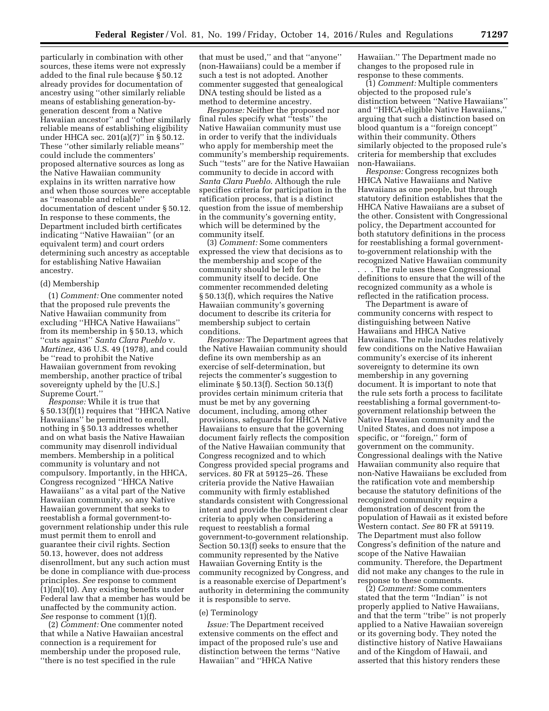particularly in combination with other sources, these items were not expressly added to the final rule because § 50.12 already provides for documentation of ancestry using ''other similarly reliable means of establishing generation-bygeneration descent from a Native Hawaiian ancestor'' and ''other similarly reliable means of establishing eligibility under HHCA sec. 201(a)(7)" in § 50.12. These ''other similarly reliable means'' could include the commenters' proposed alternative sources as long as the Native Hawaiian community explains in its written narrative how and when those sources were acceptable as ''reasonable and reliable'' documentation of descent under § 50.12. In response to these comments, the Department included birth certificates indicating ''Native Hawaiian'' (or an equivalent term) and court orders determining such ancestry as acceptable for establishing Native Hawaiian ancestry.

### (d) Membership

(1) *Comment:* One commenter noted that the proposed rule prevents the Native Hawaiian community from excluding ''HHCA Native Hawaiians'' from its membership in § 50.13, which ''cuts against'' *Santa Clara Pueblo* v. *Martinez,* 436 U.S. 49 (1978), and could be ''read to prohibit the Native Hawaiian government from revoking membership, another practice of tribal sovereignty upheld by the [U.S.] Supreme Court.''

*Response:* While it is true that § 50.13(f)(1) requires that ''HHCA Native Hawaiians'' be permitted to enroll, nothing in § 50.13 addresses whether and on what basis the Native Hawaiian community may disenroll individual members. Membership in a political community is voluntary and not compulsory. Importantly, in the HHCA, Congress recognized ''HHCA Native Hawaiians'' as a vital part of the Native Hawaiian community, so any Native Hawaiian government that seeks to reestablish a formal government-togovernment relationship under this rule must permit them to enroll and guarantee their civil rights. Section 50.13, however, does not address disenrollment, but any such action must be done in compliance with due-process principles. *See* response to comment (1)(m)(10). Any existing benefits under Federal law that a member has would be unaffected by the community action. *See* response to comment (1)(f).

(2) *Comment:* One commenter noted that while a Native Hawaiian ancestral connection is a requirement for membership under the proposed rule, ''there is no test specified in the rule

that must be used,'' and that ''anyone'' (non-Hawaiians) could be a member if such a test is not adopted. Another commenter suggested that genealogical DNA testing should be listed as a method to determine ancestry.

*Response:* Neither the proposed nor final rules specify what ''tests'' the Native Hawaiian community must use in order to verify that the individuals who apply for membership meet the community's membership requirements. Such ''tests'' are for the Native Hawaiian community to decide in accord with *Santa Clara Pueblo*. Although the rule specifies criteria for participation in the ratification process, that is a distinct question from the issue of membership in the community's governing entity, which will be determined by the community itself.

(3) *Comment:* Some commenters expressed the view that decisions as to the membership and scope of the community should be left for the community itself to decide. One commenter recommended deleting § 50.13(f), which requires the Native Hawaiian community's governing document to describe its criteria for membership subject to certain conditions.

*Response:* The Department agrees that the Native Hawaiian community should define its own membership as an exercise of self-determination, but rejects the commenter's suggestion to eliminate § 50.13(f). Section 50.13(f) provides certain minimum criteria that must be met by any governing document, including, among other provisions, safeguards for HHCA Native Hawaiians to ensure that the governing document fairly reflects the composition of the Native Hawaiian community that Congress recognized and to which Congress provided special programs and services. 80 FR at 59125–26. These criteria provide the Native Hawaiian community with firmly established standards consistent with Congressional intent and provide the Department clear criteria to apply when considering a request to reestablish a formal government-to-government relationship. Section 50.13(f) seeks to ensure that the community represented by the Native Hawaiian Governing Entity is the community recognized by Congress, and is a reasonable exercise of Department's authority in determining the community it is responsible to serve.

#### (e) Terminology

*Issue:* The Department received extensive comments on the effect and impact of the proposed rule's use and distinction between the terms ''Native Hawaiian'' and ''HHCA Native

Hawaiian.'' The Department made no changes to the proposed rule in response to these comments.

(1) *Comment:* Multiple commenters objected to the proposed rule's distinction between ''Native Hawaiians'' and ''HHCA-eligible Native Hawaiians,'' arguing that such a distinction based on blood quantum is a ''foreign concept'' within their community. Others similarly objected to the proposed rule's criteria for membership that excludes non-Hawaiians.

*Response:* Congress recognizes both HHCA Native Hawaiians and Native Hawaiians as one people, but through statutory definition establishes that the HHCA Native Hawaiians are a subset of the other. Consistent with Congressional policy, the Department accounted for both statutory definitions in the process for reestablishing a formal governmentto-government relationship with the recognized Native Hawaiian community

. . . The rule uses these Congressional definitions to ensure that the will of the recognized community as a whole is reflected in the ratification process.

The Department is aware of community concerns with respect to distinguishing between Native Hawaiians and HHCA Native Hawaiians. The rule includes relatively few conditions on the Native Hawaiian community's exercise of its inherent sovereignty to determine its own membership in any governing document. It is important to note that the rule sets forth a process to facilitate reestablishing a formal government-togovernment relationship between the Native Hawaiian community and the United States, and does not impose a specific, or ''foreign,'' form of government on the community. Congressional dealings with the Native Hawaiian community also require that non-Native Hawaiians be excluded from the ratification vote and membership because the statutory definitions of the recognized community require a demonstration of descent from the population of Hawaii as it existed before Western contact. *See* 80 FR at 59119. The Department must also follow Congress's definition of the nature and scope of the Native Hawaiian community. Therefore, the Department did not make any changes to the rule in response to these comments.

(2) *Comment:* Some commenters stated that the term ''Indian'' is not properly applied to Native Hawaiians, and that the term ''tribe'' is not properly applied to a Native Hawaiian sovereign or its governing body. They noted the distinctive history of Native Hawaiians and of the Kingdom of Hawaii, and asserted that this history renders these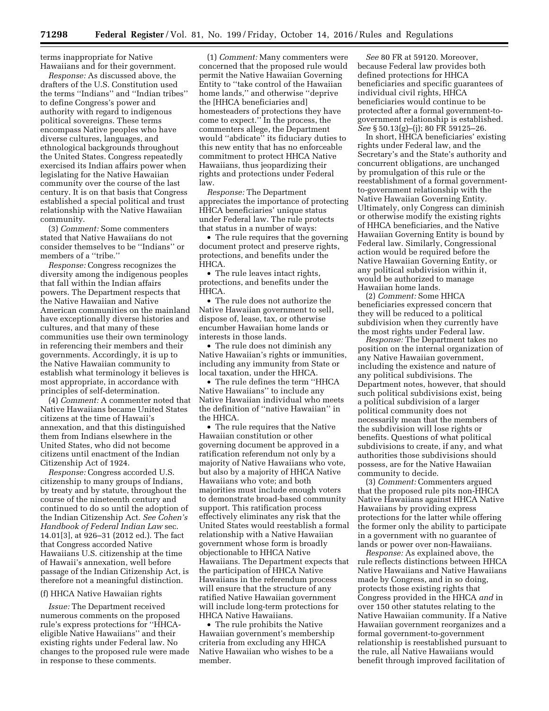terms inappropriate for Native Hawaiians and for their government.

*Response:* As discussed above, the drafters of the U.S. Constitution used the terms ''Indians'' and ''Indian tribes'' to define Congress's power and authority with regard to indigenous political sovereigns. These terms encompass Native peoples who have diverse cultures, languages, and ethnological backgrounds throughout the United States. Congress repeatedly exercised its Indian affairs power when legislating for the Native Hawaiian community over the course of the last century. It is on that basis that Congress established a special political and trust relationship with the Native Hawaiian community.

(3) *Comment:* Some commenters stated that Native Hawaiians do not consider themselves to be ''Indians'' or members of a ''tribe.''

*Response:* Congress recognizes the diversity among the indigenous peoples that fall within the Indian affairs powers. The Department respects that the Native Hawaiian and Native American communities on the mainland have exceptionally diverse histories and cultures, and that many of these communities use their own terminology in referencing their members and their governments. Accordingly, it is up to the Native Hawaiian community to establish what terminology it believes is most appropriate, in accordance with principles of self-determination.

(4) *Comment:* A commenter noted that Native Hawaiians became United States citizens at the time of Hawaii's annexation, and that this distinguished them from Indians elsewhere in the United States, who did not become citizens until enactment of the Indian Citizenship Act of 1924.

*Response:* Congress accorded U.S. citizenship to many groups of Indians, by treaty and by statute, throughout the course of the nineteenth century and continued to do so until the adoption of the Indian Citizenship Act. *See Cohen's Handbook of Federal Indian Law* sec. 14.01[3], at 926–31 (2012 ed.). The fact that Congress accorded Native Hawaiians U.S. citizenship at the time of Hawaii's annexation, well before passage of the Indian Citizenship Act, is therefore not a meaningful distinction.

#### (f) HHCA Native Hawaiian rights

*Issue:* The Department received numerous comments on the proposed rule's express protections for ''HHCAeligible Native Hawaiians'' and their existing rights under Federal law. No changes to the proposed rule were made in response to these comments.

(1) *Comment:* Many commenters were concerned that the proposed rule would permit the Native Hawaiian Governing Entity to ''take control of the Hawaiian home lands,'' and otherwise ''deprive the [HHCA beneficiaries and] homesteaders of protections they have come to expect.'' In the process, the commenters allege, the Department would ''abdicate'' its fiduciary duties to this new entity that has no enforceable commitment to protect HHCA Native Hawaiians, thus jeopardizing their rights and protections under Federal law.

*Response:* The Department appreciates the importance of protecting HHCA beneficiaries' unique status under Federal law. The rule protects that status in a number of ways:

• The rule requires that the governing document protect and preserve rights, protections, and benefits under the HHCA.

• The rule leaves intact rights, protections, and benefits under the HHCA.

• The rule does not authorize the Native Hawaiian government to sell, dispose of, lease, tax, or otherwise encumber Hawaiian home lands or interests in those lands.

• The rule does not diminish any Native Hawaiian's rights or immunities, including any immunity from State or local taxation, under the HHCA.

• The rule defines the term ''HHCA Native Hawaiians'' to include any Native Hawaiian individual who meets the definition of ''native Hawaiian'' in the HHCA.

• The rule requires that the Native Hawaiian constitution or other governing document be approved in a ratification referendum not only by a majority of Native Hawaiians who vote, but also by a majority of HHCA Native Hawaiians who vote; and both majorities must include enough voters to demonstrate broad-based community support. This ratification process effectively eliminates any risk that the United States would reestablish a formal relationship with a Native Hawaiian government whose form is broadly objectionable to HHCA Native Hawaiians. The Department expects that the participation of HHCA Native Hawaiians in the referendum process will ensure that the structure of any ratified Native Hawaiian government will include long-term protections for HHCA Native Hawaiians.

• The rule prohibits the Native Hawaiian government's membership criteria from excluding any HHCA Native Hawaiian who wishes to be a member.

*See* 80 FR at 59120. Moreover, because Federal law provides both defined protections for HHCA beneficiaries and specific guarantees of individual civil rights, HHCA beneficiaries would continue to be protected after a formal government-togovernment relationship is established. *See* § 50.13(g)–(j); 80 FR 59125–26.

In short, HHCA beneficiaries' existing rights under Federal law, and the Secretary's and the State's authority and concurrent obligations, are unchanged by promulgation of this rule or the reestablishment of a formal governmentto-government relationship with the Native Hawaiian Governing Entity. Ultimately, only Congress can diminish or otherwise modify the existing rights of HHCA beneficiaries, and the Native Hawaiian Governing Entity is bound by Federal law. Similarly, Congressional action would be required before the Native Hawaiian Governing Entity, or any political subdivision within it, would be authorized to manage Hawaiian home lands.

(2) *Comment:* Some HHCA beneficiaries expressed concern that they will be reduced to a political subdivision when they currently have the most rights under Federal law.

*Response:* The Department takes no position on the internal organization of any Native Hawaiian government, including the existence and nature of any political subdivisions. The Department notes, however, that should such political subdivisions exist, being a political subdivision of a larger political community does not necessarily mean that the members of the subdivision will lose rights or benefits. Questions of what political subdivisions to create, if any, and what authorities those subdivisions should possess, are for the Native Hawaiian community to decide.

(3) *Comment:* Commenters argued that the proposed rule pits non-HHCA Native Hawaiians against HHCA Native Hawaiians by providing express protections for the latter while offering the former only the ability to participate in a government with no guarantee of lands or power over non-Hawaiians.

*Response:* As explained above, the rule reflects distinctions between HHCA Native Hawaiians and Native Hawaiians made by Congress, and in so doing, protects those existing rights that Congress provided in the HHCA *and* in over 150 other statutes relating to the Native Hawaiian community. If a Native Hawaiian government reorganizes and a formal government-to-government relationship is reestablished pursuant to the rule, all Native Hawaiians would benefit through improved facilitation of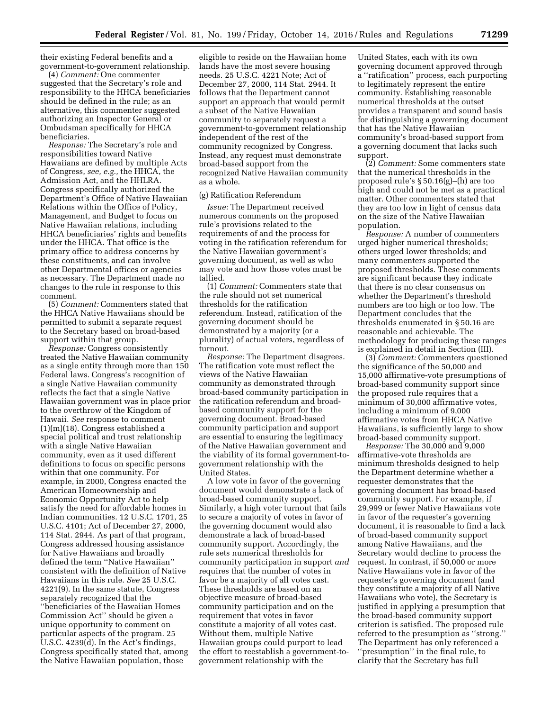their existing Federal benefits and a government-to-government relationship.

(4) *Comment:* One commenter suggested that the Secretary's role and responsibility to the HHCA beneficiaries should be defined in the rule; as an alternative, this commenter suggested authorizing an Inspector General or Ombudsman specifically for HHCA beneficiaries.

*Response:* The Secretary's role and responsibilities toward Native Hawaiians are defined by multiple Acts of Congress, *see, e.g.,* the HHCA, the Admission Act, and the HHLRA. Congress specifically authorized the Department's Office of Native Hawaiian Relations within the Office of Policy, Management, and Budget to focus on Native Hawaiian relations, including HHCA beneficiaries' rights and benefits under the HHCA. That office is the primary office to address concerns by these constituents, and can involve other Departmental offices or agencies as necessary. The Department made no changes to the rule in response to this comment.

(5) *Comment:* Commenters stated that the HHCA Native Hawaiians should be permitted to submit a separate request to the Secretary based on broad-based support within that group.

*Response:* Congress consistently treated the Native Hawaiian community as a single entity through more than 150 Federal laws. Congress's recognition of a single Native Hawaiian community reflects the fact that a single Native Hawaiian government was in place prior to the overthrow of the Kingdom of Hawaii. *See* response to comment (1)(m)(18). Congress established a special political and trust relationship with a single Native Hawaiian community, even as it used different definitions to focus on specific persons within that one community. For example, in 2000, Congress enacted the American Homeownership and Economic Opportunity Act to help satisfy the need for affordable homes in Indian communities. 12 U.S.C. 1701, 25 U.S.C. 4101; Act of December 27, 2000, 114 Stat. 2944. As part of that program, Congress addressed housing assistance for Native Hawaiians and broadly defined the term ''Native Hawaiian'' consistent with the definition of Native Hawaiians in this rule. *See* 25 U.S.C. 4221(9). In the same statute, Congress separately recognized that the ''beneficiaries of the Hawaiian Homes Commission Act'' should be given a unique opportunity to comment on particular aspects of the program. 25 U.S.C. 4239(d). In the Act's findings, Congress specifically stated that, among the Native Hawaiian population, those

eligible to reside on the Hawaiian home lands have the most severe housing needs. 25 U.S.C. 4221 Note; Act of December 27, 2000, 114 Stat. 2944. It follows that the Department cannot support an approach that would permit a subset of the Native Hawaiian community to separately request a government-to-government relationship independent of the rest of the community recognized by Congress. Instead, any request must demonstrate broad-based support from the recognized Native Hawaiian community as a whole.

# (g) Ratification Referendum

*Issue:* The Department received numerous comments on the proposed rule's provisions related to the requirements of and the process for voting in the ratification referendum for the Native Hawaiian government's governing document, as well as who may vote and how those votes must be tallied.

(1) *Comment:* Commenters state that the rule should not set numerical thresholds for the ratification referendum. Instead, ratification of the governing document should be demonstrated by a majority (or a plurality) of actual voters, regardless of turnout.

*Response:* The Department disagrees. The ratification vote must reflect the views of the Native Hawaiian community as demonstrated through broad-based community participation in the ratification referendum and broadbased community support for the governing document. Broad-based community participation and support are essential to ensuring the legitimacy of the Native Hawaiian government and the viability of its formal government-togovernment relationship with the United States.

A low vote in favor of the governing document would demonstrate a lack of broad-based community support. Similarly, a high voter turnout that fails to secure a majority of votes in favor of the governing document would also demonstrate a lack of broad-based community support. Accordingly, the rule sets numerical thresholds for community participation in support *and*  requires that the number of votes in favor be a majority of all votes cast. These thresholds are based on an objective measure of broad-based community participation and on the requirement that votes in favor constitute a majority of all votes cast. Without them, multiple Native Hawaiian groups could purport to lead the effort to reestablish a government-togovernment relationship with the

United States, each with its own governing document approved through a ''ratification'' process, each purporting to legitimately represent the entire community. Establishing reasonable numerical thresholds at the outset provides a transparent and sound basis for distinguishing a governing document that has the Native Hawaiian community's broad-based support from a governing document that lacks such support.

(2) *Comment:* Some commenters state that the numerical thresholds in the proposed rule's § 50.16(g)–(h) are too high and could not be met as a practical matter. Other commenters stated that they are too low in light of census data on the size of the Native Hawaiian population.

*Response:* A number of commenters urged higher numerical thresholds; others urged lower thresholds; and many commenters supported the proposed thresholds. These comments are significant because they indicate that there is no clear consensus on whether the Department's threshold numbers are too high or too low. The Department concludes that the thresholds enumerated in § 50.16 are reasonable and achievable. The methodology for producing these ranges is explained in detail in Section (III).

(3) *Comment:* Commenters questioned the significance of the 50,000 and 15,000 affirmative-vote presumptions of broad-based community support since the proposed rule requires that a minimum of 30,000 affirmative votes, including a minimum of 9,000 affirmative votes from HHCA Native Hawaiians, is sufficiently large to show broad-based community support.

*Response:* The 30,000 and 9,000 affirmative-vote thresholds are minimum thresholds designed to help the Department determine whether a requester demonstrates that the governing document has broad-based community support. For example, if 29,999 or fewer Native Hawaiians vote in favor of the requester's governing document, it is reasonable to find a lack of broad-based community support among Native Hawaiians, and the Secretary would decline to process the request. In contrast, if 50,000 or more Native Hawaiians vote in favor of the requester's governing document (and they constitute a majority of all Native Hawaiians who vote), the Secretary is justified in applying a presumption that the broad-based community support criterion is satisfied. The proposed rule referred to the presumption as ''strong.'' The Department has only referenced a ''presumption'' in the final rule, to clarify that the Secretary has full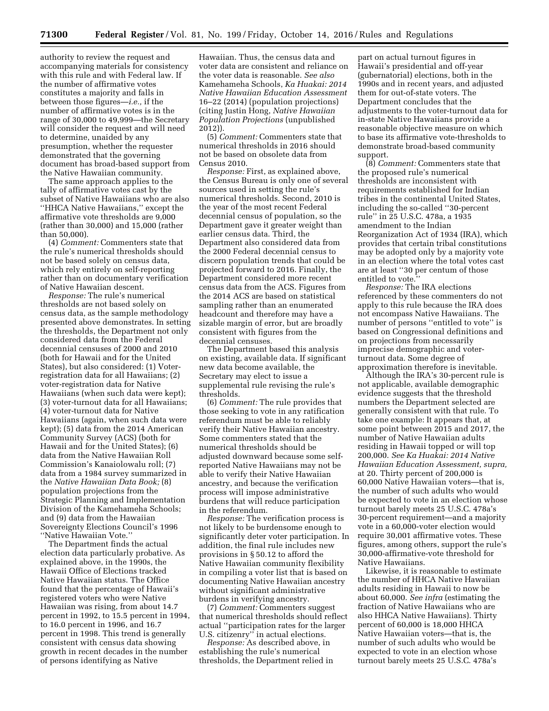authority to review the request and accompanying materials for consistency with this rule and with Federal law. If the number of affirmative votes constitutes a majority and falls in between those figures—*i.e.,* if the number of affirmative votes is in the range of 30,000 to 49,999—the Secretary will consider the request and will need to determine, unaided by any presumption, whether the requester demonstrated that the governing document has broad-based support from the Native Hawaiian community.

The same approach applies to the tally of affirmative votes cast by the subset of Native Hawaiians who are also ''HHCA Native Hawaiians,'' except the affirmative vote thresholds are 9,000 (rather than 30,000) and 15,000 (rather than 50,000).

(4) *Comment:* Commenters state that the rule's numerical thresholds should not be based solely on census data, which rely entirely on self-reporting rather than on documentary verification of Native Hawaiian descent.

*Response:* The rule's numerical thresholds are not based solely on census data, as the sample methodology presented above demonstrates. In setting the thresholds, the Department not only considered data from the Federal decennial censuses of 2000 and 2010 (both for Hawaii and for the United States), but also considered: (1) Voterregistration data for all Hawaiians; (2) voter-registration data for Native Hawaiians (when such data were kept); (3) voter-turnout data for all Hawaiians; (4) voter-turnout data for Native Hawaiians (again, when such data were kept); (5) data from the 2014 American Community Survey (ACS) (both for Hawaii and for the United States); (6) data from the Native Hawaiian Roll Commission's Kanaiolowalu roll; (7) data from a 1984 survey summarized in the *Native Hawaiian Data Book;* (8) population projections from the Strategic Planning and Implementation Division of the Kamehameha Schools; and (9) data from the Hawaiian Sovereignty Elections Council's 1996 ''Native Hawaiian Vote.''

The Department finds the actual election data particularly probative. As explained above, in the 1990s, the Hawaii Office of Elections tracked Native Hawaiian status. The Office found that the percentage of Hawaii's registered voters who were Native Hawaiian was rising, from about 14.7 percent in 1992, to 15.5 percent in 1994, to 16.0 percent in 1996, and 16.7 percent in 1998. This trend is generally consistent with census data showing growth in recent decades in the number of persons identifying as Native

Hawaiian. Thus, the census data and voter data are consistent and reliance on the voter data is reasonable. *See also*  Kamehameha Schools, *Ka Huakai: 2014 Native Hawaiian Education Assessment*  16–22 (2014) (population projections) (citing Justin Hong, *Native Hawaiian Population Projections* (unpublished 2012)).

(5) *Comment:* Commenters state that numerical thresholds in 2016 should not be based on obsolete data from Census 2010.

*Response:* First, as explained above, the Census Bureau is only one of several sources used in setting the rule's numerical thresholds. Second, 2010 is the year of the most recent Federal decennial census of population, so the Department gave it greater weight than earlier census data. Third, the Department also considered data from the 2000 Federal decennial census to discern population trends that could be projected forward to 2016. Finally, the Department considered more recent census data from the ACS. Figures from the 2014 ACS are based on statistical sampling rather than an enumerated headcount and therefore may have a sizable margin of error, but are broadly consistent with figures from the decennial censuses.

The Department based this analysis on existing, available data. If significant new data become available, the Secretary may elect to issue a supplemental rule revising the rule's thresholds.

(6) *Comment:* The rule provides that those seeking to vote in any ratification referendum must be able to reliably verify their Native Hawaiian ancestry. Some commenters stated that the numerical thresholds should be adjusted downward because some selfreported Native Hawaiians may not be able to verify their Native Hawaiian ancestry, and because the verification process will impose administrative burdens that will reduce participation in the referendum.

*Response:* The verification process is not likely to be burdensome enough to significantly deter voter participation. In addition, the final rule includes new provisions in § 50.12 to afford the Native Hawaiian community flexibility in compiling a voter list that is based on documenting Native Hawaiian ancestry without significant administrative burdens in verifying ancestry.

(7) *Comment:* Commenters suggest that numerical thresholds should reflect actual ''participation rates for the larger U.S. citizenry'' in actual elections.

*Response:* As described above, in establishing the rule's numerical thresholds, the Department relied in

part on actual turnout figures in Hawaii's presidential and off-year (gubernatorial) elections, both in the 1990s and in recent years, and adjusted them for out-of-state voters. The Department concludes that the adjustments to the voter-turnout data for in-state Native Hawaiians provide a reasonable objective measure on which to base its affirmative vote-thresholds to demonstrate broad-based community support.

(8) *Comment:* Commenters state that the proposed rule's numerical thresholds are inconsistent with requirements established for Indian tribes in the continental United States, including the so-called ''30-percent rule'' in 25 U.S.C. 478a, a 1935 amendment to the Indian Reorganization Act of 1934 (IRA), which provides that certain tribal constitutions may be adopted only by a majority vote in an election where the total votes cast are at least ''30 per centum of those entitled to vote.''

*Response:* The IRA elections referenced by these commenters do not apply to this rule because the IRA does not encompass Native Hawaiians. The number of persons ''entitled to vote'' is based on Congressional definitions and on projections from necessarily imprecise demographic and voterturnout data. Some degree of approximation therefore is inevitable.

Although the IRA's 30-percent rule is not applicable, available demographic evidence suggests that the threshold numbers the Department selected are generally consistent with that rule. To take one example: It appears that, at some point between 2015 and 2017, the number of Native Hawaiian adults residing in Hawaii topped or will top 200,000. *See Ka Huakai: 2014 Native Hawaiian Education Assessment, supra,*  at 20. Thirty percent of 200,000 is 60,000 Native Hawaiian voters—that is, the number of such adults who would be expected to vote in an election whose turnout barely meets 25 U.S.C. 478a's 30-percent requirement—and a majority vote in a 60,000-voter election would require 30,001 affirmative votes. These figures, among others, support the rule's 30,000-affirmative-vote threshold for Native Hawaiians.

Likewise, it is reasonable to estimate the number of HHCA Native Hawaiian adults residing in Hawaii to now be about 60,000. *See infra* (estimating the fraction of Native Hawaiians who are also HHCA Native Hawaiians). Thirty percent of 60,000 is 18,000 HHCA Native Hawaiian voters—that is, the number of such adults who would be expected to vote in an election whose turnout barely meets 25 U.S.C. 478a's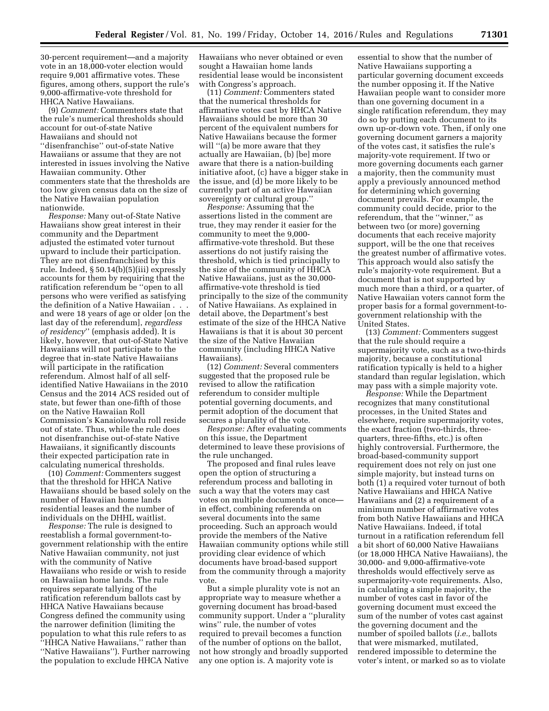30-percent requirement—and a majority vote in an 18,000-voter election would require 9,001 affirmative votes. These figures, among others, support the rule's 9,000-affirmative-vote threshold for HHCA Native Hawaiians.

(9) *Comment:* Commenters state that the rule's numerical thresholds should account for out-of-state Native Hawaiians and should not ''disenfranchise'' out-of-state Native Hawaiians or assume that they are not interested in issues involving the Native Hawaiian community. Other commenters state that the thresholds are too low given census data on the size of the Native Hawaiian population nationwide.

*Response:* Many out-of-State Native Hawaiians show great interest in their community and the Department adjusted the estimated voter turnout upward to include their participation. They are not disenfranchised by this rule. Indeed, § 50.14(b)(5)(iii) expressly accounts for them by requiring that the ratification referendum be ''open to all persons who were verified as satisfying the definition of a Native Hawaiian . . . and were 18 years of age or older [on the last day of the referendum], *regardless of residency*'' (emphasis added). It is likely, however, that out-of-State Native Hawaiians will not participate to the degree that in-state Native Hawaiians will participate in the ratification referendum. Almost half of all selfidentified Native Hawaiians in the 2010 Census and the 2014 ACS resided out of state, but fewer than one-fifth of those on the Native Hawaiian Roll Commission's Kanaiolowalu roll reside out of state. Thus, while the rule does not disenfranchise out-of-state Native Hawaiians, it significantly discounts their expected participation rate in calculating numerical thresholds.

(10) *Comment:* Commenters suggest that the threshold for HHCA Native Hawaiians should be based solely on the number of Hawaiian home lands residential leases and the number of individuals on the DHHL waitlist.

*Response:* The rule is designed to reestablish a formal government-togovernment relationship with the entire Native Hawaiian community, not just with the community of Native Hawaiians who reside or wish to reside on Hawaiian home lands. The rule requires separate tallying of the ratification referendum ballots cast by HHCA Native Hawaiians because Congress defined the community using the narrower definition (limiting the population to what this rule refers to as ''HHCA Native Hawaiians,'' rather than ''Native Hawaiians''). Further narrowing the population to exclude HHCA Native

Hawaiians who never obtained or even sought a Hawaiian home lands residential lease would be inconsistent with Congress's approach.

(11) *Comment:* Commenters stated that the numerical thresholds for affirmative votes cast by HHCA Native Hawaiians should be more than 30 percent of the equivalent numbers for Native Hawaiians because the former will ''(a) be more aware that they actually are Hawaiian, (b) [be] more aware that there is a nation-building initiative afoot, (c) have a bigger stake in the issue, and (d) be more likely to be currently part of an active Hawaiian sovereignty or cultural group.''

*Response:* Assuming that the assertions listed in the comment are true, they may render it easier for the community to meet the 9,000 affirmative-vote threshold. But these assertions do not justify raising the threshold, which is tied principally to the size of the community of HHCA Native Hawaiians, just as the 30,000 affirmative-vote threshold is tied principally to the size of the community of Native Hawaiians. As explained in detail above, the Department's best estimate of the size of the HHCA Native Hawaiians is that it is about 30 percent the size of the Native Hawaiian community (including HHCA Native Hawaiians).

(12) *Comment:* Several commenters suggested that the proposed rule be revised to allow the ratification referendum to consider multiple potential governing documents, and permit adoption of the document that secures a plurality of the vote.

*Response:* After evaluating comments on this issue, the Department determined to leave these provisions of the rule unchanged.

The proposed and final rules leave open the option of structuring a referendum process and balloting in such a way that the voters may cast votes on multiple documents at once in effect, combining referenda on several documents into the same proceeding. Such an approach would provide the members of the Native Hawaiian community options while still providing clear evidence of which documents have broad-based support from the community through a majority vote.

But a simple plurality vote is not an appropriate way to measure whether a governing document has broad-based community support. Under a ''plurality wins'' rule, the number of votes required to prevail becomes a function of the number of options on the ballot, not how strongly and broadly supported any one option is. A majority vote is

essential to show that the number of Native Hawaiians supporting a particular governing document exceeds the number opposing it. If the Native Hawaiian people want to consider more than one governing document in a single ratification referendum, they may do so by putting each document to its own up-or-down vote. Then, if only one governing document garners a majority of the votes cast, it satisfies the rule's majority-vote requirement. If two or more governing documents each garner a majority, then the community must apply a previously announced method for determining which governing document prevails. For example, the community could decide, prior to the referendum, that the ''winner,'' as between two (or more) governing documents that each receive majority support, will be the one that receives the greatest number of affirmative votes. This approach would also satisfy the rule's majority-vote requirement. But a document that is not supported by much more than a third, or a quarter, of Native Hawaiian voters cannot form the proper basis for a formal government-togovernment relationship with the United States.

(13) *Comment:* Commenters suggest that the rule should require a supermajority vote, such as a two-thirds majority, because a constitutional ratification typically is held to a higher standard than regular legislation, which may pass with a simple majority vote.

*Response:* While the Department recognizes that many constitutional processes, in the United States and elsewhere, require supermajority votes, the exact fraction (two-thirds, threequarters, three-fifths, etc.) is often highly controversial. Furthermore, the broad-based-community support requirement does not rely on just one simple majority, but instead turns on both (1) a required voter turnout of both Native Hawaiians and HHCA Native Hawaiians and (2) a requirement of a minimum number of affirmative votes from both Native Hawaiians and HHCA Native Hawaiians. Indeed, if total turnout in a ratification referendum fell a bit short of 60,000 Native Hawaiians (or 18,000 HHCA Native Hawaiians), the 30,000- and 9,000-affirmative-vote thresholds would effectively serve as supermajority-vote requirements. Also, in calculating a simple majority, the number of votes cast in favor of the governing document must exceed the sum of the number of votes cast against the governing document and the number of spoiled ballots (*i.e.,* ballots that were mismarked, mutilated, rendered impossible to determine the voter's intent, or marked so as to violate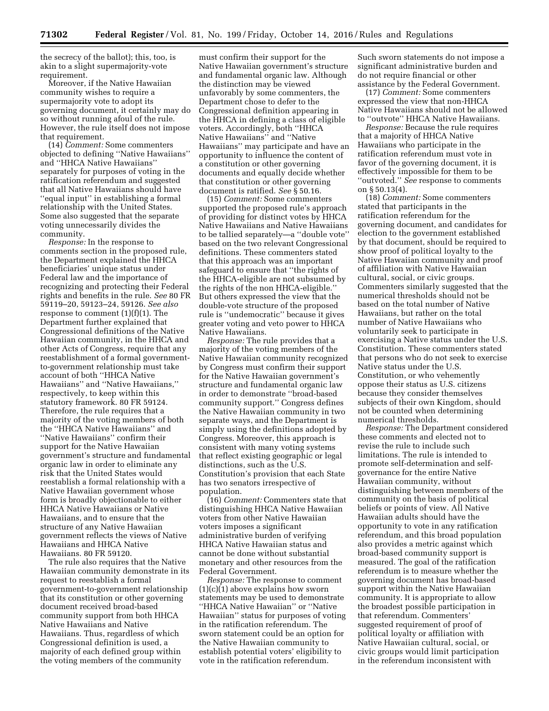the secrecy of the ballot); this, too, is akin to a slight supermajority-vote requirement.

Moreover, if the Native Hawaiian community wishes to require a supermajority vote to adopt its governing document, it certainly may do so without running afoul of the rule. However, the rule itself does not impose that requirement.

(14) *Comment:* Some commenters objected to defining ''Native Hawaiians'' and ''HHCA Native Hawaiians'' separately for purposes of voting in the ratification referendum and suggested that all Native Hawaiians should have ''equal input'' in establishing a formal relationship with the United States. Some also suggested that the separate voting unnecessarily divides the community.

*Response:* In the response to comments section in the proposed rule, the Department explained the HHCA beneficiaries' unique status under Federal law and the importance of recognizing and protecting their Federal rights and benefits in the rule. *See* 80 FR 59119–20, 59123–24, 59126. *See also*  response to comment (1)(f)(1). The Department further explained that Congressional definitions of the Native Hawaiian community, in the HHCA and other Acts of Congress, require that any reestablishment of a formal governmentto-government relationship must take account of both ''HHCA Native Hawaiians'' and ''Native Hawaiians,'' respectively, to keep within this statutory framework. 80 FR 59124. Therefore, the rule requires that a majority of the voting members of both the ''HHCA Native Hawaiians'' and ''Native Hawaiians'' confirm their support for the Native Hawaiian government's structure and fundamental organic law in order to eliminate any risk that the United States would reestablish a formal relationship with a Native Hawaiian government whose form is broadly objectionable to either HHCA Native Hawaiians or Native Hawaiians, and to ensure that the structure of any Native Hawaiian government reflects the views of Native Hawaiians and HHCA Native Hawaiians. 80 FR 59120.

The rule also requires that the Native Hawaiian community demonstrate in its request to reestablish a formal government-to-government relationship that its constitution or other governing document received broad-based community support from both HHCA Native Hawaiians and Native Hawaiians. Thus, regardless of which Congressional definition is used, a majority of each defined group within the voting members of the community

must confirm their support for the Native Hawaiian government's structure and fundamental organic law. Although the distinction may be viewed unfavorably by some commenters, the Department chose to defer to the Congressional definition appearing in the HHCA in defining a class of eligible voters. Accordingly, both ''HHCA Native Hawaiians'' and ''Native Hawaiians'' may participate and have an opportunity to influence the content of a constitution or other governing documents and equally decide whether that constitution or other governing document is ratified. *See* § 50.16.

(15) *Comment:* Some commenters supported the proposed rule's approach of providing for distinct votes by HHCA Native Hawaiians and Native Hawaiians to be tallied separately—a ''double vote'' based on the two relevant Congressional definitions. These commenters stated that this approach was an important safeguard to ensure that ''the rights of the HHCA-eligible are not subsumed by the rights of the non HHCA-eligible.'' But others expressed the view that the double-vote structure of the proposed rule is ''undemocratic'' because it gives greater voting and veto power to HHCA Native Hawaiians.

*Response:* The rule provides that a majority of the voting members of the Native Hawaiian community recognized by Congress must confirm their support for the Native Hawaiian government's structure and fundamental organic law in order to demonstrate ''broad-based community support.'' Congress defines the Native Hawaiian community in two separate ways, and the Department is simply using the definitions adopted by Congress. Moreover, this approach is consistent with many voting systems that reflect existing geographic or legal distinctions, such as the U.S. Constitution's provision that each State has two senators irrespective of population.

(16) *Comment:* Commenters state that distinguishing HHCA Native Hawaiian voters from other Native Hawaiian voters imposes a significant administrative burden of verifying HHCA Native Hawaiian status and cannot be done without substantial monetary and other resources from the Federal Government.

*Response:* The response to comment (1)(c)(1) above explains how sworn statements may be used to demonstrate ''HHCA Native Hawaiian'' or ''Native Hawaiian'' status for purposes of voting in the ratification referendum. The sworn statement could be an option for the Native Hawaiian community to establish potential voters' eligibility to vote in the ratification referendum.

Such sworn statements do not impose a significant administrative burden and do not require financial or other assistance by the Federal Government.

(17) *Comment:* Some commenters expressed the view that non-HHCA Native Hawaiians should not be allowed to ''outvote'' HHCA Native Hawaiians.

*Response:* Because the rule requires that a majority of HHCA Native Hawaiians who participate in the ratification referendum must vote in favor of the governing document, it is effectively impossible for them to be ''outvoted.'' *See* response to comments on § 50.13(4).

(18) *Comment:* Some commenters stated that participants in the ratification referendum for the governing document, and candidates for election to the government established by that document, should be required to show proof of political loyalty to the Native Hawaiian community and proof of affiliation with Native Hawaiian cultural, social, or civic groups. Commenters similarly suggested that the numerical thresholds should not be based on the total number of Native Hawaiians, but rather on the total number of Native Hawaiians who voluntarily seek to participate in exercising a Native status under the U.S. Constitution. These commenters stated that persons who do not seek to exercise Native status under the U.S. Constitution, or who vehemently oppose their status as U.S. citizens because they consider themselves subjects of their own Kingdom, should not be counted when determining numerical thresholds.

*Response:* The Department considered these comments and elected not to revise the rule to include such limitations. The rule is intended to promote self-determination and selfgovernance for the entire Native Hawaiian community, without distinguishing between members of the community on the basis of political beliefs or points of view. All Native Hawaiian adults should have the opportunity to vote in any ratification referendum, and this broad population also provides a metric against which broad-based community support is measured. The goal of the ratification referendum is to measure whether the governing document has broad-based support within the Native Hawaiian community. It is appropriate to allow the broadest possible participation in that referendum. Commenters' suggested requirement of proof of political loyalty or affiliation with Native Hawaiian cultural, social, or civic groups would limit participation in the referendum inconsistent with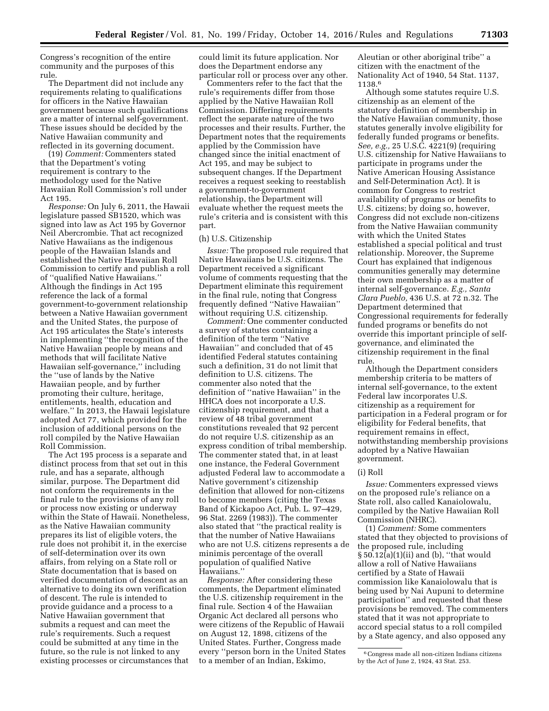Congress's recognition of the entire community and the purposes of this rule.

The Department did not include any requirements relating to qualifications for officers in the Native Hawaiian government because such qualifications are a matter of internal self-government. These issues should be decided by the Native Hawaiian community and reflected in its governing document.

(19) *Comment:* Commenters stated that the Department's voting requirement is contrary to the methodology used for the Native Hawaiian Roll Commission's roll under Act 195.

*Response:* On July 6, 2011, the Hawaii legislature passed SB1520, which was signed into law as Act 195 by Governor Neil Abercrombie. That act recognized Native Hawaiians as the indigenous people of the Hawaiian Islands and established the Native Hawaiian Roll Commission to certify and publish a roll of ''qualified Native Hawaiians.'' Although the findings in Act 195 reference the lack of a formal government-to-government relationship between a Native Hawaiian government and the United States, the purpose of Act 195 articulates the State's interests in implementing ''the recognition of the Native Hawaiian people by means and methods that will facilitate Native Hawaiian self-governance,'' including the ''use of lands by the Native Hawaiian people, and by further promoting their culture, heritage, entitlements, health, education and welfare.'' In 2013, the Hawaii legislature adopted Act 77, which provided for the inclusion of additional persons on the roll compiled by the Native Hawaiian Roll Commission.

The Act 195 process is a separate and distinct process from that set out in this rule, and has a separate, although similar, purpose. The Department did not conform the requirements in the final rule to the provisions of any roll or process now existing or underway within the State of Hawaii. Nonetheless, as the Native Hawaiian community prepares its list of eligible voters, the rule does not prohibit it, in the exercise of self-determination over its own affairs, from relying on a State roll or State documentation that is based on verified documentation of descent as an alternative to doing its own verification of descent. The rule is intended to provide guidance and a process to a Native Hawaiian government that submits a request and can meet the rule's requirements. Such a request could be submitted at any time in the future, so the rule is not linked to any existing processes or circumstances that

could limit its future application. Nor does the Department endorse any particular roll or process over any other.

Commenters refer to the fact that the rule's requirements differ from those applied by the Native Hawaiian Roll Commission. Differing requirements reflect the separate nature of the two processes and their results. Further, the Department notes that the requirements applied by the Commission have changed since the initial enactment of Act 195, and may be subject to subsequent changes. If the Department receives a request seeking to reestablish a government-to-government relationship, the Department will evaluate whether the request meets the rule's criteria and is consistent with this part.

### (h) U.S. Citizenship

*Issue:* The proposed rule required that Native Hawaiians be U.S. citizens. The Department received a significant volume of comments requesting that the Department eliminate this requirement in the final rule, noting that Congress frequently defined ''Native Hawaiian'' without requiring U.S. citizenship.

*Comment:* One commenter conducted a survey of statutes containing a definition of the term ''Native Hawaiian'' and concluded that of 45 identified Federal statutes containing such a definition, 31 do not limit that definition to U.S. citizens. The commenter also noted that the definition of ''native Hawaiian'' in the HHCA does not incorporate a U.S. citizenship requirement, and that a review of 48 tribal government constitutions revealed that 92 percent do not require U.S. citizenship as an express condition of tribal membership. The commenter stated that, in at least one instance, the Federal Government adjusted Federal law to accommodate a Native government's citizenship definition that allowed for non-citizens to become members (citing the Texas Band of Kickapoo Act, Pub. L. 97–429, 96 Stat. 2269 (1983)). The commenter also stated that ''the practical reality is that the number of Native Hawaiians who are not U.S. citizens represents a de minimis percentage of the overall population of qualified Native Hawaiians.''

*Response:* After considering these comments, the Department eliminated the U.S. citizenship requirement in the final rule. Section 4 of the Hawaiian Organic Act declared all persons who were citizens of the Republic of Hawaii on August 12, 1898, citizens of the United States. Further, Congress made every ''person born in the United States to a member of an Indian, Eskimo,

Aleutian or other aboriginal tribe'' a citizen with the enactment of the Nationality Act of 1940, 54 Stat. 1137, 1138.6

Although some statutes require U.S. citizenship as an element of the statutory definition of membership in the Native Hawaiian community, those statutes generally involve eligibility for federally funded programs or benefits. *See, e.g.,* 25 U.S.C. 4221(9) (requiring U.S. citizenship for Native Hawaiians to participate in programs under the Native American Housing Assistance and Self-Determination Act). It is common for Congress to restrict availability of programs or benefits to U.S. citizens; by doing so, however, Congress did not exclude non-citizens from the Native Hawaiian community with which the United States established a special political and trust relationship. Moreover, the Supreme Court has explained that indigenous communities generally may determine their own membership as a matter of internal self-governance. *E.g., Santa Clara Pueblo,* 436 U.S. at 72 n.32. The Department determined that Congressional requirements for federally funded programs or benefits do not override this important principle of selfgovernance, and eliminated the citizenship requirement in the final rule.

Although the Department considers membership criteria to be matters of internal self-governance, to the extent Federal law incorporates U.S. citizenship as a requirement for participation in a Federal program or for eligibility for Federal benefits, that requirement remains in effect, notwithstanding membership provisions adopted by a Native Hawaiian government.

### (i) Roll

*Issue:* Commenters expressed views on the proposed rule's reliance on a State roll, also called Kanaiolowalu, compiled by the Native Hawaiian Roll Commission (NHRC).

(1) *Comment:* Some commenters stated that they objected to provisions of the proposed rule, including § 50.12(a)(1)(ii) and (b), ''that would allow a roll of Native Hawaiians certified by a State of Hawaii commission like Kanaiolowalu that is being used by Nai Aupuni to determine participation'' and requested that these provisions be removed. The commenters stated that it was not appropriate to accord special status to a roll compiled by a State agency, and also opposed any

<sup>6</sup>Congress made all non-citizen Indians citizens by the Act of June 2, 1924, 43 Stat. 253.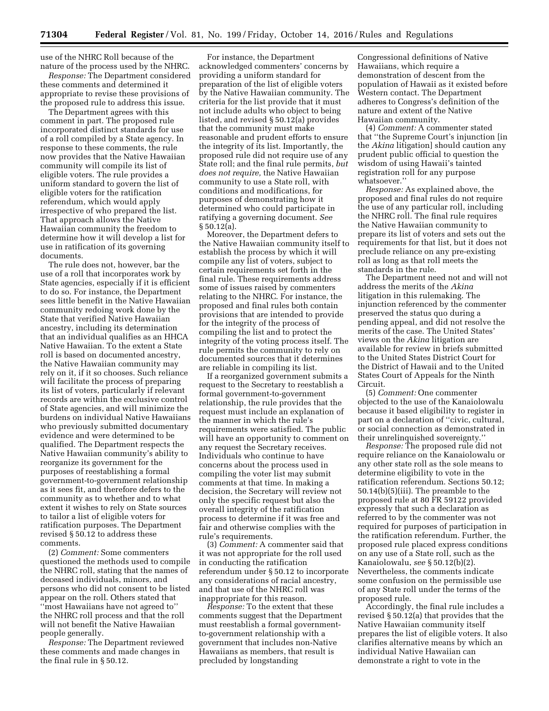use of the NHRC Roll because of the nature of the process used by the NHRC.

*Response:* The Department considered these comments and determined it appropriate to revise these provisions of the proposed rule to address this issue.

The Department agrees with this comment in part. The proposed rule incorporated distinct standards for use of a roll compiled by a State agency. In response to these comments, the rule now provides that the Native Hawaiian community will compile its list of eligible voters. The rule provides a uniform standard to govern the list of eligible voters for the ratification referendum, which would apply irrespective of who prepared the list. That approach allows the Native Hawaiian community the freedom to determine how it will develop a list for use in ratification of its governing documents.

The rule does not, however, bar the use of a roll that incorporates work by State agencies, especially if it is efficient to do so. For instance, the Department sees little benefit in the Native Hawaiian community redoing work done by the State that verified Native Hawaiian ancestry, including its determination that an individual qualifies as an HHCA Native Hawaiian. To the extent a State roll is based on documented ancestry, the Native Hawaiian community may rely on it, if it so chooses. Such reliance will facilitate the process of preparing its list of voters, particularly if relevant records are within the exclusive control of State agencies, and will minimize the burdens on individual Native Hawaiians who previously submitted documentary evidence and were determined to be qualified. The Department respects the Native Hawaiian community's ability to reorganize its government for the purposes of reestablishing a formal government-to-government relationship as it sees fit, and therefore defers to the community as to whether and to what extent it wishes to rely on State sources to tailor a list of eligible voters for ratification purposes. The Department revised § 50.12 to address these comments.

(2) *Comment:* Some commenters questioned the methods used to compile the NHRC roll, stating that the names of deceased individuals, minors, and persons who did not consent to be listed appear on the roll. Others stated that ''most Hawaiians have not agreed to'' the NHRC roll process and that the roll will not benefit the Native Hawaiian people generally.

*Response:* The Department reviewed these comments and made changes in the final rule in § 50.12.

For instance, the Department acknowledged commenters' concerns by providing a uniform standard for preparation of the list of eligible voters by the Native Hawaiian community. The criteria for the list provide that it must not include adults who object to being listed, and revised § 50.12(a) provides that the community must make reasonable and prudent efforts to ensure the integrity of its list. Importantly, the proposed rule did not require use of any State roll; and the final rule permits, *but does not require,* the Native Hawaiian community to use a State roll, with conditions and modifications, for purposes of demonstrating how it determined who could participate in ratifying a governing document. *See*  § 50.12(a).

Moreover, the Department defers to the Native Hawaiian community itself to establish the process by which it will compile any list of voters, subject to certain requirements set forth in the final rule. These requirements address some of issues raised by commenters relating to the NHRC. For instance, the proposed and final rules both contain provisions that are intended to provide for the integrity of the process of compiling the list and to protect the integrity of the voting process itself. The rule permits the community to rely on documented sources that it determines are reliable in compiling its list.

If a reorganized government submits a request to the Secretary to reestablish a formal government-to-government relationship, the rule provides that the request must include an explanation of the manner in which the rule's requirements were satisfied. The public will have an opportunity to comment on any request the Secretary receives. Individuals who continue to have concerns about the process used in compiling the voter list may submit comments at that time. In making a decision, the Secretary will review not only the specific request but also the overall integrity of the ratification process to determine if it was free and fair and otherwise complies with the rule's requirements.

(3) *Comment:* A commenter said that it was not appropriate for the roll used in conducting the ratification referendum under § 50.12 to incorporate any considerations of racial ancestry, and that use of the NHRC roll was inappropriate for this reason.

*Response:* To the extent that these comments suggest that the Department must reestablish a formal governmentto-government relationship with a government that includes non-Native Hawaiians as members, that result is precluded by longstanding

Congressional definitions of Native Hawaiians, which require a demonstration of descent from the population of Hawaii as it existed before Western contact. The Department adheres to Congress's definition of the nature and extent of the Native Hawaiian community.

(4) *Comment:* A commenter stated that ''the Supreme Court's injunction [in the *Akina* litigation] should caution any prudent public official to question the wisdom of using Hawaii's tainted registration roll for any purpose whatsoever.''

*Response:* As explained above, the proposed and final rules do not require the use of any particular roll, including the NHRC roll. The final rule requires the Native Hawaiian community to prepare its list of voters and sets out the requirements for that list, but it does not preclude reliance on any pre-existing roll as long as that roll meets the standards in the rule.

The Department need not and will not address the merits of the *Akina*  litigation in this rulemaking. The injunction referenced by the commenter preserved the status quo during a pending appeal, and did not resolve the merits of the case. The United States' views on the *Akina* litigation are available for review in briefs submitted to the United States District Court for the District of Hawaii and to the United States Court of Appeals for the Ninth Circuit.

(5) *Comment:* One commenter objected to the use of the Kanaiolowalu because it based eligibility to register in part on a declaration of ''civic, cultural, or social connection as demonstrated in their unrelinquished sovereignty.''

*Response:* The proposed rule did not require reliance on the Kanaiolowalu or any other state roll as the sole means to determine eligibility to vote in the ratification referendum. Sections 50.12; 50.14(b)(5)(iii). The preamble to the proposed rule at 80 FR 59122 provided expressly that such a declaration as referred to by the commenter was not required for purposes of participation in the ratification referendum. Further, the proposed rule placed express conditions on any use of a State roll, such as the Kanaiolowalu, *see* § 50.12(b)(2). Nevertheless, the comments indicate some confusion on the permissible use of any State roll under the terms of the proposed rule.

Accordingly, the final rule includes a revised § 50.12(a) that provides that the Native Hawaiian community itself prepares the list of eligible voters. It also clarifies alternative means by which an individual Native Hawaiian can demonstrate a right to vote in the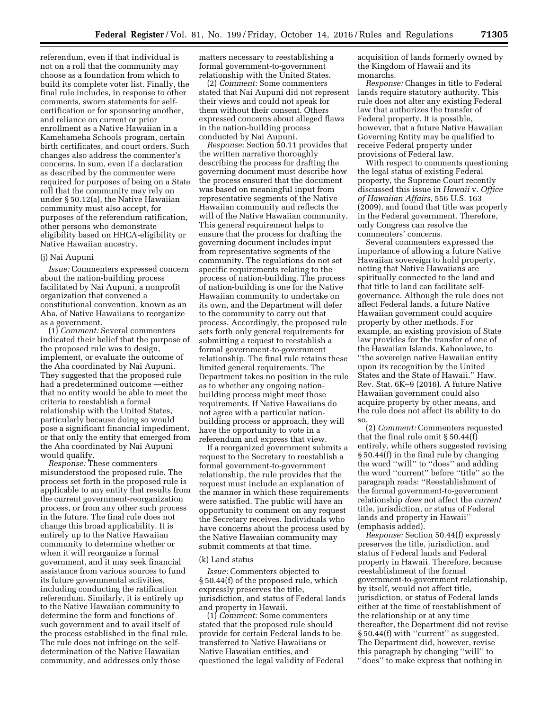referendum, even if that individual is not on a roll that the community may choose as a foundation from which to build its complete voter list. Finally, the final rule includes, in response to other comments, sworn statements for selfcertification or for sponsoring another, and reliance on current or prior enrollment as a Native Hawaiian in a Kamehameha Schools program, certain birth certificates, and court orders. Such changes also address the commenter's concerns. In sum, even if a declaration as described by the commenter were required for purposes of being on a State roll that the community may rely on under § 50.12(a), the Native Hawaiian community must also accept, for purposes of the referendum ratification, other persons who demonstrate eligibility based on HHCA-eligibility or Native Hawaiian ancestry.

### (j) Nai Aupuni

*Issue:* Commenters expressed concern about the nation-building process facilitated by Nai Aupuni, a nonprofit organization that convened a constitutional convention, known as an Aha, of Native Hawaiians to reorganize as a government.

(1) *Comment:* Several commenters indicated their belief that the purpose of the proposed rule was to design, implement, or evaluate the outcome of the Aha coordinated by Nai Aupuni. They suggested that the proposed rule had a predetermined outcome —either that no entity would be able to meet the criteria to reestablish a formal relationship with the United States, particularly because doing so would pose a significant financial impediment, or that only the entity that emerged from the Aha coordinated by Nai Aupuni would qualify.

*Response:* These commenters misunderstood the proposed rule. The process set forth in the proposed rule is applicable to any entity that results from the current government-reorganization process, or from any other such process in the future. The final rule does not change this broad applicability. It is entirely up to the Native Hawaiian community to determine whether or when it will reorganize a formal government, and it may seek financial assistance from various sources to fund its future governmental activities, including conducting the ratification referendum. Similarly, it is entirely up to the Native Hawaiian community to determine the form and functions of such government and to avail itself of the process established in the final rule. The rule does not infringe on the selfdetermination of the Native Hawaiian community, and addresses only those

matters necessary to reestablishing a formal government-to-government relationship with the United States.

(2) *Comment:* Some commenters stated that Nai Aupuni did not represent their views and could not speak for them without their consent. Others expressed concerns about alleged flaws in the nation-building process conducted by Nai Aupuni.

*Response:* Section 50.11 provides that the written narrative thoroughly describing the process for drafting the governing document must describe how the process ensured that the document was based on meaningful input from representative segments of the Native Hawaiian community and reflects the will of the Native Hawaiian community. This general requirement helps to ensure that the process for drafting the governing document includes input from representative segments of the community. The regulations do not set specific requirements relating to the process of nation-building. The process of nation-building is one for the Native Hawaiian community to undertake on its own, and the Department will defer to the community to carry out that process. Accordingly, the proposed rule sets forth only general requirements for submitting a request to reestablish a formal government-to-government relationship. The final rule retains these limited general requirements. The Department takes no position in the rule as to whether any ongoing nationbuilding process might meet those requirements. If Native Hawaiians do not agree with a particular nationbuilding process or approach, they will have the opportunity to vote in a referendum and express that view.

If a reorganized government submits a request to the Secretary to reestablish a formal government-to-government relationship, the rule provides that the request must include an explanation of the manner in which these requirements were satisfied. The public will have an opportunity to comment on any request the Secretary receives. Individuals who have concerns about the process used by the Native Hawaiian community may submit comments at that time.

### (k) Land status

*Issue:* Commenters objected to § 50.44(f) of the proposed rule, which expressly preserves the title, jurisdiction, and status of Federal lands and property in Hawaii.

(1) *Comment:* Some commenters stated that the proposed rule should provide for certain Federal lands to be transferred to Native Hawaiians or Native Hawaiian entities, and questioned the legal validity of Federal acquisition of lands formerly owned by the Kingdom of Hawaii and its monarchs.

*Response:* Changes in title to Federal lands require statutory authority. This rule does not alter any existing Federal law that authorizes the transfer of Federal property. It is possible, however, that a future Native Hawaiian Governing Entity may be qualified to receive Federal property under provisions of Federal law.

With respect to comments questioning the legal status of existing Federal property, the Supreme Court recently discussed this issue in *Hawaii* v. *Office of Hawaiian Affairs,* 556 U.S. 163 (2009), and found that title was properly in the Federal government. Therefore, only Congress can resolve the commenters' concerns.

Several commenters expressed the importance of allowing a future Native Hawaiian sovereign to hold property, noting that Native Hawaiians are spiritually connected to the land and that title to land can facilitate selfgovernance. Although the rule does not affect Federal lands, a future Native Hawaiian government could acquire property by other methods. For example, an existing provision of State law provides for the transfer of one of the Hawaiian Islands, Kahoolawe, to ''the sovereign native Hawaiian entity upon its recognition by the United States and the State of Hawaii.'' Haw. Rev. Stat. 6K–9 (2016). A future Native Hawaiian government could also acquire property by other means, and the rule does not affect its ability to do so.

(2) *Comment:* Commenters requested that the final rule omit § 50.44(f) entirely, while others suggested revising § 50.44(f) in the final rule by changing the word ''will'' to ''does'' and adding the word ''current'' before ''title'' so the paragraph reads: ''Reestablishment of the formal government-to-government relationship *does* not affect the *current*  title, jurisdiction, or status of Federal lands and property in Hawaii'' (emphasis added).

*Response:* Section 50.44(f) expressly preserves the title, jurisdiction, and status of Federal lands and Federal property in Hawaii. Therefore, because reestablishment of the formal government-to-government relationship, by itself, would not affect title, jurisdiction, or status of Federal lands either at the time of reestablishment of the relationship or at any time thereafter, the Department did not revise § 50.44(f) with "current" as suggested. The Department did, however, revise this paragraph by changing ''will'' to ''does'' to make express that nothing in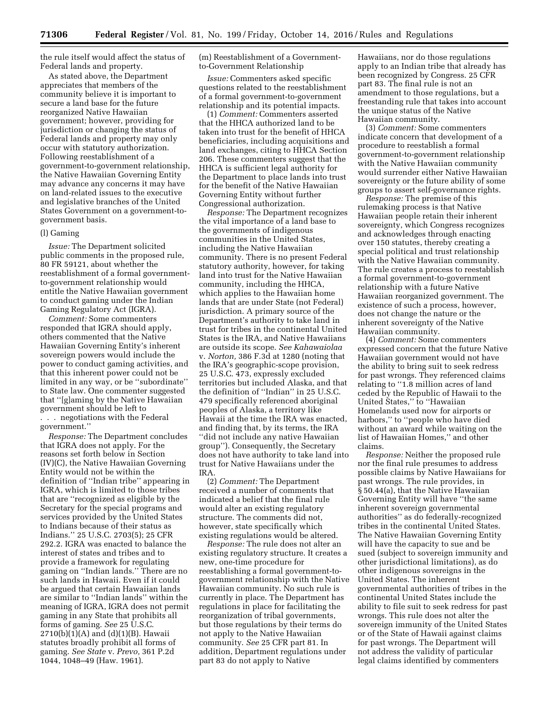the rule itself would affect the status of Federal lands and property.

As stated above, the Department appreciates that members of the community believe it is important to secure a land base for the future reorganized Native Hawaiian government; however, providing for jurisdiction or changing the status of Federal lands and property may only occur with statutory authorization. Following reestablishment of a government-to-government relationship, the Native Hawaiian Governing Entity may advance any concerns it may have on land-related issues to the executive and legislative branches of the United States Government on a government-togovernment basis.

#### (l) Gaming

*Issue:* The Department solicited public comments in the proposed rule, 80 FR 59121, about whether the reestablishment of a formal governmentto-government relationship would entitle the Native Hawaiian government to conduct gaming under the Indian Gaming Regulatory Act (IGRA).

*Comment:* Some commenters responded that IGRA should apply, others commented that the Native Hawaiian Governing Entity's inherent sovereign powers would include the power to conduct gaming activities, and that this inherent power could not be limited in any way, or be ''subordinate'' to State law. One commenter suggested that ''[g]aming by the Native Hawaiian government should be left to . . . negotiations with the Federal government.''

*Response:* The Department concludes that IGRA does not apply. For the reasons set forth below in Section (IV)(C), the Native Hawaiian Governing Entity would not be within the definition of ''Indian tribe'' appearing in IGRA, which is limited to those tribes that are ''recognized as eligible by the Secretary for the special programs and services provided by the United States to Indians because of their status as Indians.'' 25 U.S.C. 2703(5); 25 CFR 292.2. IGRA was enacted to balance the interest of states and tribes and to provide a framework for regulating gaming on ''Indian lands.'' There are no such lands in Hawaii. Even if it could be argued that certain Hawaiian lands are similar to ''Indian lands'' within the meaning of IGRA, IGRA does not permit gaming in any State that prohibits all forms of gaming. *See* 25 U.S.C. 2710(b)(1)(A) and (d)(1)(B). Hawaii statutes broadly prohibit all forms of gaming. *See State* v. *Prevo,* 361 P.2d 1044, 1048–49 (Haw. 1961).

(m) Reestablishment of a Governmentto-Government Relationship

*Issue:* Commenters asked specific questions related to the reestablishment of a formal government-to-government relationship and its potential impacts.

(1) *Comment:* Commenters asserted that the HHCA authorized land to be taken into trust for the benefit of HHCA beneficiaries, including acquisitions and land exchanges, citing to HHCA Section 206. These commenters suggest that the HHCA is sufficient legal authority for the Department to place lands into trust for the benefit of the Native Hawaiian Governing Entity without further Congressional authorization.

*Response:* The Department recognizes the vital importance of a land base to the governments of indigenous communities in the United States, including the Native Hawaiian community. There is no present Federal statutory authority, however, for taking land into trust for the Native Hawaiian community, including the HHCA, which applies to the Hawaiian home lands that are under State (not Federal) jurisdiction. A primary source of the Department's authority to take land in trust for tribes in the continental United States is the IRA, and Native Hawaiians are outside its scope. *See Kahawaiolaa*  v. *Norton,* 386 F.3d at 1280 (noting that the IRA's geographic-scope provision, 25 U.S.C. 473, expressly excluded territories but included Alaska, and that the definition of ''Indian'' in 25 U.S.C. 479 specifically referenced aboriginal peoples of Alaska, a territory like Hawaii at the time the IRA was enacted, and finding that, by its terms, the IRA ''did not include any native Hawaiian group''). Consequently, the Secretary does not have authority to take land into trust for Native Hawaiians under the IRA.

(2) *Comment:* The Department received a number of comments that indicated a belief that the final rule would alter an existing regulatory structure. The comments did not, however, state specifically which existing regulations would be altered.

*Response:* The rule does not alter an existing regulatory structure. It creates a new, one-time procedure for reestablishing a formal government-togovernment relationship with the Native Hawaiian community. No such rule is currently in place. The Department has regulations in place for facilitating the reorganization of tribal governments, but those regulations by their terms do not apply to the Native Hawaiian community. *See* 25 CFR part 81. In addition, Department regulations under part 83 do not apply to Native

Hawaiians, nor do those regulations apply to an Indian tribe that already has been recognized by Congress. 25 CFR part 83. The final rule is not an amendment to those regulations, but a freestanding rule that takes into account the unique status of the Native Hawaiian community.

(3) *Comment:* Some commenters indicate concern that development of a procedure to reestablish a formal government-to-government relationship with the Native Hawaiian community would surrender either Native Hawaiian sovereignty or the future ability of some groups to assert self-governance rights.

*Response:* The premise of this rulemaking process is that Native Hawaiian people retain their inherent sovereignty, which Congress recognizes and acknowledges through enacting over 150 statutes, thereby creating a special political and trust relationship with the Native Hawaiian community. The rule creates a process to reestablish a formal government-to-government relationship with a future Native Hawaiian reorganized government. The existence of such a process, however, does not change the nature or the inherent sovereignty of the Native Hawaiian community.

(4) *Comment:* Some commenters expressed concern that the future Native Hawaiian government would not have the ability to bring suit to seek redress for past wrongs. They referenced claims relating to ''1.8 million acres of land ceded by the Republic of Hawaii to the United States,'' to ''Hawaiian Homelands used now for airports or harbors,'' to ''people who have died without an award while waiting on the list of Hawaiian Homes,'' and other claims.

*Response:* Neither the proposed rule nor the final rule presumes to address possible claims by Native Hawaiians for past wrongs. The rule provides, in § 50.44(a), that the Native Hawaiian Governing Entity will have ''the same inherent sovereign governmental authorities'' as do federally-recognized tribes in the continental United States. The Native Hawaiian Governing Entity will have the capacity to sue and be sued (subject to sovereign immunity and other jurisdictional limitations), as do other indigenous sovereigns in the United States. The inherent governmental authorities of tribes in the continental United States include the ability to file suit to seek redress for past wrongs. This rule does not alter the sovereign immunity of the United States or of the State of Hawaii against claims for past wrongs. The Department will not address the validity of particular legal claims identified by commenters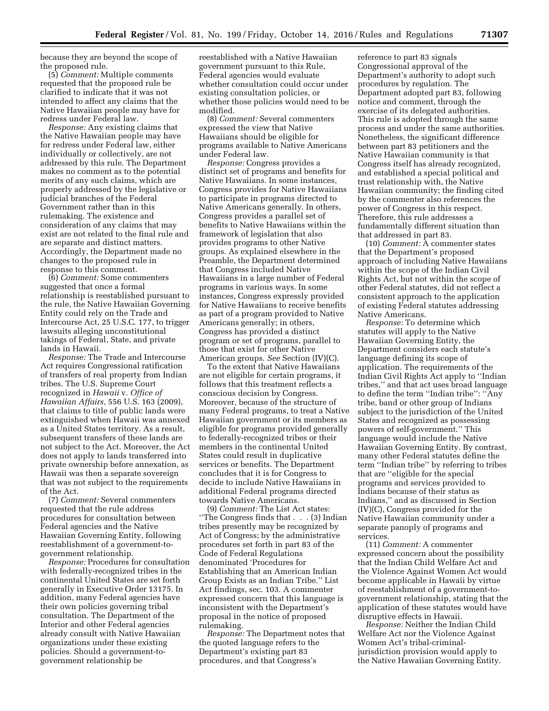because they are beyond the scope of the proposed rule.

(5) *Comment:* Multiple comments requested that the proposed rule be clarified to indicate that it was not intended to affect any claims that the Native Hawaiian people may have for redress under Federal law.

*Response:* Any existing claims that the Native Hawaiian people may have for redress under Federal law, either individually or collectively, are not addressed by this rule. The Department makes no comment as to the potential merits of any such claims, which are properly addressed by the legislative or judicial branches of the Federal Government rather than in this rulemaking. The existence and consideration of any claims that may exist are not related to the final rule and are separate and distinct matters. Accordingly, the Department made no changes to the proposed rule in response to this comment.

(6) *Comment:* Some commenters suggested that once a formal relationship is reestablished pursuant to the rule, the Native Hawaiian Governing Entity could rely on the Trade and Intercourse Act, 25 U.S.C. 177, to trigger lawsuits alleging unconstitutional takings of Federal, State, and private lands in Hawaii.

*Response:* The Trade and Intercourse Act requires Congressional ratification of transfers of real property from Indian tribes. The U.S. Supreme Court recognized in *Hawaii* v. *Office of Hawaiian Affairs,* 556 U.S. 163 (2009), that claims to title of public lands were extinguished when Hawaii was annexed as a United States territory. As a result, subsequent transfers of these lands are not subject to the Act. Moreover, the Act does not apply to lands transferred into private ownership before annexation, as Hawaii was then a separate sovereign that was not subject to the requirements of the Act.

(7) *Comment:* Several commenters requested that the rule address procedures for consultation between Federal agencies and the Native Hawaiian Governing Entity, following reestablishment of a government-togovernment relationship.

*Response:* Procedures for consultation with federally-recognized tribes in the continental United States are set forth generally in Executive Order 13175. In addition, many Federal agencies have their own policies governing tribal consultation. The Department of the Interior and other Federal agencies already consult with Native Hawaiian organizations under these existing policies. Should a government-togovernment relationship be

reestablished with a Native Hawaiian government pursuant to this Rule, Federal agencies would evaluate whether consultation could occur under existing consultation policies, or whether those policies would need to be modified.

(8) *Comment:* Several commenters expressed the view that Native Hawaiians should be eligible for programs available to Native Americans under Federal law.

*Response:* Congress provides a distinct set of programs and benefits for Native Hawaiians. In some instances, Congress provides for Native Hawaiians to participate in programs directed to Native Americans generally. In others, Congress provides a parallel set of benefits to Native Hawaiians within the framework of legislation that also provides programs to other Native groups. As explained elsewhere in the Preamble, the Department determined that Congress included Native Hawaiians in a large number of Federal programs in various ways. In some instances, Congress expressly provided for Native Hawaiians to receive benefits as part of a program provided to Native Americans generally; in others, Congress has provided a distinct program or set of programs, parallel to those that exist for other Native American groups. *See* Section (IV)(C).

To the extent that Native Hawaiians are not eligible for certain programs, it follows that this treatment reflects a conscious decision by Congress. Moreover, because of the structure of many Federal programs, to treat a Native Hawaiian government or its members as eligible for programs provided generally to federally-recognized tribes or their members in the continental United States could result in duplicative services or benefits. The Department concludes that it is for Congress to decide to include Native Hawaiians in additional Federal programs directed towards Native Americans.

(9) *Comment:* The List Act states: ''The Congress finds that . . . (3) Indian tribes presently may be recognized by Act of Congress; by the administrative procedures set forth in part 83 of the Code of Federal Regulations denominated 'Procedures for Establishing that an American Indian Group Exists as an Indian Tribe.'' List Act findings, sec. 103. A commenter expressed concern that this language is inconsistent with the Department's proposal in the notice of proposed rulemaking.

*Response:* The Department notes that the quoted language refers to the Department's existing part 83 procedures, and that Congress's

reference to part 83 signals Congressional approval of the Department's authority to adopt such procedures by regulation. The Department adopted part 83, following notice and comment, through the exercise of its delegated authorities. This rule is adopted through the same process and under the same authorities. Nonetheless, the significant difference between part 83 petitioners and the Native Hawaiian community is that Congress itself has already recognized, and established a special political and trust relationship with, the Native Hawaiian community; the finding cited by the commenter also references the power of Congress in this respect. Therefore, this rule addresses a fundamentally different situation than that addressed in part 83.

(10) *Comment:* A commenter states that the Department's proposed approach of including Native Hawaiians within the scope of the Indian Civil Rights Act, but not within the scope of other Federal statutes, did not reflect a consistent approach to the application of existing Federal statutes addressing Native Americans.

*Response:* To determine which statutes will apply to the Native Hawaiian Governing Entity, the Department considers each statute's language defining its scope of application. The requirements of the Indian Civil Rights Act apply to ''Indian tribes,'' and that act uses broad language to define the term ''Indian tribe'': ''Any tribe, band or other group of Indians subject to the jurisdiction of the United States and recognized as possessing powers of self-government.'' This language would include the Native Hawaiian Governing Entity. By contrast, many other Federal statutes define the term ''Indian tribe'' by referring to tribes that are ''eligible for the special programs and services provided to Indians because of their status as Indians,'' and as discussed in Section (IV)(C), Congress provided for the Native Hawaiian community under a separate panoply of programs and services.

(11) *Comment:* A commenter expressed concern about the possibility that the Indian Child Welfare Act and the Violence Against Women Act would become applicable in Hawaii by virtue of reestablishment of a government-togovernment relationship, stating that the application of these statutes would have disruptive effects in Hawaii.

*Response:* Neither the Indian Child Welfare Act nor the Violence Against Women Act's tribal-criminaljurisdiction provision would apply to the Native Hawaiian Governing Entity.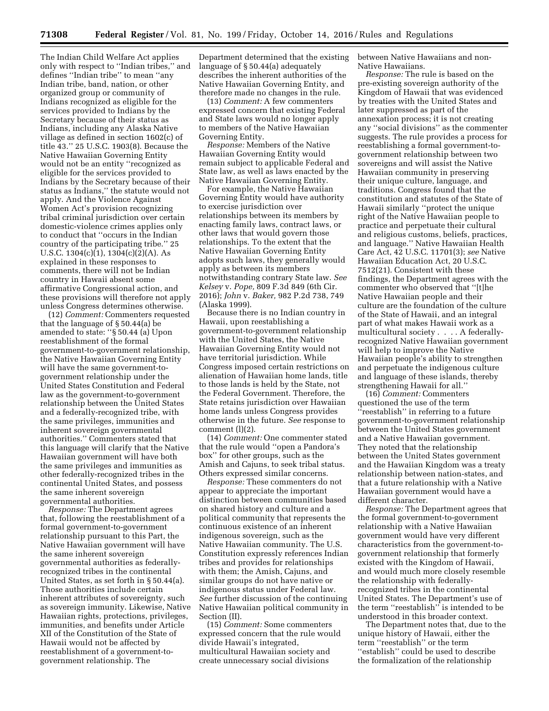The Indian Child Welfare Act applies only with respect to ''Indian tribes,'' and defines ''Indian tribe'' to mean ''any Indian tribe, band, nation, or other organized group or community of Indians recognized as eligible for the services provided to Indians by the Secretary because of their status as Indians, including any Alaska Native village as defined in section 1602(c) of title 43.'' 25 U.S.C. 1903(8). Because the Native Hawaiian Governing Entity would not be an entity ''recognized as eligible for the services provided to Indians by the Secretary because of their status as Indians,'' the statute would not apply. And the Violence Against Women Act's provision recognizing tribal criminal jurisdiction over certain domestic-violence crimes applies only to conduct that ''occurs in the Indian country of the participating tribe.'' 25 U.S.C.  $1304(c)(1)$ ,  $1304(c)(2)(A)$ . As explained in these responses to comments, there will not be Indian country in Hawaii absent some affirmative Congressional action, and these provisions will therefore not apply unless Congress determines otherwise.

(12) *Comment:* Commenters requested that the language of § 50.44(a) be amended to state: ''§ 50.44 (a) Upon reestablishment of the formal government-to-government relationship, the Native Hawaiian Governing Entity will have the same government-togovernment relationship under the United States Constitution and Federal law as the government-to-government relationship between the United States and a federally-recognized tribe, with the same privileges, immunities and inherent sovereign governmental authorities.'' Commenters stated that this language will clarify that the Native Hawaiian government will have both the same privileges and immunities as other federally-recognized tribes in the continental United States, and possess the same inherent sovereign governmental authorities.

*Response:* The Department agrees that, following the reestablishment of a formal government-to-government relationship pursuant to this Part, the Native Hawaiian government will have the same inherent sovereign governmental authorities as federallyrecognized tribes in the continental United States, as set forth in § 50.44(a). Those authorities include certain inherent attributes of sovereignty, such as sovereign immunity. Likewise, Native Hawaiian rights, protections, privileges, immunities, and benefits under Article XII of the Constitution of the State of Hawaii would not be affected by reestablishment of a government-togovernment relationship. The

Department determined that the existing language of § 50.44(a) adequately describes the inherent authorities of the Native Hawaiian Governing Entity, and therefore made no changes in the rule.

(13) *Comment:* A few commenters expressed concern that existing Federal and State laws would no longer apply to members of the Native Hawaiian Governing Entity.

*Response:* Members of the Native Hawaiian Governing Entity would remain subject to applicable Federal and State law, as well as laws enacted by the Native Hawaiian Governing Entity.

For example, the Native Hawaiian Governing Entity would have authority to exercise jurisdiction over relationships between its members by enacting family laws, contract laws, or other laws that would govern those relationships. To the extent that the Native Hawaiian Governing Entity adopts such laws, they generally would apply as between its members notwithstanding contrary State law. *See Kelsey* v. *Pope,* 809 F.3d 849 (6th Cir. 2016); *John* v. *Baker,* 982 P.2d 738, 749 (Alaska 1999).

Because there is no Indian country in Hawaii, upon reestablishing a government-to-government relationship with the United States, the Native Hawaiian Governing Entity would not have territorial jurisdiction. While Congress imposed certain restrictions on alienation of Hawaiian home lands, title to those lands is held by the State, not the Federal Government. Therefore, the State retains jurisdiction over Hawaiian home lands unless Congress provides otherwise in the future. *See* response to comment  $(l)(2)$ .

(14) *Comment:* One commenter stated that the rule would ''open a Pandora's box'' for other groups, such as the Amish and Cajuns, to seek tribal status. Others expressed similar concerns.

*Response:* These commenters do not appear to appreciate the important distinction between communities based on shared history and culture and a political community that represents the continuous existence of an inherent indigenous sovereign, such as the Native Hawaiian community. The U.S. Constitution expressly references Indian tribes and provides for relationships with them; the Amish, Cajuns, and similar groups do not have native or indigenous status under Federal law. *See* further discussion of the continuing Native Hawaiian political community in Section (II).

(15) *Comment:* Some commenters expressed concern that the rule would divide Hawaii's integrated, multicultural Hawaiian society and create unnecessary social divisions

between Native Hawaiians and non-Native Hawaiians.

*Response:* The rule is based on the pre-existing sovereign authority of the Kingdom of Hawaii that was evidenced by treaties with the United States and later suppressed as part of the annexation process; it is not creating any ''social divisions'' as the commenter suggests. The rule provides a process for reestablishing a formal government-togovernment relationship between two sovereigns and will assist the Native Hawaiian community in preserving their unique culture, language, and traditions. Congress found that the constitution and statutes of the State of Hawaii similarly ''protect the unique right of the Native Hawaiian people to practice and perpetuate their cultural and religious customs, beliefs, practices, and language.'' Native Hawaiian Health Care Act, 42 U.S.C. 11701(3); *see* Native Hawaiian Education Act, 20 U.S.C. 7512(21). Consistent with these findings, the Department agrees with the commenter who observed that ''[t]he Native Hawaiian people and their culture are the foundation of the culture of the State of Hawaii, and an integral part of what makes Hawaii work as a multicultural society . . . . A federallyrecognized Native Hawaiian government will help to improve the Native Hawaiian people's ability to strengthen and perpetuate the indigenous culture and language of these islands, thereby strengthening Hawaii for all.''

(16) *Comment:* Commenters questioned the use of the term ''reestablish'' in referring to a future government-to-government relationship between the United States government and a Native Hawaiian government. They noted that the relationship between the United States government and the Hawaiian Kingdom was a treaty relationship between nation-states, and that a future relationship with a Native Hawaiian government would have a different character.

*Response:* The Department agrees that the formal government-to-government relationship with a Native Hawaiian government would have very different characteristics from the government-togovernment relationship that formerly existed with the Kingdom of Hawaii, and would much more closely resemble the relationship with federallyrecognized tribes in the continental United States. The Department's use of the term ''reestablish'' is intended to be understood in this broader context.

The Department notes that, due to the unique history of Hawaii, either the term ''reestablish'' or the term ''establish'' could be used to describe the formalization of the relationship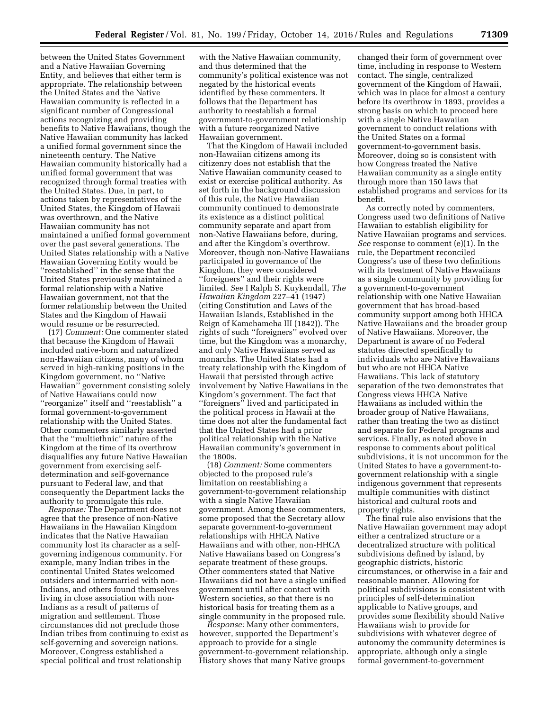between the United States Government and a Native Hawaiian Governing Entity, and believes that either term is appropriate. The relationship between the United States and the Native Hawaiian community is reflected in a significant number of Congressional actions recognizing and providing benefits to Native Hawaiians, though the Native Hawaiian community has lacked a unified formal government since the nineteenth century. The Native Hawaiian community historically had a unified formal government that was recognized through formal treaties with the United States. Due, in part, to actions taken by representatives of the United States, the Kingdom of Hawaii was overthrown, and the Native Hawaiian community has not maintained a unified formal government over the past several generations. The United States relationship with a Native Hawaiian Governing Entity would be ''reestablished'' in the sense that the United States previously maintained a formal relationship with a Native Hawaiian government, not that the former relationship between the United States and the Kingdom of Hawaii would resume or be resurrected.

(17) *Comment:* One commenter stated that because the Kingdom of Hawaii included native-born and naturalized non-Hawaiian citizens, many of whom served in high-ranking positions in the Kingdom government, no ''Native Hawaiian'' government consisting solely of Native Hawaiians could now ''reorganize'' itself and ''reestablish'' a formal government-to-government relationship with the United States. Other commenters similarly asserted that the ''multiethnic'' nature of the Kingdom at the time of its overthrow disqualifies any future Native Hawaiian government from exercising selfdetermination and self-governance pursuant to Federal law, and that consequently the Department lacks the authority to promulgate this rule.

*Response:* The Department does not agree that the presence of non-Native Hawaiians in the Hawaiian Kingdom indicates that the Native Hawaiian community lost its character as a selfgoverning indigenous community. For example, many Indian tribes in the continental United States welcomed outsiders and intermarried with non-Indians, and others found themselves living in close association with non-Indians as a result of patterns of migration and settlement. Those circumstances did not preclude those Indian tribes from continuing to exist as self-governing and sovereign nations. Moreover, Congress established a special political and trust relationship

with the Native Hawaiian community, and thus determined that the community's political existence was not negated by the historical events identified by these commenters. It follows that the Department has authority to reestablish a formal government-to-government relationship with a future reorganized Native Hawaiian government.

That the Kingdom of Hawaii included non-Hawaiian citizens among its citizenry does not establish that the Native Hawaiian community ceased to exist or exercise political authority. As set forth in the background discussion of this rule, the Native Hawaiian community continued to demonstrate its existence as a distinct political community separate and apart from non-Native Hawaiians before, during, and after the Kingdom's overthrow. Moreover, though non-Native Hawaiians participated in governance of the Kingdom, they were considered ''foreigners'' and their rights were limited. *See* I Ralph S. Kuykendall, *The Hawaiian Kingdom* 227–41 (1947) (citing Constitution and Laws of the Hawaiian Islands, Established in the Reign of Kamehameha III (1842)). The rights of such ''foreigners'' evolved over time, but the Kingdom was a monarchy, and only Native Hawaiians served as monarchs. The United States had a treaty relationship with the Kingdom of Hawaii that persisted through active involvement by Native Hawaiians in the Kingdom's government. The fact that ''foreigners'' lived and participated in the political process in Hawaii at the time does not alter the fundamental fact that the United States had a prior political relationship with the Native Hawaiian community's government in the 1800s.

(18) *Comment:* Some commenters objected to the proposed rule's limitation on reestablishing a government-to-government relationship with a single Native Hawaiian government. Among these commenters, some proposed that the Secretary allow separate government-to-government relationships with HHCA Native Hawaiians and with other, non-HHCA Native Hawaiians based on Congress's separate treatment of these groups. Other commenters stated that Native Hawaiians did not have a single unified government until after contact with Western societies, so that there is no historical basis for treating them as a single community in the proposed rule.

*Response:* Many other commenters, however, supported the Department's approach to provide for a single government-to-government relationship. History shows that many Native groups

changed their form of government over time, including in response to Western contact. The single, centralized government of the Kingdom of Hawaii, which was in place for almost a century before its overthrow in 1893, provides a strong basis on which to proceed here with a single Native Hawaiian government to conduct relations with the United States on a formal government-to-government basis. Moreover, doing so is consistent with how Congress treated the Native Hawaiian community as a single entity through more than 150 laws that established programs and services for its benefit.

As correctly noted by commenters, Congress used two definitions of Native Hawaiian to establish eligibility for Native Hawaiian programs and services. *See* response to comment (e)(1). In the rule, the Department reconciled Congress's use of these two definitions with its treatment of Native Hawaiians as a single community by providing for a government-to-government relationship with one Native Hawaiian government that has broad-based community support among both HHCA Native Hawaiians and the broader group of Native Hawaiians. Moreover, the Department is aware of no Federal statutes directed specifically to individuals who are Native Hawaiians but who are not HHCA Native Hawaiians. This lack of statutory separation of the two demonstrates that Congress views HHCA Native Hawaiians as included within the broader group of Native Hawaiians, rather than treating the two as distinct and separate for Federal programs and services. Finally, as noted above in response to comments about political subdivisions, it is not uncommon for the United States to have a government-togovernment relationship with a single indigenous government that represents multiple communities with distinct historical and cultural roots and property rights.

The final rule also envisions that the Native Hawaiian government may adopt either a centralized structure or a decentralized structure with political subdivisions defined by island, by geographic districts, historic circumstances, or otherwise in a fair and reasonable manner. Allowing for political subdivisions is consistent with principles of self-determination applicable to Native groups, and provides some flexibility should Native Hawaiians wish to provide for subdivisions with whatever degree of autonomy the community determines is appropriate, although only a single formal government-to-government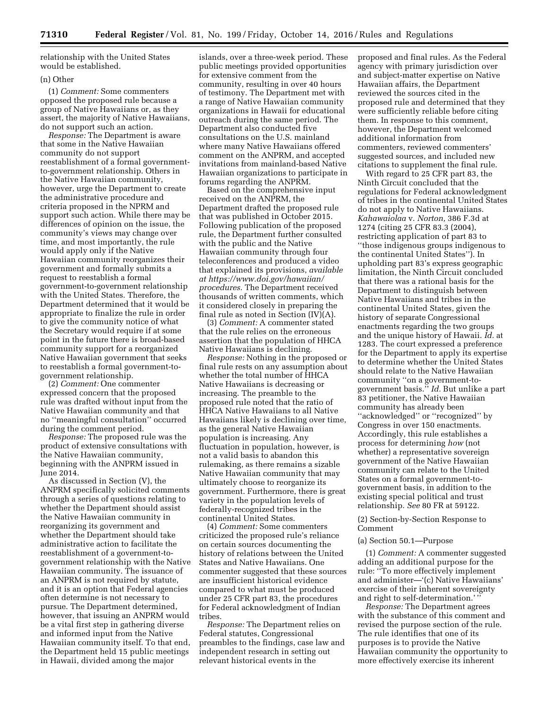relationship with the United States would be established.

## (n) Other

(1) *Comment:* Some commenters opposed the proposed rule because a group of Native Hawaiians or, as they assert, the majority of Native Hawaiians, do not support such an action.

*Response:* The Department is aware that some in the Native Hawaiian community do not support reestablishment of a formal governmentto-government relationship. Others in the Native Hawaiian community, however, urge the Department to create the administrative procedure and criteria proposed in the NPRM and support such action. While there may be differences of opinion on the issue, the community's views may change over time, and most importantly, the rule would apply only if the Native Hawaiian community reorganizes their government and formally submits a request to reestablish a formal government-to-government relationship with the United States. Therefore, the Department determined that it would be appropriate to finalize the rule in order to give the community notice of what the Secretary would require if at some point in the future there is broad-based community support for a reorganized Native Hawaiian government that seeks to reestablish a formal government-togovernment relationship.

(2) *Comment:* One commenter expressed concern that the proposed rule was drafted without input from the Native Hawaiian community and that no ''meaningful consultation'' occurred during the comment period.

*Response:* The proposed rule was the product of extensive consultations with the Native Hawaiian community, beginning with the ANPRM issued in June 2014.

As discussed in Section (V), the ANPRM specifically solicited comments through a series of questions relating to whether the Department should assist the Native Hawaiian community in reorganizing its government and whether the Department should take administrative action to facilitate the reestablishment of a government-togovernment relationship with the Native Hawaiian community. The issuance of an ANPRM is not required by statute, and it is an option that Federal agencies often determine is not necessary to pursue. The Department determined, however, that issuing an ANPRM would be a vital first step in gathering diverse and informed input from the Native Hawaiian community itself. To that end, the Department held 15 public meetings in Hawaii, divided among the major

islands, over a three-week period. These public meetings provided opportunities for extensive comment from the community, resulting in over 40 hours of testimony. The Department met with a range of Native Hawaiian community organizations in Hawaii for educational outreach during the same period. The Department also conducted five consultations on the U.S. mainland where many Native Hawaiians offered comment on the ANPRM, and accepted invitations from mainland-based Native Hawaiian organizations to participate in forums regarding the ANPRM.

Based on the comprehensive input received on the ANPRM, the Department drafted the proposed rule that was published in October 2015. Following publication of the proposed rule, the Department further consulted with the public and the Native Hawaiian community through four teleconferences and produced a video that explained its provisions, *available at [https://www.doi.gov/hawaiian/](https://www.doi.gov/hawaiian/procedures)  [procedures.](https://www.doi.gov/hawaiian/procedures)* The Department received thousands of written comments, which it considered closely in preparing the final rule as noted in Section (IV)(A).

(3) *Comment:* A commenter stated that the rule relies on the erroneous assertion that the population of HHCA Native Hawaiians is declining.

*Response:* Nothing in the proposed or final rule rests on any assumption about whether the total number of HHCA Native Hawaiians is decreasing or increasing. The preamble to the proposed rule noted that the ratio of HHCA Native Hawaiians to all Native Hawaiians likely is declining over time, as the general Native Hawaiian population is increasing. Any fluctuation in population, however, is not a valid basis to abandon this rulemaking, as there remains a sizable Native Hawaiian community that may ultimately choose to reorganize its government. Furthermore, there is great variety in the population levels of federally-recognized tribes in the continental United States.

(4) *Comment:* Some commenters criticized the proposed rule's reliance on certain sources documenting the history of relations between the United States and Native Hawaiians. One commenter suggested that these sources are insufficient historical evidence compared to what must be produced under 25 CFR part 83, the procedures for Federal acknowledgment of Indian tribes.

*Response:* The Department relies on Federal statutes, Congressional preambles to the findings, case law and independent research in setting out relevant historical events in the

proposed and final rules. As the Federal agency with primary jurisdiction over and subject-matter expertise on Native Hawaiian affairs, the Department reviewed the sources cited in the proposed rule and determined that they were sufficiently reliable before citing them. In response to this comment, however, the Department welcomed additional information from commenters, reviewed commenters' suggested sources, and included new citations to supplement the final rule.

With regard to 25 CFR part 83, the Ninth Circuit concluded that the regulations for Federal acknowledgment of tribes in the continental United States do not apply to Native Hawaiians. *Kahawaiolaa* v. *Norton,* 386 F.3d at 1274 (citing 25 CFR 83.3 (2004), restricting application of part 83 to ''those indigenous groups indigenous to the continental United States''). In upholding part 83's express geographic limitation, the Ninth Circuit concluded that there was a rational basis for the Department to distinguish between Native Hawaiians and tribes in the continental United States, given the history of separate Congressional enactments regarding the two groups and the unique history of Hawaii. *Id.* at 1283. The court expressed a preference for the Department to apply its expertise to determine whether the United States should relate to the Native Hawaiian community ''on a government-togovernment basis.'' *Id.* But unlike a part 83 petitioner, the Native Hawaiian community has already been ''acknowledged'' or ''recognized'' by Congress in over 150 enactments. Accordingly, this rule establishes a process for determining *how* (not whether) a representative sovereign government of the Native Hawaiian community can relate to the United States on a formal government-togovernment basis, in addition to the existing special political and trust relationship. *See* 80 FR at 59122.

# (2) Section-by-Section Response to Comment

#### (a) Section 50.1—Purpose

(1) *Comment:* A commenter suggested adding an additional purpose for the rule: ''To more effectively implement and administer—'(c) Native Hawaiians' exercise of their inherent sovereignty and right to self-determination.'

*Response:* The Department agrees with the substance of this comment and revised the purpose section of the rule. The rule identifies that one of its purposes is to provide the Native Hawaiian community the opportunity to more effectively exercise its inherent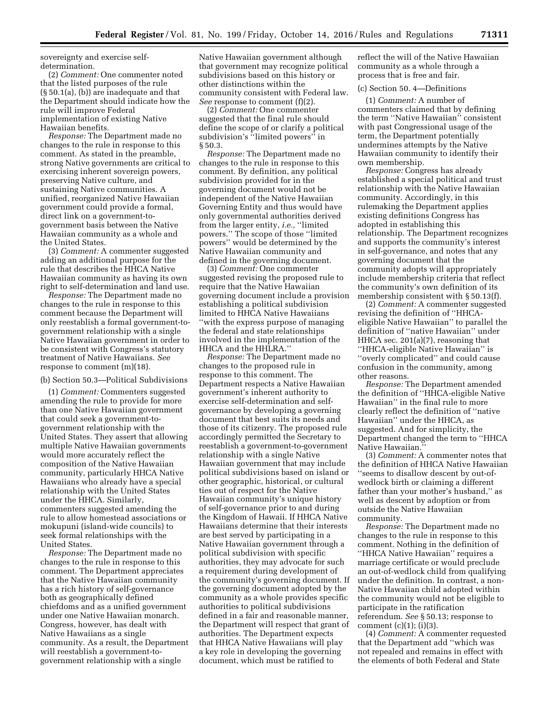sovereignty and exercise selfdetermination.

(2) *Comment:* One commenter noted that the listed purposes of the rule (§ 50.1(a), (b)) are inadequate and that the Department should indicate how the rule will improve Federal implementation of existing Native Hawaiian benefits.

*Response:* The Department made no changes to the rule in response to this comment. As stated in the preamble, strong Native governments are critical to exercising inherent sovereign powers, preserving Native culture, and sustaining Native communities. A unified, reorganized Native Hawaiian government could provide a formal, direct link on a government-togovernment basis between the Native Hawaiian community as a whole and the United States.

(3) *Comment:* A commenter suggested adding an additional purpose for the rule that describes the HHCA Native Hawaiian community as having its own right to self-determination and land use.

*Response:* The Department made no changes to the rule in response to this comment because the Department will only reestablish a formal government-togovernment relationship with a single Native Hawaiian government in order to be consistent with Congress's statutory treatment of Native Hawaiians. *See*  response to comment (m)(18).

(b) Section 50.3—Political Subdivisions

(1) *Comment:* Commenters suggested amending the rule to provide for more than one Native Hawaiian government that could seek a government-togovernment relationship with the United States. They assert that allowing multiple Native Hawaiian governments would more accurately reflect the composition of the Native Hawaiian community, particularly HHCA Native Hawaiians who already have a special relationship with the United States under the HHCA. Similarly, commenters suggested amending the rule to allow homestead associations or mokupuni (island-wide councils) to seek formal relationships with the United States.

*Response:* The Department made no changes to the rule in response to this comment. The Department appreciates that the Native Hawaiian community has a rich history of self-governance both as geographically defined chiefdoms and as a unified government under one Native Hawaiian monarch. Congress, however, has dealt with Native Hawaiians as a single community. As a result, the Department will reestablish a government-togovernment relationship with a single

Native Hawaiian government although that government may recognize political subdivisions based on this history or other distinctions within the community consistent with Federal law. *See* response to comment (f)(2).

(2) *Comment:* One commenter suggested that the final rule should define the scope of or clarify a political subdivision's ''limited powers'' in § 50.3.

*Response:* The Department made no changes to the rule in response to this comment. By definition, any political subdivision provided for in the governing document would not be independent of the Native Hawaiian Governing Entity and thus would have only governmental authorities derived from the larger entity, *i.e.,* ''limited powers.'' The scope of those ''limited powers'' would be determined by the Native Hawaiian community and defined in the governing document.

(3) *Comment:* One commenter suggested revising the proposed rule to require that the Native Hawaiian governing document include a provision establishing a political subdivision limited to HHCA Native Hawaiians ''with the express purpose of managing the federal and state relationships involved in the implementation of the HHCA and the HHLRA.''

*Response:* The Department made no changes to the proposed rule in response to this comment. The Department respects a Native Hawaiian government's inherent authority to exercise self-determination and selfgovernance by developing a governing document that best suits its needs and those of its citizenry. The proposed rule accordingly permitted the Secretary to reestablish a government-to-government relationship with a single Native Hawaiian government that may include political subdivisions based on island or other geographic, historical, or cultural ties out of respect for the Native Hawaiian community's unique history of self-governance prior to and during the Kingdom of Hawaii. If HHCA Native Hawaiians determine that their interests are best served by participating in a Native Hawaiian government through a political subdivision with specific authorities, they may advocate for such a requirement during development of the community's governing document. If the governing document adopted by the community as a whole provides specific authorities to political subdivisions defined in a fair and reasonable manner, the Department will respect that grant of authorities. The Department expects that HHCA Native Hawaiians will play a key role in developing the governing document, which must be ratified to

reflect the will of the Native Hawaiian community as a whole through a process that is free and fair.

# (c) Section 50. 4—Definitions

(1) *Comment:* A number of commenters claimed that by defining the term ''Native Hawaiian'' consistent with past Congressional usage of the term, the Department potentially undermines attempts by the Native Hawaiian community to identify their own membership.

*Response:* Congress has already established a special political and trust relationship with the Native Hawaiian community. Accordingly, in this rulemaking the Department applies existing definitions Congress has adopted in establishing this relationship. The Department recognizes and supports the community's interest in self-governance, and notes that any governing document that the community adopts will appropriately include membership criteria that reflect the community's own definition of its membership consistent with § 50.13(f).

(2) *Comment:* A commenter suggested revising the definition of ''HHCAeligible Native Hawaiian'' to parallel the definition of ''native Hawaiian'' under HHCA sec. 201(a)(7), reasoning that ''HHCA-eligible Native Hawaiian'' is ''overly complicated'' and could cause confusion in the community, among other reasons.

*Response:* The Department amended the definition of ''HHCA-eligible Native Hawaiian'' in the final rule to more clearly reflect the definition of ''native Hawaiian'' under the HHCA, as suggested. And for simplicity, the Department changed the term to ''HHCA Native Hawaiian.''

(3) *Comment:* A commenter notes that the definition of HHCA Native Hawaiian ''seems to disallow descent by out-ofwedlock birth or claiming a different father than your mother's husband,'' as well as descent by adoption or from outside the Native Hawaiian community.

*Response:* The Department made no changes to the rule in response to this comment. Nothing in the definition of ''HHCA Native Hawaiian'' requires a marriage certificate or would preclude an out-of-wedlock child from qualifying under the definition. In contrast, a non-Native Hawaiian child adopted within the community would not be eligible to participate in the ratification referendum. *See* § 50.13; response to comment  $(c)(1)$ ;  $(i)(3)$ .

(4) *Comment:* A commenter requested that the Department add ''which was not repealed and remains in effect with the elements of both Federal and State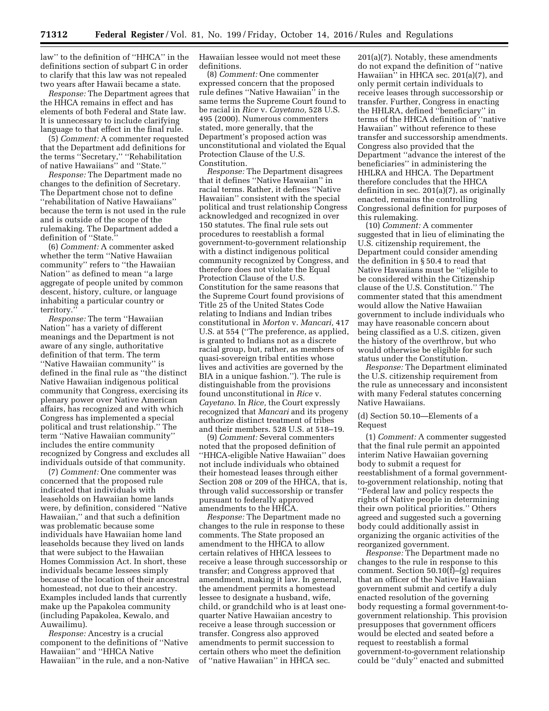law'' to the definition of ''HHCA'' in the definitions section of subpart C in order to clarify that this law was not repealed two years after Hawaii became a state.

*Response:* The Department agrees that the HHCA remains in effect and has elements of both Federal and State law. It is unnecessary to include clarifying language to that effect in the final rule.

(5) *Comment:* A commenter requested that the Department add definitions for the terms ''Secretary,'' ''Rehabilitation of native Hawaiians'' and ''State.''

*Response:* The Department made no changes to the definition of Secretary. The Department chose not to define ''rehabilitation of Native Hawaiians'' because the term is not used in the rule and is outside of the scope of the rulemaking. The Department added a definition of "State."

(6) *Comment:* A commenter asked whether the term ''Native Hawaiian community'' refers to ''the Hawaiian Nation'' as defined to mean ''a large aggregate of people united by common descent, history, culture, or language inhabiting a particular country or territory.''

*Response:* The term ''Hawaiian Nation'' has a variety of different meanings and the Department is not aware of any single, authoritative definition of that term. The term ''Native Hawaiian community'' is defined in the final rule as ''the distinct Native Hawaiian indigenous political community that Congress, exercising its plenary power over Native American affairs, has recognized and with which Congress has implemented a special political and trust relationship.'' The term ''Native Hawaiian community'' includes the entire community recognized by Congress and excludes all individuals outside of that community.

(7) *Comment:* One commenter was concerned that the proposed rule indicated that individuals with leaseholds on Hawaiian home lands were, by definition, considered ''Native Hawaiian,'' and that such a definition was problematic because some individuals have Hawaiian home land leaseholds because they lived on lands that were subject to the Hawaiian Homes Commission Act. In short, these individuals became lessees simply because of the location of their ancestral homestead, not due to their ancestry. Examples included lands that currently make up the Papakolea community (including Papakolea, Kewalo, and Auwailimu).

*Response:* Ancestry is a crucial component to the definitions of ''Native Hawaiian'' and ''HHCA Native Hawaiian'' in the rule, and a non-Native Hawaiian lessee would not meet these definitions.

(8) *Comment:* One commenter expressed concern that the proposed rule defines ''Native Hawaiian'' in the same terms the Supreme Court found to be racial in *Rice* v. *Cayetano,* 528 U.S. 495 (2000). Numerous commenters stated, more generally, that the Department's proposed action was unconstitutional and violated the Equal Protection Clause of the U.S. Constitution.

*Response:* The Department disagrees that it defines ''Native Hawaiian'' in racial terms. Rather, it defines ''Native Hawaiian'' consistent with the special political and trust relationship Congress acknowledged and recognized in over 150 statutes. The final rule sets out procedures to reestablish a formal government-to-government relationship with a distinct indigenous political community recognized by Congress, and therefore does not violate the Equal Protection Clause of the U.S. Constitution for the same reasons that the Supreme Court found provisions of Title 25 of the United States Code relating to Indians and Indian tribes constitutional in *Morton* v. *Mancari,* 417 U.S. at 554 (''The preference, as applied, is granted to Indians not as a discrete racial group, but, rather, as members of quasi-sovereign tribal entities whose lives and activities are governed by the BIA in a unique fashion.''). The rule is distinguishable from the provisions found unconstitutional in *Rice* v. *Cayetano.* In *Rice,* the Court expressly recognized that *Mancari* and its progeny authorize distinct treatment of tribes and their members. 528 U.S. at 518–19.

(9) *Comment:* Several commenters noted that the proposed definition of ''HHCA-eligible Native Hawaiian'' does not include individuals who obtained their homestead leases through either Section 208 or 209 of the HHCA, that is, through valid successorship or transfer pursuant to federally approved amendments to the HHCA.

*Response:* The Department made no changes to the rule in response to these comments. The State proposed an amendment to the HHCA to allow certain relatives of HHCA lessees to receive a lease through successorship or transfer; and Congress approved that amendment, making it law. In general, the amendment permits a homestead lessee to designate a husband, wife, child, or grandchild who is at least onequarter Native Hawaiian ancestry to receive a lease through succession or transfer. Congress also approved amendments to permit succession to certain others who meet the definition of ''native Hawaiian'' in HHCA sec.

201(a)(7). Notably, these amendments do not expand the definition of ''native Hawaiian'' in HHCA sec. 201(a)(7), and only permit certain individuals to receive leases through successorship or transfer. Further, Congress in enacting the HHLRA, defined ''beneficiary'' in terms of the HHCA definition of ''native Hawaiian'' without reference to these transfer and successorship amendments. Congress also provided that the Department ''advance the interest of the beneficiaries'' in administering the HHLRA and HHCA. The Department therefore concludes that the HHCA definition in sec. 201(a)(7), as originally enacted, remains the controlling Congressional definition for purposes of this rulemaking.

(10) *Comment:* A commenter suggested that in lieu of eliminating the U.S. citizenship requirement, the Department could consider amending the definition in § 50.4 to read that Native Hawaiians must be ''eligible to be considered within the Citizenship clause of the U.S. Constitution.'' The commenter stated that this amendment would allow the Native Hawaiian government to include individuals who may have reasonable concern about being classified as a U.S. citizen, given the history of the overthrow, but who would otherwise be eligible for such status under the Constitution.

*Response:* The Department eliminated the U.S. citizenship requirement from the rule as unnecessary and inconsistent with many Federal statutes concerning Native Hawaiians.

## (d) Section 50.10—Elements of a Request

(1) *Comment:* A commenter suggested that the final rule permit an appointed interim Native Hawaiian governing body to submit a request for reestablishment of a formal governmentto-government relationship, noting that ''Federal law and policy respects the rights of Native people in determining their own political priorities.'' Others agreed and suggested such a governing body could additionally assist in organizing the organic activities of the reorganized government.

*Response:* The Department made no changes to the rule in response to this comment. Section 50.10(f)–(g) requires that an officer of the Native Hawaiian government submit and certify a duly enacted resolution of the governing body requesting a formal government-togovernment relationship. This provision presupposes that government officers would be elected and seated before a request to reestablish a formal government-to-government relationship could be ''duly'' enacted and submitted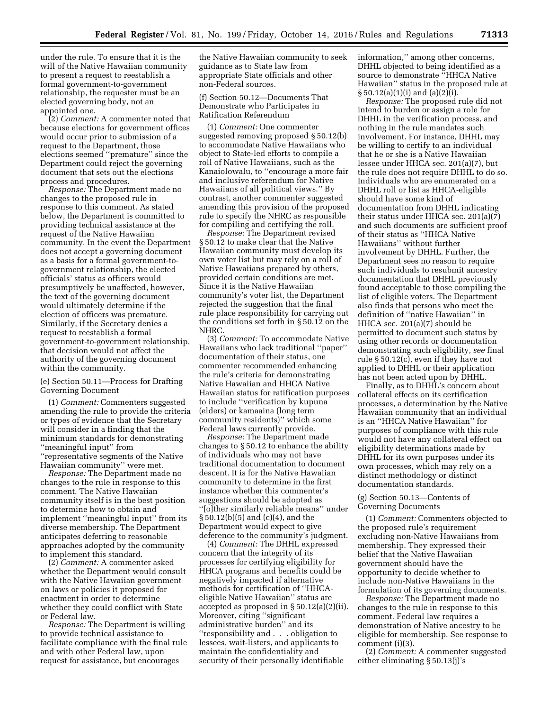under the rule. To ensure that it is the will of the Native Hawaiian community to present a request to reestablish a formal government-to-government relationship, the requester must be an elected governing body, not an appointed one.

(2) *Comment:* A commenter noted that because elections for government offices would occur prior to submission of a request to the Department, those elections seemed ''premature'' since the Department could reject the governing document that sets out the elections process and procedures.

*Response:* The Department made no changes to the proposed rule in response to this comment. As stated below, the Department is committed to providing technical assistance at the request of the Native Hawaiian community. In the event the Department does not accept a governing document as a basis for a formal government-togovernment relationship, the elected officials' status as officers would presumptively be unaffected, however, the text of the governing document would ultimately determine if the election of officers was premature. Similarly, if the Secretary denies a request to reestablish a formal government-to-government relationship, that decision would not affect the authority of the governing document within the community.

(e) Section 50.11—Process for Drafting Governing Document

(1) *Comment:* Commenters suggested amending the rule to provide the criteria or types of evidence that the Secretary will consider in a finding that the minimum standards for demonstrating ''meaningful input'' from ''representative segments of the Native Hawaiian community'' were met.

*Response:* The Department made no changes to the rule in response to this comment. The Native Hawaiian community itself is in the best position to determine how to obtain and implement ''meaningful input'' from its diverse membership. The Department anticipates deferring to reasonable approaches adopted by the community to implement this standard.

(2) *Comment:* A commenter asked whether the Department would consult with the Native Hawaiian government on laws or policies it proposed for enactment in order to determine whether they could conflict with State or Federal law.

*Response:* The Department is willing to provide technical assistance to facilitate compliance with the final rule and with other Federal law, upon request for assistance, but encourages

the Native Hawaiian community to seek guidance as to State law from appropriate State officials and other non-Federal sources.

(f) Section 50.12—Documents That Demonstrate who Participates in Ratification Referendum

(1) *Comment:* One commenter suggested removing proposed § 50.12(b) to accommodate Native Hawaiians who object to State-led efforts to compile a roll of Native Hawaiians, such as the Kanaiolowalu, to ''encourage a more fair and inclusive referendum for Native Hawaiians of all political views.'' By contrast, another commenter suggested amending this provision of the proposed rule to specify the NHRC as responsible for compiling and certifying the roll.

*Response:* The Department revised § 50.12 to make clear that the Native Hawaiian community must develop its own voter list but may rely on a roll of Native Hawaiians prepared by others, provided certain conditions are met. Since it is the Native Hawaiian community's voter list, the Department rejected the suggestion that the final rule place responsibility for carrying out the conditions set forth in § 50.12 on the NHRC.

(3) *Comment:* To accommodate Native Hawaiians who lack traditional ''paper'' documentation of their status, one commenter recommended enhancing the rule's criteria for demonstrating Native Hawaiian and HHCA Native Hawaiian status for ratification purposes to include ''verification by kupuna (elders) or kamaaina (long term community residents)'' which some Federal laws currently provide.

*Response:* The Department made changes to § 50.12 to enhance the ability of individuals who may not have traditional documentation to document descent. It is for the Native Hawaiian community to determine in the first instance whether this commenter's suggestions should be adopted as ''[o]ther similarly reliable means'' under § 50.12(b)(5) and (c)(4), and the Department would expect to give deference to the community's judgment.

(4) *Comment:* The DHHL expressed concern that the integrity of its processes for certifying eligibility for HHCA programs and benefits could be negatively impacted if alternative methods for certification of ''HHCAeligible Native Hawaiian'' status are accepted as proposed in § 50.12(a)(2)(ii). Moreover, citing ''significant administrative burden'' and its ''responsibility and . . . obligation to lessees, wait-listers, and applicants to maintain the confidentiality and security of their personally identifiable

information,'' among other concerns, DHHL objected to being identified as a source to demonstrate ''HHCA Native Hawaiian'' status in the proposed rule at §  $50.12(a)(1)(i)$  and  $(a)(2)(i)$ .

*Response:* The proposed rule did not intend to burden or assign a role for DHHL in the verification process, and nothing in the rule mandates such involvement. For instance, DHHL may be willing to certify to an individual that he or she is a Native Hawaiian lessee under HHCA sec. 201(a)(7), but the rule does not require DHHL to do so. Individuals who are enumerated on a DHHL roll or list as HHCA-eligible should have some kind of documentation from DHHL indicating their status under HHCA sec. 201(a)(7) and such documents are sufficient proof of their status as ''HHCA Native Hawaiians'' without further involvement by DHHL. Further, the Department sees no reason to require such individuals to resubmit ancestry documentation that DHHL previously found acceptable to those compiling the list of eligible voters. The Department also finds that persons who meet the definition of ''native Hawaiian'' in HHCA sec. 201(a)(7) should be permitted to document such status by using other records or documentation demonstrating such eligibility, *see* final rule § 50.12(c), even if they have not applied to DHHL or their application has not been acted upon by DHHL.

Finally, as to DHHL's concern about collateral effects on its certification processes, a determination by the Native Hawaiian community that an individual is an ''HHCA Native Hawaiian'' for purposes of compliance with this rule would not have any collateral effect on eligibility determinations made by DHHL for its own purposes under its own processes, which may rely on a distinct methodology or distinct documentation standards.

# (g) Section 50.13—Contents of Governing Documents

(1) *Comment:* Commenters objected to the proposed rule's requirement excluding non-Native Hawaiians from membership. They expressed their belief that the Native Hawaiian government should have the opportunity to decide whether to include non-Native Hawaiians in the formulation of its governing documents.

*Response:* The Department made no changes to the rule in response to this comment. Federal law requires a demonstration of Native ancestry to be eligible for membership. See response to comment (i)(3).

(2) *Comment:* A commenter suggested either eliminating § 50.13(j)'s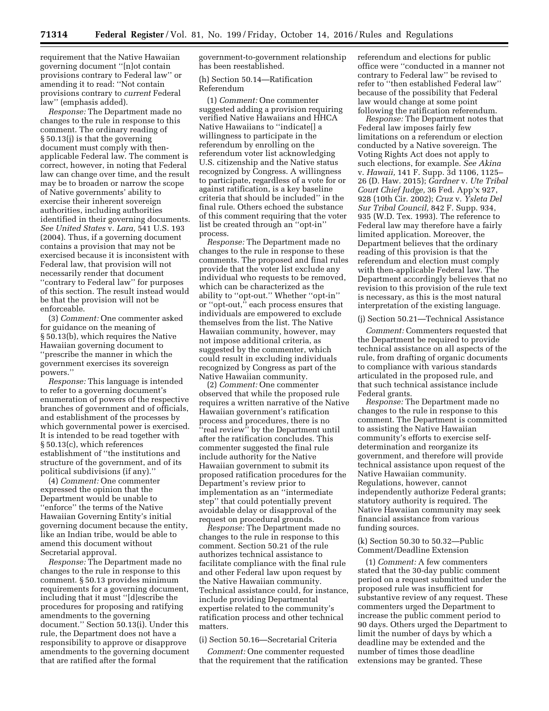requirement that the Native Hawaiian governing document ''[n]ot contain provisions contrary to Federal law'' or amending it to read: ''Not contain provisions contrary to *current* Federal law'' (emphasis added).

*Response:* The Department made no changes to the rule in response to this comment. The ordinary reading of § 50.13(j) is that the governing document must comply with thenapplicable Federal law. The comment is correct, however, in noting that Federal law can change over time, and the result may be to broaden or narrow the scope of Native governments' ability to exercise their inherent sovereign authorities, including authorities identified in their governing documents. *See United States* v. *Lara,* 541 U.S. 193 (2004). Thus, if a governing document contains a provision that may not be exercised because it is inconsistent with Federal law, that provision will not necessarily render that document ''contrary to Federal law'' for purposes of this section. The result instead would be that the provision will not be enforceable.

(3) *Comment:* One commenter asked for guidance on the meaning of § 50.13(b), which requires the Native Hawaiian governing document to ''prescribe the manner in which the government exercises its sovereign powers.''

*Response:* This language is intended to refer to a governing document's enumeration of powers of the respective branches of government and of officials, and establishment of the processes by which governmental power is exercised. It is intended to be read together with § 50.13(c), which references establishment of ''the institutions and structure of the government, and of its political subdivisions (if any).''

(4) *Comment:* One commenter expressed the opinion that the Department would be unable to ''enforce'' the terms of the Native Hawaiian Governing Entity's initial governing document because the entity, like an Indian tribe, would be able to amend this document without Secretarial approval.

*Response:* The Department made no changes to the rule in response to this comment. § 50.13 provides minimum requirements for a governing document, including that it must ''[d]escribe the procedures for proposing and ratifying amendments to the governing document.'' Section 50.13(i). Under this rule, the Department does not have a responsibility to approve or disapprove amendments to the governing document that are ratified after the formal

government-to-government relationship has been reestablished.

## (h) Section 50.14—Ratification Referendum

(1) *Comment:* One commenter suggested adding a provision requiring verified Native Hawaiians and HHCA Native Hawaiians to ''indicate[] a willingness to participate in the referendum by enrolling on the referendum voter list acknowledging U.S. citizenship and the Native status recognized by Congress. A willingness to participate, regardless of a vote for or against ratification, is a key baseline criteria that should be included'' in the final rule. Others echoed the substance of this comment requiring that the voter list be created through an ''opt-in'' process.

*Response:* The Department made no changes to the rule in response to these comments. The proposed and final rules provide that the voter list exclude any individual who requests to be removed, which can be characterized as the ability to ''opt-out.'' Whether ''opt-in'' or ''opt-out,'' each process ensures that individuals are empowered to exclude themselves from the list. The Native Hawaiian community, however, may not impose additional criteria, as suggested by the commenter, which could result in excluding individuals recognized by Congress as part of the Native Hawaiian community.

(2) *Comment:* One commenter observed that while the proposed rule requires a written narrative of the Native Hawaiian government's ratification process and procedures, there is no ''real review'' by the Department until after the ratification concludes. This commenter suggested the final rule include authority for the Native Hawaiian government to submit its proposed ratification procedures for the Department's review prior to implementation as an ''intermediate step'' that could potentially prevent avoidable delay or disapproval of the request on procedural grounds.

*Response:* The Department made no changes to the rule in response to this comment. Section 50.21 of the rule authorizes technical assistance to facilitate compliance with the final rule and other Federal law upon request by the Native Hawaiian community. Technical assistance could, for instance, include providing Departmental expertise related to the community's ratification process and other technical matters.

# (i) Section 50.16—Secretarial Criteria

*Comment:* One commenter requested that the requirement that the ratification referendum and elections for public office were ''conducted in a manner not contrary to Federal law'' be revised to refer to ''then established Federal law'' because of the possibility that Federal law would change at some point following the ratification referendum.

*Response:* The Department notes that Federal law imposes fairly few limitations on a referendum or election conducted by a Native sovereign. The Voting Rights Act does not apply to such elections, for example. *See Akina*  v. *Hawaii,* 141 F. Supp. 3d 1106, 1125– 26 (D. Haw. 2015); *Gardner* v. *Ute Tribal Court Chief Judge,* 36 Fed. App'x 927, 928 (10th Cir. 2002); *Cruz* v. *Ysleta Del Sur Tribal Council,* 842 F. Supp. 934, 935 (W.D. Tex. 1993). The reference to Federal law may therefore have a fairly limited application. Moreover, the Department believes that the ordinary reading of this provision is that the referendum and election must comply with then-applicable Federal law. The Department accordingly believes that no revision to this provision of the rule text is necessary, as this is the most natural interpretation of the existing language.

### (j) Section 50.21—Technical Assistance

*Comment:* Commenters requested that the Department be required to provide technical assistance on all aspects of the rule, from drafting of organic documents to compliance with various standards articulated in the proposed rule, and that such technical assistance include Federal grants.

*Response:* The Department made no changes to the rule in response to this comment. The Department is committed to assisting the Native Hawaiian community's efforts to exercise selfdetermination and reorganize its government, and therefore will provide technical assistance upon request of the Native Hawaiian community. Regulations, however, cannot independently authorize Federal grants; statutory authority is required. The Native Hawaiian community may seek financial assistance from various funding sources.

### (k) Section 50.30 to 50.32—Public Comment/Deadline Extension

(1) *Comment:* A few commenters stated that the 30-day public comment period on a request submitted under the proposed rule was insufficient for substantive review of any request. These commenters urged the Department to increase the public comment period to 90 days. Others urged the Department to limit the number of days by which a deadline may be extended and the number of times those deadline extensions may be granted. These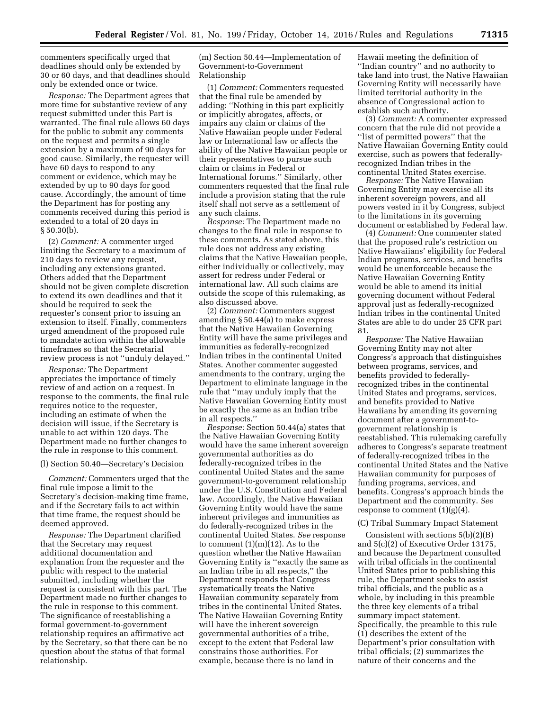commenters specifically urged that deadlines should only be extended by 30 or 60 days, and that deadlines should only be extended once or twice.

*Response:* The Department agrees that more time for substantive review of any request submitted under this Part is warranted. The final rule allows 60 days for the public to submit any comments on the request and permits a single extension by a maximum of 90 days for good cause. Similarly, the requester will have 60 days to respond to any comment or evidence, which may be extended by up to 90 days for good cause. Accordingly, the amount of time the Department has for posting any comments received during this period is extended to a total of 20 days in § 50.30(b).

(2) *Comment:* A commenter urged limiting the Secretary to a maximum of 210 days to review any request, including any extensions granted. Others added that the Department should not be given complete discretion to extend its own deadlines and that it should be required to seek the requester's consent prior to issuing an extension to itself. Finally, commenters urged amendment of the proposed rule to mandate action within the allowable timeframes so that the Secretarial review process is not ''unduly delayed.''

*Response:* The Department appreciates the importance of timely review of and action on a request. In response to the comments, the final rule requires notice to the requester, including an estimate of when the decision will issue, if the Secretary is unable to act within 120 days. The Department made no further changes to the rule in response to this comment.

### (l) Section 50.40—Secretary's Decision

*Comment:* Commenters urged that the final rule impose a limit to the Secretary's decision-making time frame, and if the Secretary fails to act within that time frame, the request should be deemed approved.

*Response:* The Department clarified that the Secretary may request additional documentation and explanation from the requester and the public with respect to the material submitted, including whether the request is consistent with this part. The Department made no further changes to the rule in response to this comment. The significance of reestablishing a formal government-to-government relationship requires an affirmative act by the Secretary, so that there can be no question about the status of that formal relationship.

(m) Section 50.44—Implementation of Government-to-Government Relationship

(1) *Comment:* Commenters requested that the final rule be amended by adding: ''Nothing in this part explicitly or implicitly abrogates, affects, or impairs any claim or claims of the Native Hawaiian people under Federal law or International law or affects the ability of the Native Hawaiian people or their representatives to pursue such claim or claims in Federal or International forums.'' Similarly, other commenters requested that the final rule include a provision stating that the rule itself shall not serve as a settlement of any such claims.

*Response:* The Department made no changes to the final rule in response to these comments. As stated above, this rule does not address any existing claims that the Native Hawaiian people, either individually or collectively, may assert for redress under Federal or international law. All such claims are outside the scope of this rulemaking, as also discussed above.

(2) *Comment:* Commenters suggest amending § 50.44(a) to make express that the Native Hawaiian Governing Entity will have the same privileges and immunities as federally-recognized Indian tribes in the continental United States. Another commenter suggested amendments to the contrary, urging the Department to eliminate language in the rule that ''may unduly imply that the Native Hawaiian Governing Entity must be exactly the same as an Indian tribe in all respects.''

*Response:* Section 50.44(a) states that the Native Hawaiian Governing Entity would have the same inherent sovereign governmental authorities as do federally-recognized tribes in the continental United States and the same government-to-government relationship under the U.S. Constitution and Federal law. Accordingly, the Native Hawaiian Governing Entity would have the same inherent privileges and immunities as do federally-recognized tribes in the continental United States. *See* response to comment (1)(m)(12). As to the question whether the Native Hawaiian Governing Entity is ''exactly the same as an Indian tribe in all respects,'' the Department responds that Congress systematically treats the Native Hawaiian community separately from tribes in the continental United States. The Native Hawaiian Governing Entity will have the inherent sovereign governmental authorities of a tribe, except to the extent that Federal law constrains those authorities. For example, because there is no land in

Hawaii meeting the definition of ''Indian country'' and no authority to take land into trust, the Native Hawaiian Governing Entity will necessarily have limited territorial authority in the absence of Congressional action to establish such authority.

(3) *Comment:* A commenter expressed concern that the rule did not provide a ''list of permitted powers'' that the Native Hawaiian Governing Entity could exercise, such as powers that federallyrecognized Indian tribes in the continental United States exercise.

*Response:* The Native Hawaiian Governing Entity may exercise all its inherent sovereign powers, and all powers vested in it by Congress, subject to the limitations in its governing document or established by Federal law.

(4) *Comment:* One commenter stated that the proposed rule's restriction on Native Hawaiians' eligibility for Federal Indian programs, services, and benefits would be unenforceable because the Native Hawaiian Governing Entity would be able to amend its initial governing document without Federal approval just as federally-recognized Indian tribes in the continental United States are able to do under 25 CFR part 81.

*Response:* The Native Hawaiian Governing Entity may not alter Congress's approach that distinguishes between programs, services, and benefits provided to federallyrecognized tribes in the continental United States and programs, services, and benefits provided to Native Hawaiians by amending its governing document after a government-togovernment relationship is reestablished. This rulemaking carefully adheres to Congress's separate treatment of federally-recognized tribes in the continental United States and the Native Hawaiian community for purposes of funding programs, services, and benefits. Congress's approach binds the Department and the community. *See*  response to comment  $(1)(g)(4)$ .

# (C) Tribal Summary Impact Statement

Consistent with sections 5(b)(2)(B) and 5(c)(2) of Executive Order 13175, and because the Department consulted with tribal officials in the continental United States prior to publishing this rule, the Department seeks to assist tribal officials, and the public as a whole, by including in this preamble the three key elements of a tribal summary impact statement. Specifically, the preamble to this rule (1) describes the extent of the Department's prior consultation with tribal officials; (2) summarizes the nature of their concerns and the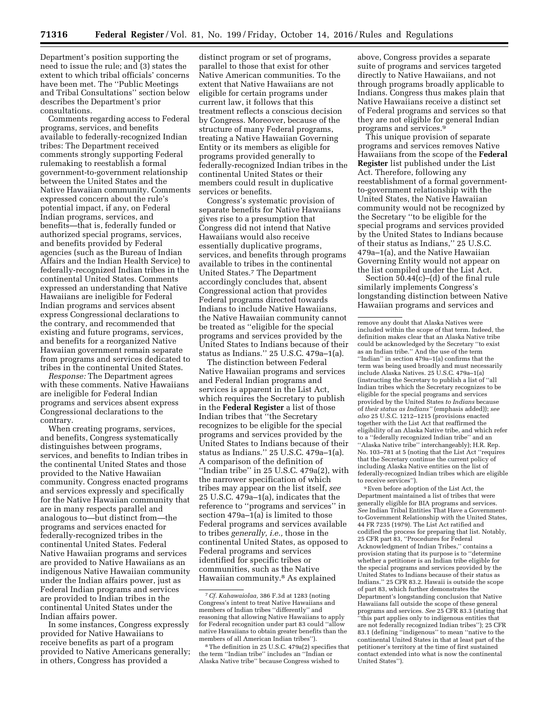Department's position supporting the need to issue the rule; and (3) states the extent to which tribal officials' concerns have been met. The ''Public Meetings and Tribal Consultations'' section below describes the Department's prior consultations.

Comments regarding access to Federal programs, services, and benefits available to federally-recognized Indian tribes: The Department received comments strongly supporting Federal rulemaking to reestablish a formal government-to-government relationship between the United States and the Native Hawaiian community. Comments expressed concern about the rule's potential impact, if any, on Federal Indian programs, services, and benefits—that is, federally funded or authorized special programs, services, and benefits provided by Federal agencies (such as the Bureau of Indian Affairs and the Indian Health Service) to federally-recognized Indian tribes in the continental United States. Comments expressed an understanding that Native Hawaiians are ineligible for Federal Indian programs and services absent express Congressional declarations to the contrary, and recommended that existing and future programs, services, and benefits for a reorganized Native Hawaiian government remain separate from programs and services dedicated to tribes in the continental United States.

*Response:* The Department agrees with these comments. Native Hawaiians are ineligible for Federal Indian programs and services absent express Congressional declarations to the contrary.

When creating programs, services, and benefits, Congress systematically distinguishes between programs, services, and benefits to Indian tribes in the continental United States and those provided to the Native Hawaiian community. Congress enacted programs and services expressly and specifically for the Native Hawaiian community that are in many respects parallel and analogous to—but distinct from—the programs and services enacted for federally-recognized tribes in the continental United States. Federal Native Hawaiian programs and services are provided to Native Hawaiians as an indigenous Native Hawaiian community under the Indian affairs power, just as Federal Indian programs and services are provided to Indian tribes in the continental United States under the Indian affairs power.

In some instances, Congress expressly provided for Native Hawaiians to receive benefits as part of a program provided to Native Americans generally; in others, Congress has provided a

distinct program or set of programs, parallel to those that exist for other Native American communities. To the extent that Native Hawaiians are not eligible for certain programs under current law, it follows that this treatment reflects a conscious decision by Congress. Moreover, because of the structure of many Federal programs, treating a Native Hawaiian Governing Entity or its members as eligible for programs provided generally to federally-recognized Indian tribes in the continental United States or their members could result in duplicative services or benefits.

Congress's systematic provision of separate benefits for Native Hawaiians gives rise to a presumption that Congress did not intend that Native Hawaiians would also receive essentially duplicative programs, services, and benefits through programs available to tribes in the continental United States.7 The Department accordingly concludes that, absent Congressional action that provides Federal programs directed towards Indians to include Native Hawaiians, the Native Hawaiian community cannot be treated as ''eligible for the special programs and services provided by the United States to Indians because of their status as Indians.'' 25 U.S.C. 479a–1(a).

The distinction between Federal Native Hawaiian programs and services and Federal Indian programs and services is apparent in the List Act, which requires the Secretary to publish in the **Federal Register** a list of those Indian tribes that ''the Secretary recognizes to be eligible for the special programs and services provided by the United States to Indians because of their status as Indians.'' 25 U.S.C. 479a–1(a). A comparison of the definition of ''Indian tribe'' in 25 U.S.C. 479a(2), with the narrower specification of which tribes may appear on the list itself, *see*  25 U.S.C. 479a–1(a), indicates that the reference to ''programs and services'' in section 479a–1(a) is limited to those Federal programs and services available to tribes *generally, i.e.,* those in the continental United States, as opposed to Federal programs and services identified for specific tribes or communities, such as the Native Hawaiian community.8 As explained

above, Congress provides a separate suite of programs and services targeted directly to Native Hawaiians, and not through programs broadly applicable to Indians. Congress thus makes plain that Native Hawaiians receive a distinct set of Federal programs and services so that they are not eligible for general Indian programs and services.9

This unique provision of separate programs and services removes Native Hawaiians from the scope of the **Federal Register** list published under the List Act. Therefore, following any reestablishment of a formal governmentto-government relationship with the United States, the Native Hawaiian community would not be recognized by the Secretary ''to be eligible for the special programs and services provided by the United States to Indians because of their status as Indians,'' 25 U.S.C. 479a–1(a), and the Native Hawaiian Governing Entity would not appear on the list compiled under the List Act.

Section 50.44(c)–(d) of the final rule similarly implements Congress's longstanding distinction between Native Hawaiian programs and services and

9Even before adoption of the List Act, the Department maintained a list of tribes that were generally eligible for BIA programs and services. *See* Indian Tribal Entities That Have a Governmentto-Government Relationship with the United States, 44 FR 7235 (1979). The List Act ratified and codified the process for preparing that list. Notably, 25 CFR part 83, ''Procedures for Federal Acknowledgment of Indian Tribes,'' contains a provision stating that its purpose is to ''determine whether a petitioner is an Indian tribe eligible for the special programs and services provided by the United States to Indians because of their status as Indians.'' 25 CFR 83.2. Hawaii is outside the scope of part 83, which further demonstrates the Department's longstanding conclusion that Native Hawaiians fall outside the scope of these general programs and services. *See* 25 CFR 83.3 (stating that ''this part applies only to indigenous entities that are not federally recognized Indian tribes''); 25 CFR 83.1 (defining ''indigenous'' to mean ''native to the continental United States in that at least part of the petitioner's territory at the time of first sustained contact extended into what is now the continental United States'').

<sup>7</sup>*Cf. Kahawaiolaa,* 386 F.3d at 1283 (noting Congress's intent to treat Native Hawaiians and members of Indian tribes ''differently'' and reasoning that allowing Native Hawaiians to apply for Federal recognition under part 83 could ''allow native Hawaiians to obtain greater benefits than the members of all American Indian tribes'').

<sup>8</sup>The definition in 25 U.S.C. 479a(2) specifies that the term ''Indian tribe'' includes an ''Indian or Alaska Native tribe'' because Congress wished to

remove any doubt that Alaska Natives were included within the scope of that term. Indeed, the definition makes clear that an Alaska Native tribe could be acknowledged by the Secretary ''to exist as an Indian tribe.'' And the use of the term ''Indian'' in section 479a–1(a) confirms that the term was being used broadly and must necessarily include Alaska Natives. 25 U.S.C. 479a–1(a) (instructing the Secretary to publish a list of ''all Indian tribes which the Secretary recognizes to be eligible for the special programs and services provided by the United States *to Indians* because of *their status as Indians''* (emphasis added)); *see also* 25 U.S.C. 1212–1215 (provisions enacted together with the List Act that reaffirmed the eligibility of an Alaska Native tribe, and which refer to a ''federally recognized Indian tribe'' and an ''Alaska Native tribe'' interchangeably); H.R. Rep. No. 103–781 at 5 (noting that the List Act ''requires that the Secretary continue the current policy of including Alaska Native entities on the list of federally-recognized Indian tribes which are eligible to receive services'').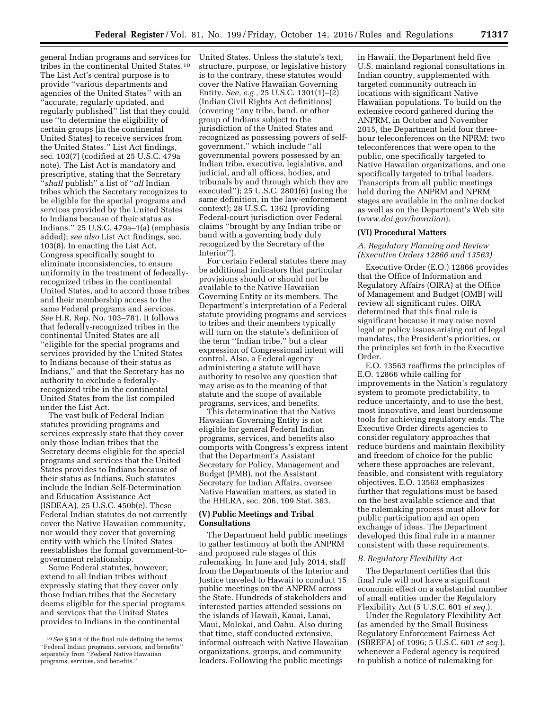general Indian programs and services for tribes in the continental United States.10 The List Act's central purpose is to provide ''various departments and agencies of the United States'' with an ''accurate, regularly updated, and regularly published'' list that they could use ''to determine the eligibility of certain groups [in the continental United States] to receive services from the United States.'' List Act findings, sec. 103(7) (codified at 25 U.S.C. 479a note). The List Act is mandatory and prescriptive, stating that the Secretary ''*shall* publish'' a list of ''*all* Indian tribes which the Secretary recognizes to be eligible for the special programs and services provided by the United States to Indians because of their status as Indians.'' 25 U.S.C. 479a–1(a) (emphasis added); *see also* List Act findings, sec. 103(8). In enacting the List Act, Congress specifically sought to eliminate inconsistencies, to ensure uniformity in the treatment of federallyrecognized tribes in the continental United States, and to accord those tribes and their membership access to the same Federal programs and services. *See* H.R. Rep. No. 103–781. It follows that federally-recognized tribes in the continental United States are all ''eligible for the special programs and services provided by the United States to Indians because of their status as Indians,'' and that the Secretary has no authority to exclude a federallyrecognized tribe in the continental United States from the list compiled under the List Act.

The vast bulk of Federal Indian statutes providing programs and services expressly state that they cover only those Indian tribes that the Secretary deems eligible for the special programs and services that the United States provides to Indians because of their status as Indians. Such statutes include the Indian Self-Determination and Education Assistance Act (ISDEAA), 25 U.S.C. 450b(e). These Federal Indian statutes do not currently cover the Native Hawaiian community, nor would they cover that governing entity with which the United States reestablishes the formal government-togovernment relationship.

Some Federal statutes, however, extend to all Indian tribes without expressly stating that they cover only those Indian tribes that the Secretary deems eligible for the special programs and services that the United States provides to Indians in the continental

United States. Unless the statute's text, structure, purpose, or legislative history is to the contrary, these statutes would cover the Native Hawaiian Governing Entity. *See, e.g.,* 25 U.S.C. 1301(1)–(2) (Indian Civil Rights Act definitions) (covering ''any tribe, band, or other group of Indians subject to the jurisdiction of the United States and recognized as possessing powers of selfgovernment,'' which include ''all governmental powers possessed by an Indian tribe, executive, legislative, and judicial, and all offices, bodies, and tribunals by and through which they are executed''); 25 U.S.C. 2801(6) (using the same definition, in the law-enforcement context); 28 U.S.C. 1362 (providing Federal-court jurisdiction over Federal claims ''brought by any Indian tribe or band with a governing body duly recognized by the Secretary of the Interior'').

For certain Federal statutes there may be additional indicators that particular provisions should or should not be available to the Native Hawaiian Governing Entity or its members. The Department's interpretation of a Federal statute providing programs and services to tribes and their members typically will turn on the statute's definition of the term ''Indian tribe,'' but a clear expression of Congressional intent will control. Also, a Federal agency administering a statute will have authority to resolve any question that may arise as to the meaning of that statute and the scope of available programs, services, and benefits.

This determination that the Native Hawaiian Governing Entity is not eligible for general Federal Indian programs, services, and benefits also comports with Congress's express intent that the Department's Assistant Secretary for Policy, Management and Budget (PMB), not the Assistant Secretary for Indian Affairs, oversee Native Hawaiian matters, as stated in the HHLRA, sec. 206, 109 Stat. 363.

# **(V) Public Meetings and Tribal Consultations**

The Department held public meetings to gather testimony at both the ANPRM and proposed rule stages of this rulemaking. In June and July 2014, staff from the Departments of the Interior and Justice traveled to Hawaii to conduct 15 public meetings on the ANPRM across the State. Hundreds of stakeholders and interested parties attended sessions on the islands of Hawaii, Kauai, Lanai, Maui, Molokai, and Oahu. Also during that time, staff conducted extensive, informal outreach with Native Hawaiian organizations, groups, and community leaders. Following the public meetings

in Hawaii, the Department held five U.S. mainland regional consultations in Indian country, supplemented with targeted community outreach in locations with significant Native Hawaiian populations. To build on the extensive record gathered during the ANPRM, in October and November 2015, the Department held four threehour teleconferences on the NPRM: two teleconferences that were open to the public, one specifically targeted to Native Hawaiian organizations, and one specifically targeted to tribal leaders. Transcripts from all public meetings held during the ANPRM and NPRM stages are available in the online docket as well as on the Department's Web site (*[www.doi.gov/hawaiian](http://www.doi.gov/hawaiian)*).

# **(VI) Procedural Matters**

*A. Regulatory Planning and Review (Executive Orders 12866 and 13563)* 

Executive Order (E.O.) 12866 provides that the Office of Information and Regulatory Affairs (OIRA) at the Office of Management and Budget (OMB) will review all significant rules. OIRA determined that this final rule is significant because it may raise novel legal or policy issues arising out of legal mandates, the President's priorities, or the principles set forth in the Executive Order.

E.O. 13563 reaffirms the principles of E.O. 12866 while calling for improvements in the Nation's regulatory system to promote predictability, to reduce uncertainty, and to use the best, most innovative, and least burdensome tools for achieving regulatory ends. The Executive Order directs agencies to consider regulatory approaches that reduce burdens and maintain flexibility and freedom of choice for the public where these approaches are relevant, feasible, and consistent with regulatory objectives. E.O. 13563 emphasizes further that regulations must be based on the best available science and that the rulemaking process must allow for public participation and an open exchange of ideas. The Department developed this final rule in a manner consistent with these requirements.

# *B. Regulatory Flexibility Act*

The Department certifies that this final rule will not have a significant economic effect on a substantial number of small entities under the Regulatory Flexibility Act (5 U.S.C. 601 *et seq.*).

Under the Regulatory Flexibility Act (as amended by the Small Business Regulatory Enforcement Fairness Act (SBREFA) of 1996; 5 U.S.C. 601 *et seq.*), whenever a Federal agency is required to publish a notice of rulemaking for

<sup>10</sup>*See* § 50.4 of the final rule defining the terms ''Federal Indian programs, services, and benefits'' separately from ''Federal Native Hawaiian programs, services, and benefits.''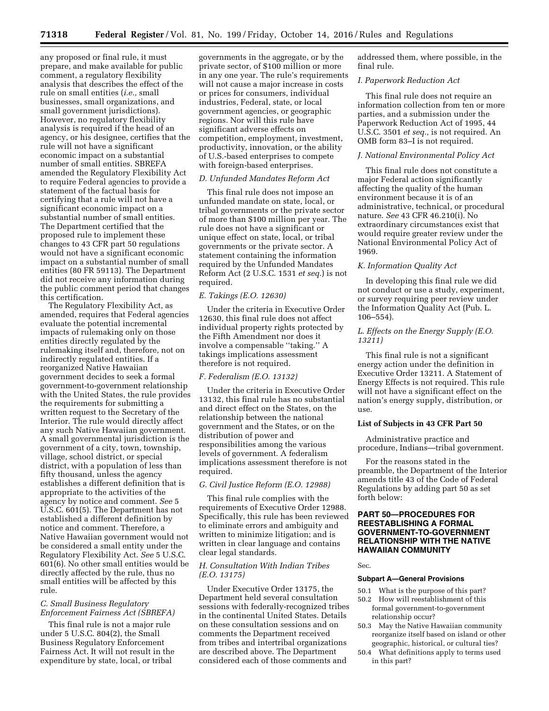any proposed or final rule, it must prepare, and make available for public comment, a regulatory flexibility analysis that describes the effect of the rule on small entities (*i.e.,* small businesses, small organizations, and small government jurisdictions). However, no regulatory flexibility analysis is required if the head of an agency, or his designee, certifies that the rule will not have a significant economic impact on a substantial number of small entities. SBREFA amended the Regulatory Flexibility Act to require Federal agencies to provide a statement of the factual basis for certifying that a rule will not have a significant economic impact on a substantial number of small entities. The Department certified that the proposed rule to implement these changes to 43 CFR part 50 regulations would not have a significant economic impact on a substantial number of small entities (80 FR 59113). The Department did not receive any information during the public comment period that changes this certification.

The Regulatory Flexibility Act, as amended, requires that Federal agencies evaluate the potential incremental impacts of rulemaking only on those entities directly regulated by the rulemaking itself and, therefore, not on indirectly regulated entities. If a reorganized Native Hawaiian government decides to seek a formal government-to-government relationship with the United States, the rule provides the requirements for submitting a written request to the Secretary of the Interior. The rule would directly affect any such Native Hawaiian government. A small governmental jurisdiction is the government of a city, town, township, village, school district, or special district, with a population of less than fifty thousand, unless the agency establishes a different definition that is appropriate to the activities of the agency by notice and comment. *See* 5 U.S.C. 601(5). The Department has not established a different definition by notice and comment. Therefore, a Native Hawaiian government would not be considered a small entity under the Regulatory Flexibility Act. *See* 5 U.S.C. 601(6). No other small entities would be directly affected by the rule, thus no small entities will be affected by this rule.

# *C. Small Business Regulatory Enforcement Fairness Act (SBREFA)*

This final rule is not a major rule under 5 U.S.C. 804(2), the Small Business Regulatory Enforcement Fairness Act. It will not result in the expenditure by state, local, or tribal

governments in the aggregate, or by the private sector, of \$100 million or more in any one year. The rule's requirements will not cause a major increase in costs or prices for consumers, individual industries, Federal, state, or local government agencies, or geographic regions. Nor will this rule have significant adverse effects on competition, employment, investment, productivity, innovation, or the ability of U.S.-based enterprises to compete with foreign-based enterprises.

# *D. Unfunded Mandates Reform Act*

This final rule does not impose an unfunded mandate on state, local, or tribal governments or the private sector of more than \$100 million per year. The rule does not have a significant or unique effect on state, local, or tribal governments or the private sector. A statement containing the information required by the Unfunded Mandates Reform Act (2 U.S.C. 1531 *et seq.*) is not required.

# *E. Takings (E.O. 12630)*

Under the criteria in Executive Order 12630, this final rule does not affect individual property rights protected by the Fifth Amendment nor does it involve a compensable ''taking.'' A takings implications assessment therefore is not required.

### *F. Federalism (E.O. 13132)*

Under the criteria in Executive Order 13132, this final rule has no substantial and direct effect on the States, on the relationship between the national government and the States, or on the distribution of power and responsibilities among the various levels of government. A federalism implications assessment therefore is not required.

#### *G. Civil Justice Reform (E.O. 12988)*

This final rule complies with the requirements of Executive Order 12988. Specifically, this rule has been reviewed to eliminate errors and ambiguity and written to minimize litigation; and is written in clear language and contains clear legal standards.

# *H. Consultation With Indian Tribes (E.O. 13175)*

Under Executive Order 13175, the Department held several consultation sessions with federally-recognized tribes in the continental United States. Details on these consultation sessions and on comments the Department received from tribes and intertribal organizations are described above. The Department considered each of those comments and

addressed them, where possible, in the final rule.

# *I. Paperwork Reduction Act*

This final rule does not require an information collection from ten or more parties, and a submission under the Paperwork Reduction Act of 1995, 44 U.S.C. 3501 *et seq.,* is not required. An OMB form 83–I is not required.

### *J. National Environmental Policy Act*

This final rule does not constitute a major Federal action significantly affecting the quality of the human environment because it is of an administrative, technical, or procedural nature. *See* 43 CFR 46.210(i). No extraordinary circumstances exist that would require greater review under the National Environmental Policy Act of 1969.

## *K. Information Quality Act*

In developing this final rule we did not conduct or use a study, experiment, or survey requiring peer review under the Information Quality Act (Pub. L. 106–554).

# *L. Effects on the Energy Supply (E.O. 13211)*

This final rule is not a significant energy action under the definition in Executive Order 13211. A Statement of Energy Effects is not required. This rule will not have a significant effect on the nation's energy supply, distribution, or use.

# **List of Subjects in 43 CFR Part 50**

Administrative practice and procedure, Indians—tribal government.

For the reasons stated in the preamble, the Department of the Interior amends title 43 of the Code of Federal Regulations by adding part 50 as set forth below:

# **PART 50—PROCEDURES FOR REESTABLISHING A FORMAL GOVERNMENT-TO-GOVERNMENT RELATIONSHIP WITH THE NATIVE HAWAIIAN COMMUNITY**

# Sec.

# **Subpart A—General Provisions**

- 50.1 What is the purpose of this part?
- 50.2 How will reestablishment of this formal government-to-government relationship occur?
- 50.3 May the Native Hawaiian community reorganize itself based on island or other geographic, historical, or cultural ties?
- 50.4 What definitions apply to terms used in this part?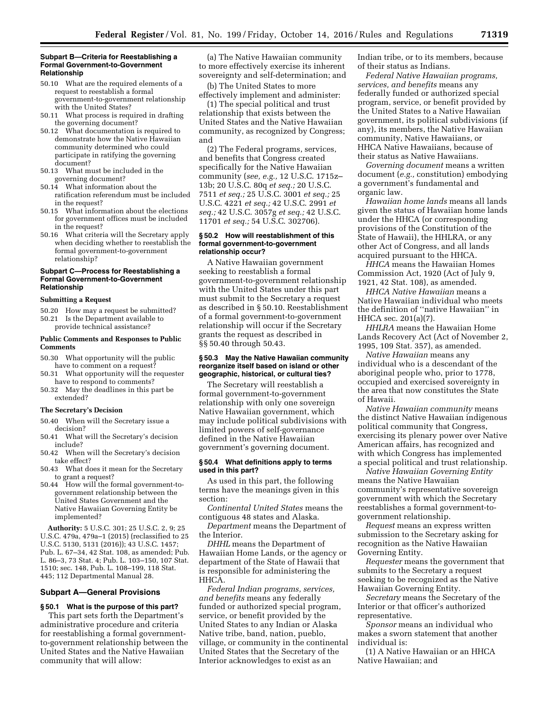#### **Subpart B—Criteria for Reestablishing a Formal Government-to-Government Relationship**

- 50.10 What are the required elements of a request to reestablish a formal government-to-government relationship with the United States?
- 50.11 What process is required in drafting the governing document?
- 50.12 What documentation is required to demonstrate how the Native Hawaiian community determined who could participate in ratifying the governing document?
- 50.13 What must be included in the governing document?
- 50.14 What information about the ratification referendum must be included in the request?
- 50.15 What information about the elections for government offices must be included in the request?
- 50.16 What criteria will the Secretary apply when deciding whether to reestablish the formal government-to-government relationship?

## **Subpart C—Process for Reestablishing a Formal Government-to-Government Relationship**

#### **Submitting a Request**

- 50.20 How may a request be submitted?
- 50.21 Is the Department available to
- provide technical assistance?

## **Public Comments and Responses to Public Comments**

- 50.30 What opportunity will the public have to comment on a request?
- 50.31 What opportunity will the requester have to respond to comments?
- 50.32 May the deadlines in this part be extended?

### **The Secretary's Decision**

- 50.40 When will the Secretary issue a decision?
- 50.41 What will the Secretary's decision include?
- 50.42 When will the Secretary's decision take effect?
- 50.43 What does it mean for the Secretary to grant a request?
- 50.44 How will the formal government-togovernment relationship between the United States Government and the Native Hawaiian Governing Entity be implemented?

**Authority:** 5 U.S.C. 301; 25 U.S.C. 2, 9; 25 U.S.C. 479a, 479a–1 (2015) (reclassified to 25 U.S.C. 5130, 5131 (2016)); 43 U.S.C. 1457; Pub. L. 67–34, 42 Stat. 108, as amended; Pub. L. 86–3, 73 Stat. 4; Pub. L. 103–150, 107 Stat. 1510; sec. 148, Pub. L. 108–199, 118 Stat. 445; 112 Departmental Manual 28.

## **Subpart A—General Provisions**

## **§ 50.1 What is the purpose of this part?**  This part sets forth the Department's

administrative procedure and criteria for reestablishing a formal governmentto-government relationship between the United States and the Native Hawaiian community that will allow:

(a) The Native Hawaiian community to more effectively exercise its inherent sovereignty and self-determination; and

(b) The United States to more effectively implement and administer:

(1) The special political and trust relationship that exists between the United States and the Native Hawaiian community, as recognized by Congress; and

(2) The Federal programs, services, and benefits that Congress created specifically for the Native Hawaiian community (*see, e.g.,* 12 U.S.C. 1715z– 13b; 20 U.S.C. 80q *et seq.;* 20 U.S.C. 7511 *et seq.;* 25 U.S.C. 3001 *et seq.;* 25 U.S.C. 4221 *et seq.;* 42 U.S.C. 2991 *et seq.;* 42 U.S.C. 3057g *et seq.;* 42 U.S.C. 11701 *et seq.;* 54 U.S.C. 302706).

### **§ 50.2 How will reestablishment of this formal government-to-government relationship occur?**

A Native Hawaiian government seeking to reestablish a formal government-to-government relationship with the United States under this part must submit to the Secretary a request as described in § 50.10. Reestablishment of a formal government-to-government relationship will occur if the Secretary grants the request as described in §§ 50.40 through 50.43.

### **§ 50.3 May the Native Hawaiian community reorganize itself based on island or other geographic, historical, or cultural ties?**

The Secretary will reestablish a formal government-to-government relationship with only one sovereign Native Hawaiian government, which may include political subdivisions with limited powers of self-governance defined in the Native Hawaiian government's governing document.

# **§ 50.4 What definitions apply to terms used in this part?**

As used in this part, the following terms have the meanings given in this section:

*Continental United States* means the contiguous 48 states and Alaska.

*Department* means the Department of the Interior.

*DHHL* means the Department of Hawaiian Home Lands, or the agency or department of the State of Hawaii that is responsible for administering the HHCA.

*Federal Indian programs, services, and benefits* means any federally funded or authorized special program, service, or benefit provided by the United States to any Indian or Alaska Native tribe, band, nation, pueblo, village, or community in the continental United States that the Secretary of the Interior acknowledges to exist as an

Indian tribe, or to its members, because of their status as Indians.

*Federal Native Hawaiian programs, services, and benefits* means any federally funded or authorized special program, service, or benefit provided by the United States to a Native Hawaiian government, its political subdivisions (if any), its members, the Native Hawaiian community, Native Hawaiians, or HHCA Native Hawaiians, because of their status as Native Hawaiians.

*Governing document* means a written document (*e.g.,* constitution) embodying a government's fundamental and organic law.

*Hawaiian home lands* means all lands given the status of Hawaiian home lands under the HHCA (or corresponding provisions of the Constitution of the State of Hawaii), the HHLRA, or any other Act of Congress, and all lands acquired pursuant to the HHCA.

*HHCA* means the Hawaiian Homes Commission Act, 1920 (Act of July 9, 1921, 42 Stat. 108), as amended.

*HHCA Native Hawaiian* means a Native Hawaiian individual who meets the definition of ''native Hawaiian'' in HHCA sec. 201(a)(7).

*HHLRA* means the Hawaiian Home Lands Recovery Act (Act of November 2, 1995, 109 Stat. 357), as amended.

*Native Hawaiian* means any individual who is a descendant of the aboriginal people who, prior to 1778, occupied and exercised sovereignty in the area that now constitutes the State of Hawaii.

*Native Hawaiian community* means the distinct Native Hawaiian indigenous political community that Congress, exercising its plenary power over Native American affairs, has recognized and with which Congress has implemented a special political and trust relationship.

*Native Hawaiian Governing Entity*  means the Native Hawaiian community's representative sovereign government with which the Secretary reestablishes a formal government-togovernment relationship.

*Request* means an express written submission to the Secretary asking for recognition as the Native Hawaiian Governing Entity.

*Requester* means the government that submits to the Secretary a request seeking to be recognized as the Native Hawaiian Governing Entity.

*Secretary* means the Secretary of the Interior or that officer's authorized representative.

*Sponsor* means an individual who makes a sworn statement that another individual is:

(1) A Native Hawaiian or an HHCA Native Hawaiian; and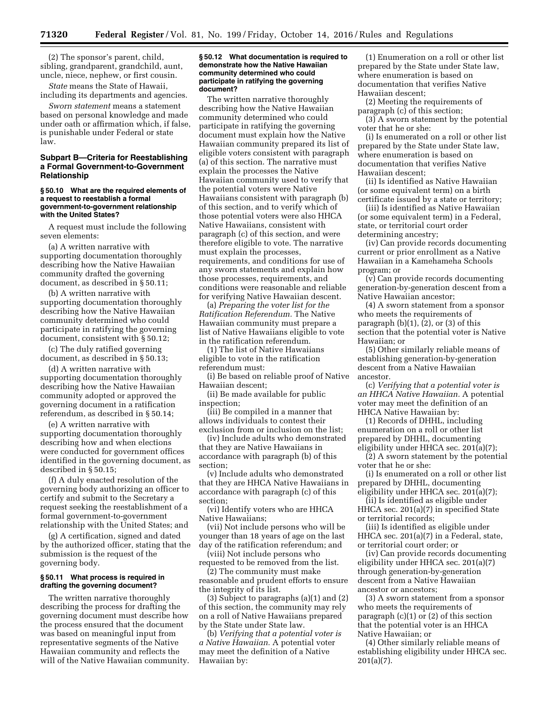(2) The sponsor's parent, child, sibling, grandparent, grandchild, aunt, uncle, niece, nephew, or first cousin.

*State* means the State of Hawaii, including its departments and agencies.

*Sworn statement* means a statement based on personal knowledge and made under oath or affirmation which, if false, is punishable under Federal or state law.

## **Subpart B—Criteria for Reestablishing a Formal Government-to-Government Relationship**

### **§ 50.10 What are the required elements of a request to reestablish a formal government-to-government relationship with the United States?**

A request must include the following seven elements:

(a) A written narrative with supporting documentation thoroughly describing how the Native Hawaiian community drafted the governing document, as described in § 50.11;

(b) A written narrative with supporting documentation thoroughly describing how the Native Hawaiian community determined who could participate in ratifying the governing document, consistent with § 50.12;

(c) The duly ratified governing document, as described in § 50.13;

(d) A written narrative with supporting documentation thoroughly describing how the Native Hawaiian community adopted or approved the governing document in a ratification referendum, as described in § 50.14;

(e) A written narrative with supporting documentation thoroughly describing how and when elections were conducted for government offices identified in the governing document, as described in § 50.15;

(f) A duly enacted resolution of the governing body authorizing an officer to certify and submit to the Secretary a request seeking the reestablishment of a formal government-to-government relationship with the United States; and

(g) A certification, signed and dated by the authorized officer, stating that the submission is the request of the governing body.

### **§ 50.11 What process is required in drafting the governing document?**

The written narrative thoroughly describing the process for drafting the governing document must describe how the process ensured that the document was based on meaningful input from representative segments of the Native Hawaiian community and reflects the will of the Native Hawaiian community.

### **§ 50.12 What documentation is required to demonstrate how the Native Hawaiian community determined who could participate in ratifying the governing document?**

The written narrative thoroughly describing how the Native Hawaiian community determined who could participate in ratifying the governing document must explain how the Native Hawaiian community prepared its list of eligible voters consistent with paragraph (a) of this section. The narrative must explain the processes the Native Hawaiian community used to verify that the potential voters were Native Hawaiians consistent with paragraph (b) of this section, and to verify which of those potential voters were also HHCA Native Hawaiians, consistent with paragraph (c) of this section, and were therefore eligible to vote. The narrative must explain the processes, requirements, and conditions for use of any sworn statements and explain how those processes, requirements, and conditions were reasonable and reliable for verifying Native Hawaiian descent.

(a) *Preparing the voter list for the Ratification Referendum.* The Native Hawaiian community must prepare a list of Native Hawaiians eligible to vote in the ratification referendum.

(1) The list of Native Hawaiians eligible to vote in the ratification referendum must:

(i) Be based on reliable proof of Native Hawaiian descent;

(ii) Be made available for public inspection;

(iii) Be compiled in a manner that allows individuals to contest their exclusion from or inclusion on the list;

(iv) Include adults who demonstrated that they are Native Hawaiians in accordance with paragraph (b) of this section;

(v) Include adults who demonstrated that they are HHCA Native Hawaiians in accordance with paragraph (c) of this section;

(vi) Identify voters who are HHCA Native Hawaiians;

(vii) Not include persons who will be younger than 18 years of age on the last day of the ratification referendum; and

(viii) Not include persons who requested to be removed from the list. (2) The community must make

reasonable and prudent efforts to ensure the integrity of its list.

(3) Subject to paragraphs (a)(1) and (2) of this section, the community may rely on a roll of Native Hawaiians prepared by the State under State law.

(b) *Verifying that a potential voter is a Native Hawaiian.* A potential voter may meet the definition of a Native Hawaiian by:

(1) Enumeration on a roll or other list prepared by the State under State law, where enumeration is based on documentation that verifies Native Hawaiian descent;

(2) Meeting the requirements of paragraph (c) of this section; (3) A sworn statement by the potential voter that he or she:

(i) Is enumerated on a roll or other list prepared by the State under State law, where enumeration is based on documentation that verifies Native Hawaiian descent;

(ii) Is identified as Native Hawaiian (or some equivalent term) on a birth certificate issued by a state or territory;

(iii) Is identified as Native Hawaiian (or some equivalent term) in a Federal, state, or territorial court order determining ancestry;

(iv) Can provide records documenting current or prior enrollment as a Native Hawaiian in a Kamehameha Schools program; or

(v) Can provide records documenting generation-by-generation descent from a Native Hawaiian ancestor;

(4) A sworn statement from a sponsor who meets the requirements of paragraph  $(b)(1)$ ,  $(2)$ , or  $(3)$  of this section that the potential voter is Native Hawaiian; or

(5) Other similarly reliable means of establishing generation-by-generation descent from a Native Hawaiian ancestor.

(c) *Verifying that a potential voter is an HHCA Native Hawaiian.* A potential voter may meet the definition of an HHCA Native Hawaiian by:

(1) Records of DHHL, including enumeration on a roll or other list prepared by DHHL, documenting eligibility under HHCA sec. 201(a)(7);

(2) A sworn statement by the potential voter that he or she:

(i) Is enumerated on a roll or other list prepared by DHHL, documenting eligibility under HHCA sec. 201(a)(7);

(ii) Is identified as eligible under HHCA sec. 201(a)(7) in specified State or territorial records;

(iii) Is identified as eligible under HHCA sec. 201(a)(7) in a Federal, state, or territorial court order; or

(iv) Can provide records documenting eligibility under HHCA sec. 201(a)(7) through generation-by-generation descent from a Native Hawaiian ancestor or ancestors;

(3) A sworn statement from a sponsor who meets the requirements of paragraph (c)(1) or (2) of this section that the potential voter is an HHCA Native Hawaiian; or

(4) Other similarly reliable means of establishing eligibility under HHCA sec. 201(a)(7).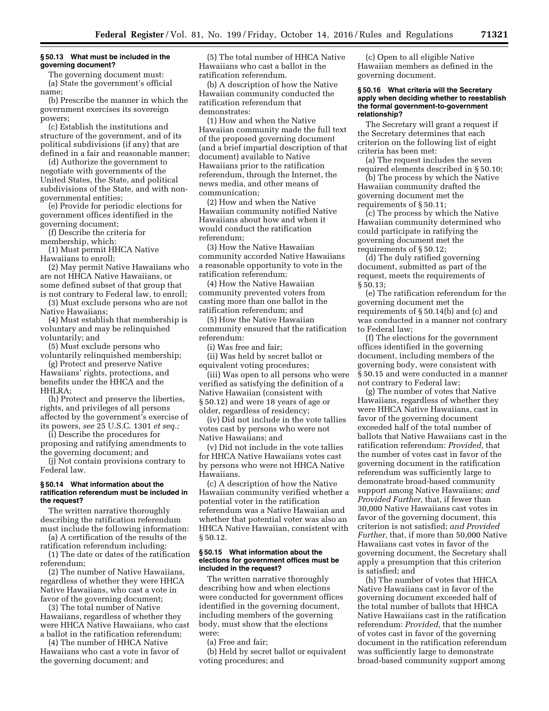### **§ 50.13 What must be included in the governing document?**

The governing document must: (a) State the government's official name;

(b) Prescribe the manner in which the government exercises its sovereign powers;

(c) Establish the institutions and structure of the government, and of its political subdivisions (if any) that are defined in a fair and reasonable manner;

(d) Authorize the government to negotiate with governments of the United States, the State, and political subdivisions of the State, and with nongovernmental entities;

(e) Provide for periodic elections for government offices identified in the governing document;

(f) Describe the criteria for membership, which:

(1) Must permit HHCA Native Hawaiians to enroll;

(2) May permit Native Hawaiians who are not HHCA Native Hawaiians, or some defined subset of that group that is not contrary to Federal law, to enroll;

(3) Must exclude persons who are not Native Hawaiians;

(4) Must establish that membership is voluntary and may be relinquished voluntarily; and

(5) Must exclude persons who voluntarily relinquished membership;

(g) Protect and preserve Native Hawaiians' rights, protections, and benefits under the HHCA and the HHLRA;

(h) Protect and preserve the liberties, rights, and privileges of all persons affected by the government's exercise of its powers, *see* 25 U.S.C. 1301 *et seq.;* 

(i) Describe the procedures for proposing and ratifying amendments to the governing document; and

(j) Not contain provisions contrary to Federal law.

## **§ 50.14 What information about the ratification referendum must be included in the request?**

The written narrative thoroughly describing the ratification referendum must include the following information:

(a) A certification of the results of the ratification referendum including:

(1) The date or dates of the ratification referendum;

(2) The number of Native Hawaiians, regardless of whether they were HHCA Native Hawaiians, who cast a vote in favor of the governing document;

(3) The total number of Native Hawaiians, regardless of whether they were HHCA Native Hawaiians, who cast a ballot in the ratification referendum;

(4) The number of HHCA Native Hawaiians who cast a vote in favor of the governing document; and

(5) The total number of HHCA Native Hawaiians who cast a ballot in the ratification referendum.

(b) A description of how the Native Hawaiian community conducted the ratification referendum that demonstrates:

(1) How and when the Native Hawaiian community made the full text of the proposed governing document (and a brief impartial description of that document) available to Native Hawaiians prior to the ratification referendum, through the Internet, the news media, and other means of communication;

(2) How and when the Native Hawaiian community notified Native Hawaiians about how and when it would conduct the ratification referendum;

(3) How the Native Hawaiian community accorded Native Hawaiians a reasonable opportunity to vote in the ratification referendum;

(4) How the Native Hawaiian community prevented voters from casting more than one ballot in the ratification referendum; and

(5) How the Native Hawaiian community ensured that the ratification referendum:

(i) Was free and fair;

(ii) Was held by secret ballot or equivalent voting procedures;

(iii) Was open to all persons who were verified as satisfying the definition of a Native Hawaiian (consistent with § 50.12) and were 18 years of age or older, regardless of residency;

(iv) Did not include in the vote tallies votes cast by persons who were not Native Hawaiians; and

(v) Did not include in the vote tallies for HHCA Native Hawaiians votes cast by persons who were not HHCA Native Hawaiians.

(c) A description of how the Native Hawaiian community verified whether a potential voter in the ratification referendum was a Native Hawaiian and whether that potential voter was also an HHCA Native Hawaiian, consistent with § 50.12.

## **§ 50.15 What information about the elections for government offices must be included in the request?**

The written narrative thoroughly describing how and when elections were conducted for government offices identified in the governing document, including members of the governing body, must show that the elections were:

(a) Free and fair;

(b) Held by secret ballot or equivalent voting procedures; and

(c) Open to all eligible Native Hawaiian members as defined in the governing document.

### **§ 50.16 What criteria will the Secretary apply when deciding whether to reestablish the formal government-to-government relationship?**

The Secretary will grant a request if the Secretary determines that each criterion on the following list of eight criteria has been met:

(a) The request includes the seven required elements described in § 50.10;

(b) The process by which the Native Hawaiian community drafted the governing document met the requirements of § 50.11;

(c) The process by which the Native Hawaiian community determined who could participate in ratifying the governing document met the requirements of § 50.12;

(d) The duly ratified governing document, submitted as part of the request, meets the requirements of § 50.13;

(e) The ratification referendum for the governing document met the requirements of § 50.14(b) and (c) and was conducted in a manner not contrary to Federal law;

(f) The elections for the government offices identified in the governing document, including members of the governing body, were consistent with § 50.15 and were conducted in a manner not contrary to Federal law;

(g) The number of votes that Native Hawaiians, regardless of whether they were HHCA Native Hawaiians, cast in favor of the governing document exceeded half of the total number of ballots that Native Hawaiians cast in the ratification referendum: *Provided,* that the number of votes cast in favor of the governing document in the ratification referendum was sufficiently large to demonstrate broad-based community support among Native Hawaiians; *and Provided Further,* that, if fewer than 30,000 Native Hawaiians cast votes in favor of the governing document, this criterion is not satisfied; *and Provided Further,* that, if more than 50,000 Native Hawaiians cast votes in favor of the governing document, the Secretary shall apply a presumption that this criterion is satisfied; and

(h) The number of votes that HHCA Native Hawaiians cast in favor of the governing document exceeded half of the total number of ballots that HHCA Native Hawaiians cast in the ratification referendum: *Provided,* that the number of votes cast in favor of the governing document in the ratification referendum was sufficiently large to demonstrate broad-based community support among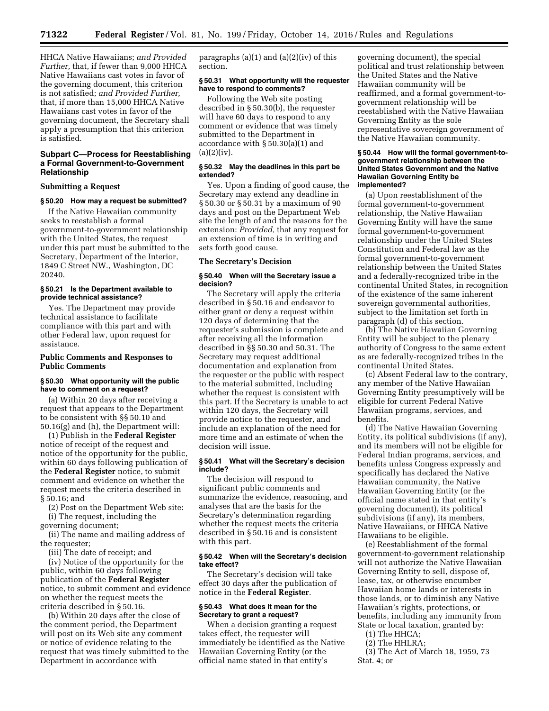HHCA Native Hawaiians; *and Provided Further,* that, if fewer than 9,000 HHCA Native Hawaiians cast votes in favor of the governing document, this criterion is not satisfied; *and Provided Further,*  that, if more than 15,000 HHCA Native Hawaiians cast votes in favor of the governing document, the Secretary shall apply a presumption that this criterion is satisfied.

# **Subpart C—Process for Reestablishing a Formal Government-to-Government Relationship**

# **Submitting a Request**

### **§ 50.20 How may a request be submitted?**

If the Native Hawaiian community seeks to reestablish a formal government-to-government relationship with the United States, the request under this part must be submitted to the Secretary, Department of the Interior, 1849 C Street NW., Washington, DC 20240.

# **§ 50.21 Is the Department available to provide technical assistance?**

Yes. The Department may provide technical assistance to facilitate compliance with this part and with other Federal law, upon request for assistance.

# **Public Comments and Responses to Public Comments**

# **§ 50.30 What opportunity will the public have to comment on a request?**

(a) Within 20 days after receiving a request that appears to the Department to be consistent with §§ 50.10 and 50.16(g) and (h), the Department will:

(1) Publish in the **Federal Register**  notice of receipt of the request and notice of the opportunity for the public, within 60 days following publication of the **Federal Register** notice, to submit comment and evidence on whether the request meets the criteria described in § 50.16; and

(2) Post on the Department Web site: (i) The request, including the

governing document;

(ii) The name and mailing address of the requester;

(iii) The date of receipt; and

(iv) Notice of the opportunity for the public, within 60 days following publication of the **Federal Register**  notice, to submit comment and evidence on whether the request meets the criteria described in § 50.16.

(b) Within 20 days after the close of the comment period, the Department will post on its Web site any comment or notice of evidence relating to the request that was timely submitted to the Department in accordance with

paragraphs  $(a)(1)$  and  $(a)(2)(iv)$  of this section.

# **§ 50.31 What opportunity will the requester have to respond to comments?**

Following the Web site posting described in § 50.30(b), the requester will have 60 days to respond to any comment or evidence that was timely submitted to the Department in accordance with § 50.30(a)(1) and  $(a)(2)(iv).$ 

# **§ 50.32 May the deadlines in this part be extended?**

Yes. Upon a finding of good cause, the Secretary may extend any deadline in § 50.30 or § 50.31 by a maximum of 90 days and post on the Department Web site the length of and the reasons for the extension: *Provided,* that any request for an extension of time is in writing and sets forth good cause.

### **The Secretary's Decision**

### **§ 50.40 When will the Secretary issue a decision?**

The Secretary will apply the criteria described in § 50.16 and endeavor to either grant or deny a request within 120 days of determining that the requester's submission is complete and after receiving all the information described in §§ 50.30 and 50.31. The Secretary may request additional documentation and explanation from the requester or the public with respect to the material submitted, including whether the request is consistent with this part. If the Secretary is unable to act within 120 days, the Secretary will provide notice to the requester, and include an explanation of the need for more time and an estimate of when the decision will issue.

### **§ 50.41 What will the Secretary's decision include?**

The decision will respond to significant public comments and summarize the evidence, reasoning, and analyses that are the basis for the Secretary's determination regarding whether the request meets the criteria described in § 50.16 and is consistent with this part.

# **§ 50.42 When will the Secretary's decision take effect?**

The Secretary's decision will take effect 30 days after the publication of notice in the **Federal Register**.

### **§ 50.43 What does it mean for the Secretary to grant a request?**

When a decision granting a request takes effect, the requester will immediately be identified as the Native Hawaiian Governing Entity (or the official name stated in that entity's

governing document), the special political and trust relationship between the United States and the Native Hawaiian community will be reaffirmed, and a formal government-togovernment relationship will be reestablished with the Native Hawaiian Governing Entity as the sole representative sovereign government of the Native Hawaiian community.

### **§ 50.44 How will the formal government-togovernment relationship between the United States Government and the Native Hawaiian Governing Entity be implemented?**

(a) Upon reestablishment of the formal government-to-government relationship, the Native Hawaiian Governing Entity will have the same formal government-to-government relationship under the United States Constitution and Federal law as the formal government-to-government relationship between the United States and a federally-recognized tribe in the continental United States, in recognition of the existence of the same inherent sovereign governmental authorities, subject to the limitation set forth in paragraph (d) of this section.

(b) The Native Hawaiian Governing Entity will be subject to the plenary authority of Congress to the same extent as are federally-recognized tribes in the continental United States.

(c) Absent Federal law to the contrary, any member of the Native Hawaiian Governing Entity presumptively will be eligible for current Federal Native Hawaiian programs, services, and benefits.

(d) The Native Hawaiian Governing Entity, its political subdivisions (if any), and its members will not be eligible for Federal Indian programs, services, and benefits unless Congress expressly and specifically has declared the Native Hawaiian community, the Native Hawaiian Governing Entity (or the official name stated in that entity's governing document), its political subdivisions (if any), its members, Native Hawaiians, or HHCA Native Hawaiians to be eligible.

(e) Reestablishment of the formal government-to-government relationship will not authorize the Native Hawaiian Governing Entity to sell, dispose of, lease, tax, or otherwise encumber Hawaiian home lands or interests in those lands, or to diminish any Native Hawaiian's rights, protections, or benefits, including any immunity from State or local taxation, granted by:

(1) The HHCA; (2) The HHLRA;

(3) The Act of March 18, 1959, 73 Stat. 4; or